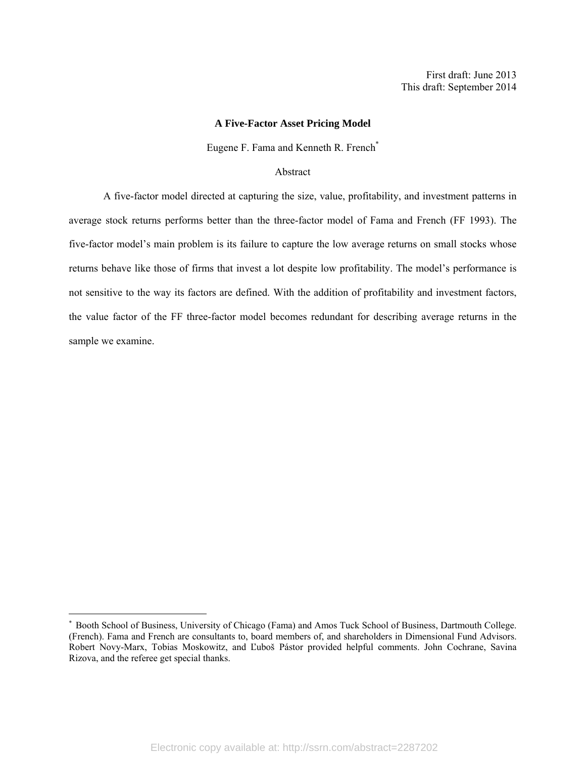### **A Five-Factor Asset Pricing Model**

Eugene F. Fama and Kenneth R. French<sup>\*</sup>

#### Abstract

A five-factor model directed at capturing the size, value, profitability, and investment patterns in average stock returns performs better than the three-factor model of Fama and French (FF 1993). The five-factor model's main problem is its failure to capture the low average returns on small stocks whose returns behave like those of firms that invest a lot despite low profitability. The model's performance is not sensitive to the way its factors are defined. With the addition of profitability and investment factors, the value factor of the FF three-factor model becomes redundant for describing average returns in the sample we examine.

Booth School of Business, University of Chicago (Fama) and Amos Tuck School of Business, Dartmouth College. (French). Fama and French are consultants to, board members of, and shareholders in Dimensional Fund Advisors. Robert Novy-Marx, Tobias Moskowitz, and Ľuboš Pástor provided helpful comments. John Cochrane, Savina Rizova, and the referee get special thanks.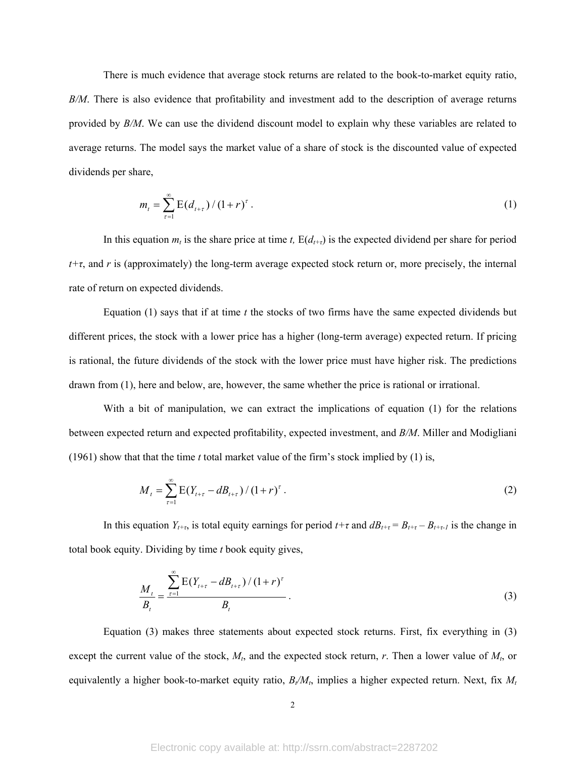There is much evidence that average stock returns are related to the book-to-market equity ratio, *B/M*. There is also evidence that profitability and investment add to the description of average returns provided by *B/M*. We can use the dividend discount model to explain why these variables are related to average returns. The model says the market value of a share of stock is the discounted value of expected dividends per share,

$$
m_{t} = \sum_{\tau=1}^{\infty} \mathbb{E}(d_{t+\tau})/(1+r)^{\tau} \,. \tag{1}
$$

In this equation  $m_t$  is the share price at time t,  $E(d_{t+1})$  is the expected dividend per share for period *t+τ*, and *r* is (approximately) the long-term average expected stock return or, more precisely, the internal rate of return on expected dividends.

Equation  $(1)$  says that if at time *t* the stocks of two firms have the same expected dividends but different prices, the stock with a lower price has a higher (long-term average) expected return. If pricing is rational, the future dividends of the stock with the lower price must have higher risk. The predictions drawn from (1), here and below, are, however, the same whether the price is rational or irrational.

With a bit of manipulation, we can extract the implications of equation (1) for the relations between expected return and expected profitability, expected investment, and *B/M*. Miller and Modigliani (1961) show that that the time *t* total market value of the firm's stock implied by (1) is,

$$
M_{t} = \sum_{\tau=1}^{\infty} \mathbb{E}(Y_{t+\tau} - dB_{t+\tau})/(1+r)^{\tau}.
$$
 (2)

In this equation  $Y_{t+\tau}$ , is total equity earnings for period  $t+\tau$  and  $dB_{t+\tau} = B_{t+\tau} - B_{t+\tau}$  is the change in total book equity. Dividing by time *t* book equity gives,

$$
\frac{M_t}{B_t} = \frac{\sum_{\tau=1}^{\infty} E(Y_{t+\tau} - dB_{t+\tau}) / (1+r)^{\tau}}{B_t}.
$$
\n(3)

Equation (3) makes three statements about expected stock returns. First, fix everything in (3) except the current value of the stock,  $M_t$ , and the expected stock return,  $r$ . Then a lower value of  $M_t$ , or equivalently a higher book-to-market equity ratio,  $B/M_t$ , implies a higher expected return. Next, fix  $M_t$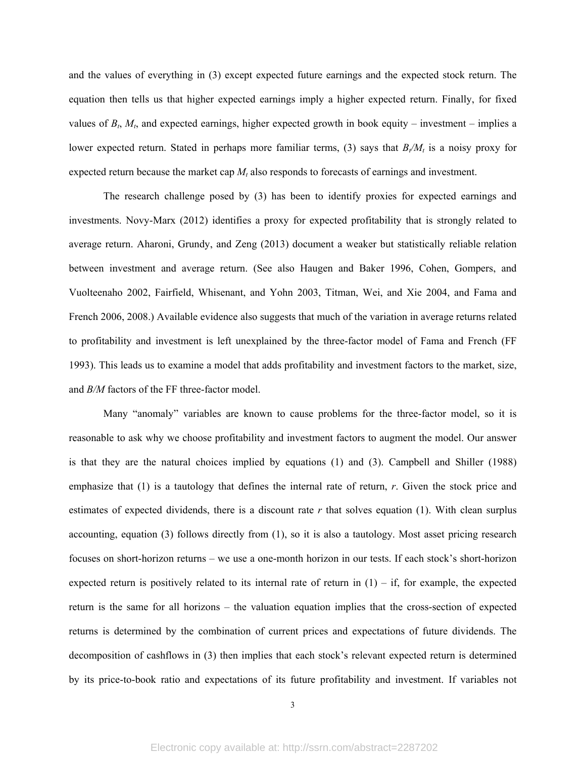and the values of everything in (3) except expected future earnings and the expected stock return. The equation then tells us that higher expected earnings imply a higher expected return. Finally, for fixed values of  $B_t$ ,  $M_t$ , and expected earnings, higher expected growth in book equity – investment – implies a lower expected return. Stated in perhaps more familiar terms, (3) says that  $B/M_t$  is a noisy proxy for expected return because the market cap  $M_t$  also responds to forecasts of earnings and investment.

The research challenge posed by (3) has been to identify proxies for expected earnings and investments. Novy-Marx (2012) identifies a proxy for expected profitability that is strongly related to average return. Aharoni, Grundy, and Zeng (2013) document a weaker but statistically reliable relation between investment and average return. (See also Haugen and Baker 1996, Cohen, Gompers, and Vuolteenaho 2002, Fairfield, Whisenant, and Yohn 2003, Titman, Wei, and Xie 2004, and Fama and French 2006, 2008.) Available evidence also suggests that much of the variation in average returns related to profitability and investment is left unexplained by the three-factor model of Fama and French (FF 1993). This leads us to examine a model that adds profitability and investment factors to the market, size, and *B/M* factors of the FF three-factor model.

 Many "anomaly" variables are known to cause problems for the three-factor model, so it is reasonable to ask why we choose profitability and investment factors to augment the model. Our answer is that they are the natural choices implied by equations (1) and (3). Campbell and Shiller (1988) emphasize that (1) is a tautology that defines the internal rate of return, *r*. Given the stock price and estimates of expected dividends, there is a discount rate *r* that solves equation (1). With clean surplus accounting, equation (3) follows directly from (1), so it is also a tautology. Most asset pricing research focuses on short-horizon returns – we use a one-month horizon in our tests. If each stock's short-horizon expected return is positively related to its internal rate of return in  $(1)$  – if, for example, the expected return is the same for all horizons – the valuation equation implies that the cross-section of expected returns is determined by the combination of current prices and expectations of future dividends. The decomposition of cashflows in (3) then implies that each stock's relevant expected return is determined by its price-to-book ratio and expectations of its future profitability and investment. If variables not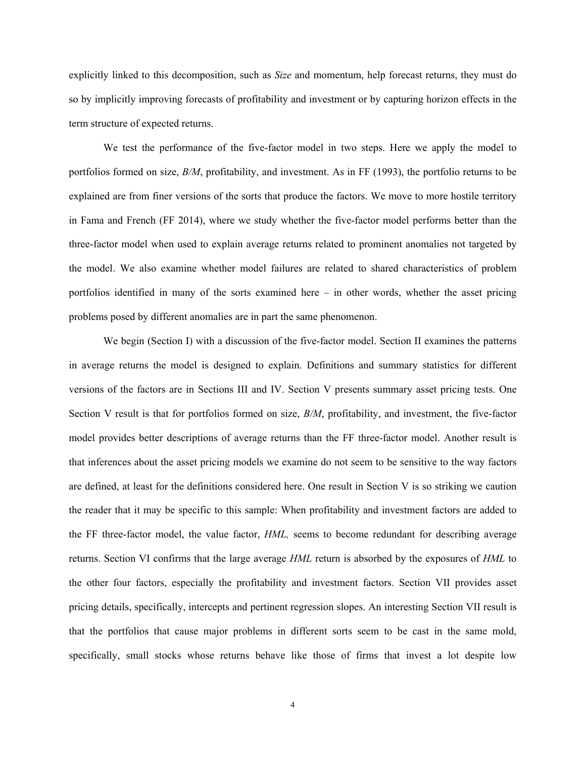explicitly linked to this decomposition, such as *Size* and momentum, help forecast returns, they must do so by implicitly improving forecasts of profitability and investment or by capturing horizon effects in the term structure of expected returns.

We test the performance of the five-factor model in two steps. Here we apply the model to portfolios formed on size, *B/M*, profitability, and investment. As in FF (1993), the portfolio returns to be explained are from finer versions of the sorts that produce the factors. We move to more hostile territory in Fama and French (FF 2014), where we study whether the five-factor model performs better than the three-factor model when used to explain average returns related to prominent anomalies not targeted by the model. We also examine whether model failures are related to shared characteristics of problem portfolios identified in many of the sorts examined here – in other words, whether the asset pricing problems posed by different anomalies are in part the same phenomenon.

We begin (Section I) with a discussion of the five-factor model. Section II examines the patterns in average returns the model is designed to explain. Definitions and summary statistics for different versions of the factors are in Sections III and IV. Section V presents summary asset pricing tests. One Section V result is that for portfolios formed on size, *B/M*, profitability, and investment, the five-factor model provides better descriptions of average returns than the FF three-factor model. Another result is that inferences about the asset pricing models we examine do not seem to be sensitive to the way factors are defined, at least for the definitions considered here. One result in Section V is so striking we caution the reader that it may be specific to this sample: When profitability and investment factors are added to the FF three-factor model, the value factor, *HML,* seems to become redundant for describing average returns. Section VI confirms that the large average *HML* return is absorbed by the exposures of *HML* to the other four factors, especially the profitability and investment factors. Section VII provides asset pricing details, specifically, intercepts and pertinent regression slopes. An interesting Section VII result is that the portfolios that cause major problems in different sorts seem to be cast in the same mold, specifically, small stocks whose returns behave like those of firms that invest a lot despite low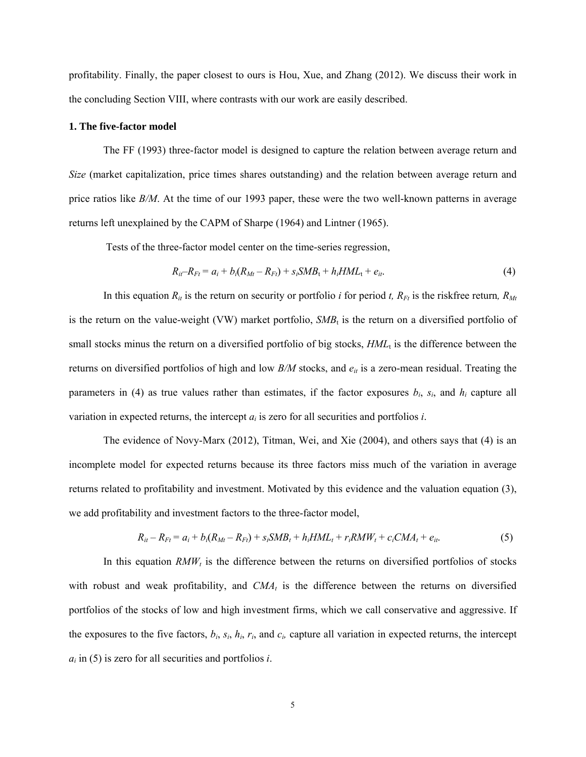profitability. Finally, the paper closest to ours is Hou, Xue, and Zhang (2012). We discuss their work in the concluding Section VIII, where contrasts with our work are easily described.

### **1. The five-factor model**

The FF (1993) three-factor model is designed to capture the relation between average return and *Size* (market capitalization, price times shares outstanding) and the relation between average return and price ratios like *B/M*. At the time of our 1993 paper, these were the two well-known patterns in average returns left unexplained by the CAPM of Sharpe (1964) and Lintner (1965).

Tests of the three-factor model center on the time-series regression,

$$
R_{it} - R_{Ft} = a_i + b_i(R_{Mt} - R_{Ft}) + s_i SMB_t + h_i HML_t + e_{it}.
$$
\n(4)

In this equation  $R_{it}$  is the return on security or portfolio *i* for period *t*,  $R_{Ft}$  is the riskfree return,  $R_{Mt}$ is the return on the value-weight (VW) market portfolio, *SMB*<sub>t</sub> is the return on a diversified portfolio of small stocks minus the return on a diversified portfolio of big stocks, *HML*<sub>t</sub> is the difference between the returns on diversified portfolios of high and low *B/M* stocks, and  $e_{it}$  is a zero-mean residual. Treating the parameters in (4) as true values rather than estimates, if the factor exposures  $b_i$ ,  $s_i$ , and  $h_i$  capture all variation in expected returns, the intercept *ai* is zero for all securities and portfolios *i*.

The evidence of Novy-Marx (2012), Titman, Wei, and Xie (2004), and others says that (4) is an incomplete model for expected returns because its three factors miss much of the variation in average returns related to profitability and investment. Motivated by this evidence and the valuation equation (3), we add profitability and investment factors to the three-factor model,

$$
R_{it} - R_{Ft} = a_i + b_i(R_{Mt} - R_{Ft}) + s_iSMB_t + h_iHML_t + r_iRMW_t + c_iCMA_t + e_{it}.
$$
\n(5)

In this equation  $RMW_t$  is the difference between the returns on diversified portfolios of stocks with robust and weak profitability, and  $CMA_t$  is the difference between the returns on diversified portfolios of the stocks of low and high investment firms, which we call conservative and aggressive. If the exposures to the five factors,  $b_i$ ,  $s_i$ ,  $h_i$ ,  $r_i$ , and  $c_i$ , capture all variation in expected returns, the intercept *ai* in (5) is zero for all securities and portfolios *i*.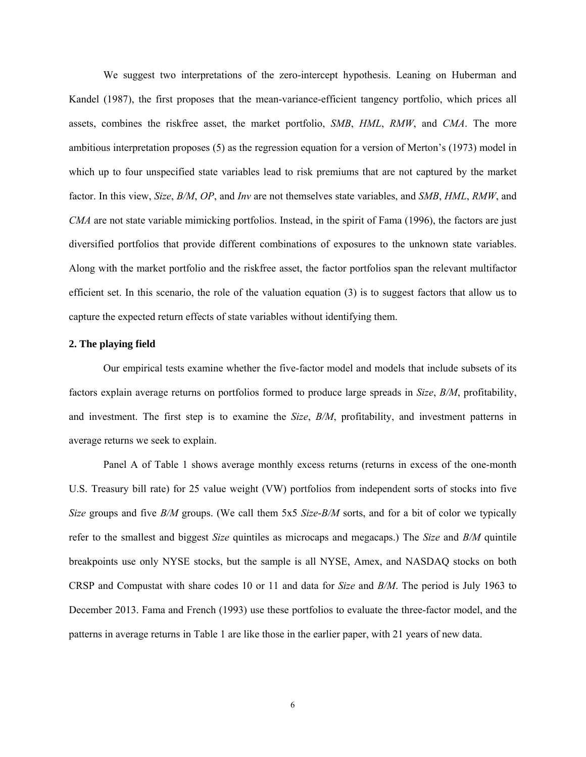We suggest two interpretations of the zero-intercept hypothesis. Leaning on Huberman and Kandel (1987), the first proposes that the mean-variance-efficient tangency portfolio, which prices all assets, combines the riskfree asset, the market portfolio, *SMB*, *HML*, *RMW*, and *CMA*. The more ambitious interpretation proposes (5) as the regression equation for a version of Merton's (1973) model in which up to four unspecified state variables lead to risk premiums that are not captured by the market factor. In this view, *Size*, *B/M*, *OP*, and *Inv* are not themselves state variables, and *SMB*, *HML*, *RMW*, and *CMA* are not state variable mimicking portfolios. Instead, in the spirit of Fama (1996), the factors are just diversified portfolios that provide different combinations of exposures to the unknown state variables. Along with the market portfolio and the riskfree asset, the factor portfolios span the relevant multifactor efficient set. In this scenario, the role of the valuation equation (3) is to suggest factors that allow us to capture the expected return effects of state variables without identifying them.

## **2. The playing field**

Our empirical tests examine whether the five-factor model and models that include subsets of its factors explain average returns on portfolios formed to produce large spreads in *Size*, *B/M*, profitability, and investment. The first step is to examine the *Size*, *B/M*, profitability, and investment patterns in average returns we seek to explain.

Panel A of Table 1 shows average monthly excess returns (returns in excess of the one-month U.S. Treasury bill rate) for 25 value weight (VW) portfolios from independent sorts of stocks into five *Size* groups and five *B/M* groups. (We call them 5x5 *Size*-*B/M* sorts, and for a bit of color we typically refer to the smallest and biggest *Size* quintiles as microcaps and megacaps.) The *Size* and *B/M* quintile breakpoints use only NYSE stocks, but the sample is all NYSE, Amex, and NASDAQ stocks on both CRSP and Compustat with share codes 10 or 11 and data for *Size* and *B/M*. The period is July 1963 to December 2013. Fama and French (1993) use these portfolios to evaluate the three-factor model, and the patterns in average returns in Table 1 are like those in the earlier paper, with 21 years of new data.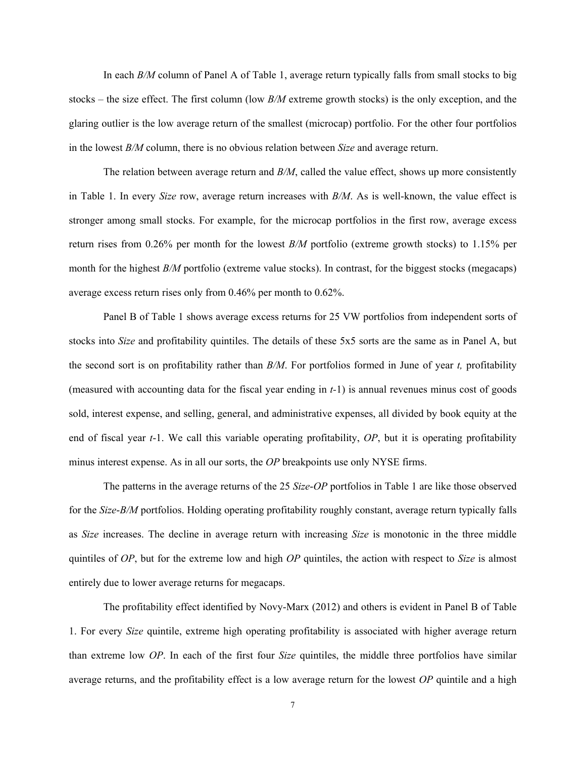In each *B/M* column of Panel A of Table 1, average return typically falls from small stocks to big stocks – the size effect. The first column (low *B/M* extreme growth stocks) is the only exception, and the glaring outlier is the low average return of the smallest (microcap) portfolio. For the other four portfolios in the lowest *B/M* column, there is no obvious relation between *Size* and average return.

The relation between average return and *B/M*, called the value effect, shows up more consistently in Table 1. In every *Size* row, average return increases with *B/M*. As is well-known, the value effect is stronger among small stocks. For example, for the microcap portfolios in the first row, average excess return rises from 0.26% per month for the lowest *B/M* portfolio (extreme growth stocks) to 1.15% per month for the highest *B/M* portfolio (extreme value stocks). In contrast, for the biggest stocks (megacaps) average excess return rises only from 0.46% per month to 0.62%.

 Panel B of Table 1 shows average excess returns for 25 VW portfolios from independent sorts of stocks into *Size* and profitability quintiles. The details of these 5x5 sorts are the same as in Panel A, but the second sort is on profitability rather than *B/M*. For portfolios formed in June of year *t,* profitability (measured with accounting data for the fiscal year ending in *t-*1) is annual revenues minus cost of goods sold, interest expense, and selling, general, and administrative expenses, all divided by book equity at the end of fiscal year *t*-1. We call this variable operating profitability, *OP*, but it is operating profitability minus interest expense. As in all our sorts, the *OP* breakpoints use only NYSE firms.

The patterns in the average returns of the 25 *Size*-*OP* portfolios in Table 1 are like those observed for the *Size*-*B/M* portfolios. Holding operating profitability roughly constant, average return typically falls as *Size* increases. The decline in average return with increasing *Size* is monotonic in the three middle quintiles of *OP*, but for the extreme low and high *OP* quintiles, the action with respect to *Size* is almost entirely due to lower average returns for megacaps.

The profitability effect identified by Novy-Marx (2012) and others is evident in Panel B of Table 1. For every *Size* quintile, extreme high operating profitability is associated with higher average return than extreme low *OP*. In each of the first four *Size* quintiles, the middle three portfolios have similar average returns, and the profitability effect is a low average return for the lowest *OP* quintile and a high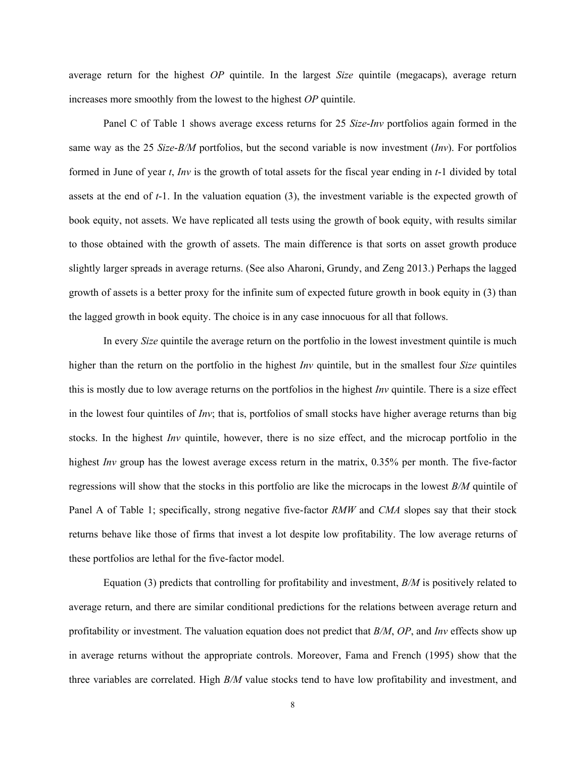average return for the highest *OP* quintile. In the largest *Size* quintile (megacaps), average return increases more smoothly from the lowest to the highest *OP* quintile.

Panel C of Table 1 shows average excess returns for 25 *Size*-*Inv* portfolios again formed in the same way as the 25 *Size*-*B/M* portfolios, but the second variable is now investment (*Inv*). For portfolios formed in June of year *t*, *Inv* is the growth of total assets for the fiscal year ending in *t*-1 divided by total assets at the end of *t*-1. In the valuation equation (3), the investment variable is the expected growth of book equity, not assets. We have replicated all tests using the growth of book equity, with results similar to those obtained with the growth of assets. The main difference is that sorts on asset growth produce slightly larger spreads in average returns. (See also Aharoni, Grundy, and Zeng 2013.) Perhaps the lagged growth of assets is a better proxy for the infinite sum of expected future growth in book equity in (3) than the lagged growth in book equity. The choice is in any case innocuous for all that follows.

In every *Size* quintile the average return on the portfolio in the lowest investment quintile is much higher than the return on the portfolio in the highest *Inv* quintile, but in the smallest four *Size* quintiles this is mostly due to low average returns on the portfolios in the highest *Inv* quintile. There is a size effect in the lowest four quintiles of *Inv*; that is, portfolios of small stocks have higher average returns than big stocks. In the highest *Inv* quintile, however, there is no size effect, and the microcap portfolio in the highest *Inv* group has the lowest average excess return in the matrix, 0.35% per month. The five-factor regressions will show that the stocks in this portfolio are like the microcaps in the lowest *B/M* quintile of Panel A of Table 1; specifically, strong negative five-factor *RMW* and *CMA* slopes say that their stock returns behave like those of firms that invest a lot despite low profitability. The low average returns of these portfolios are lethal for the five-factor model.

Equation (3) predicts that controlling for profitability and investment, *B/M* is positively related to average return, and there are similar conditional predictions for the relations between average return and profitability or investment. The valuation equation does not predict that *B/M*, *OP*, and *Inv* effects show up in average returns without the appropriate controls. Moreover, Fama and French (1995) show that the three variables are correlated. High *B/M* value stocks tend to have low profitability and investment, and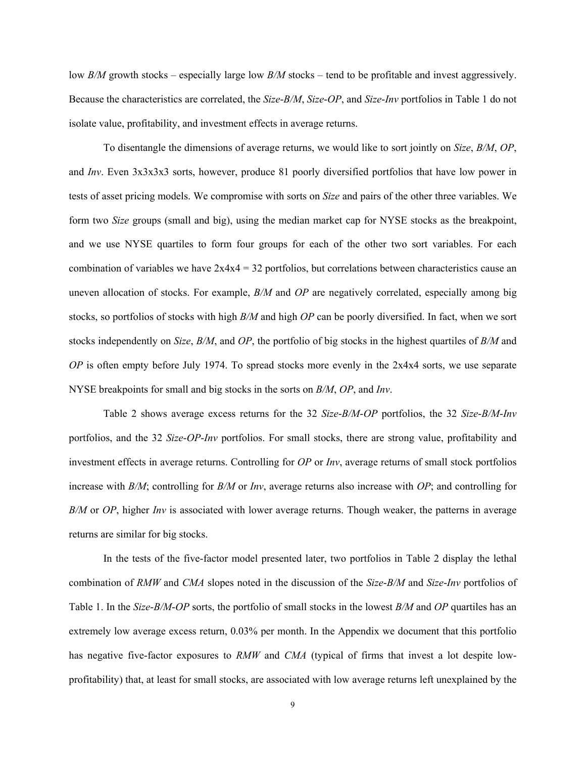low *B/M* growth stocks – especially large low *B/M* stocks – tend to be profitable and invest aggressively. Because the characteristics are correlated, the *Size*-*B/M*, *Size*-*OP*, and *Size*-*Inv* portfolios in Table 1 do not isolate value, profitability, and investment effects in average returns.

To disentangle the dimensions of average returns, we would like to sort jointly on *Size*, *B/M*, *OP*, and *Inv*. Even 3x3x3x3 sorts, however, produce 81 poorly diversified portfolios that have low power in tests of asset pricing models. We compromise with sorts on *Size* and pairs of the other three variables. We form two *Size* groups (small and big), using the median market cap for NYSE stocks as the breakpoint, and we use NYSE quartiles to form four groups for each of the other two sort variables. For each combination of variables we have  $2x4x4 = 32$  portfolios, but correlations between characteristics cause an uneven allocation of stocks. For example, *B/M* and *OP* are negatively correlated, especially among big stocks, so portfolios of stocks with high *B/M* and high *OP* can be poorly diversified. In fact, when we sort stocks independently on *Size*, *B/M*, and *OP*, the portfolio of big stocks in the highest quartiles of *B/M* and *OP* is often empty before July 1974. To spread stocks more evenly in the 2x4x4 sorts, we use separate NYSE breakpoints for small and big stocks in the sorts on *B/M*, *OP*, and *Inv*.

Table 2 shows average excess returns for the 32 *Size*-*B/M*-*OP* portfolios, the 32 *Size*-*B/M*-*Inv* portfolios, and the 32 *Size*-*OP*-*Inv* portfolios. For small stocks, there are strong value, profitability and investment effects in average returns. Controlling for *OP* or *Inv*, average returns of small stock portfolios increase with *B/M*; controlling for *B/M* or *Inv*, average returns also increase with *OP*; and controlling for *B/M* or *OP*, higher *Inv* is associated with lower average returns. Though weaker, the patterns in average returns are similar for big stocks.

In the tests of the five-factor model presented later, two portfolios in Table 2 display the lethal combination of *RMW* and *CMA* slopes noted in the discussion of the *Size*-*B/M* and *Size*-*Inv* portfolios of Table 1. In the *Size*-*B/M*-*OP* sorts, the portfolio of small stocks in the lowest *B/M* and *OP* quartiles has an extremely low average excess return, 0.03% per month. In the Appendix we document that this portfolio has negative five-factor exposures to *RMW* and *CMA* (typical of firms that invest a lot despite lowprofitability) that, at least for small stocks, are associated with low average returns left unexplained by the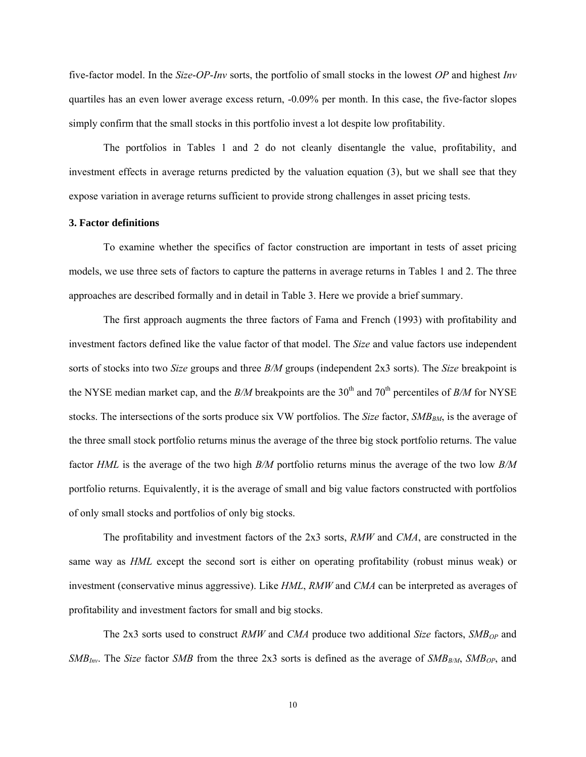five-factor model. In the *Size*-*OP*-*Inv* sorts, the portfolio of small stocks in the lowest *OP* and highest *Inv* quartiles has an even lower average excess return, -0.09% per month. In this case, the five-factor slopes simply confirm that the small stocks in this portfolio invest a lot despite low profitability.

The portfolios in Tables 1 and 2 do not cleanly disentangle the value, profitability, and investment effects in average returns predicted by the valuation equation (3), but we shall see that they expose variation in average returns sufficient to provide strong challenges in asset pricing tests.

# **3. Factor definitions**

To examine whether the specifics of factor construction are important in tests of asset pricing models, we use three sets of factors to capture the patterns in average returns in Tables 1 and 2. The three approaches are described formally and in detail in Table 3. Here we provide a brief summary.

The first approach augments the three factors of Fama and French (1993) with profitability and investment factors defined like the value factor of that model. The *Size* and value factors use independent sorts of stocks into two *Size* groups and three *B/M* groups (independent 2x3 sorts). The *Size* breakpoint is the NYSE median market cap, and the *B/M* breakpoints are the 30<sup>th</sup> and 70<sup>th</sup> percentiles of *B/M* for NYSE stocks. The intersections of the sorts produce six VW portfolios. The *Size* factor, *SMB<sub>BM</sub>*, is the average of the three small stock portfolio returns minus the average of the three big stock portfolio returns. The value factor *HML* is the average of the two high *B/M* portfolio returns minus the average of the two low *B/M* portfolio returns. Equivalently, it is the average of small and big value factors constructed with portfolios of only small stocks and portfolios of only big stocks.

The profitability and investment factors of the 2x3 sorts, *RMW* and *CMA*, are constructed in the same way as *HML* except the second sort is either on operating profitability (robust minus weak) or investment (conservative minus aggressive). Like *HML*, *RMW* and *CMA* can be interpreted as averages of profitability and investment factors for small and big stocks.

The 2x3 sorts used to construct *RMW* and *CMA* produce two additional *Size* factors, *SMB<sub>OP</sub>* and *SMB<sub>Inv</sub>*. The *Size* factor *SMB* from the three 2x3 sorts is defined as the average of *SMB<sub>B/M</sub>*, *SMB<sub>OP</sub>*, and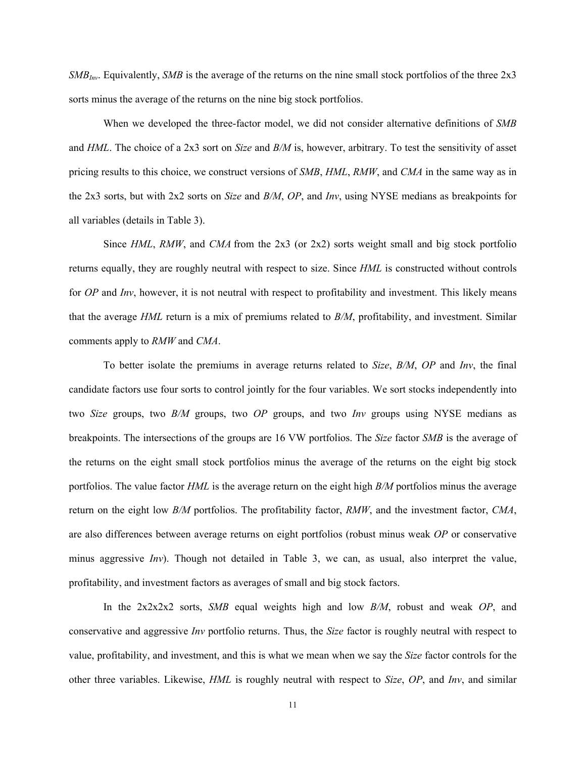*SMB<sub>Inv</sub>*. Equivalently, *SMB* is the average of the returns on the nine small stock portfolios of the three 2x3 sorts minus the average of the returns on the nine big stock portfolios.

When we developed the three-factor model, we did not consider alternative definitions of *SMB* and *HML*. The choice of a 2x3 sort on *Size* and *B/M* is, however, arbitrary. To test the sensitivity of asset pricing results to this choice, we construct versions of *SMB*, *HML*, *RMW*, and *CMA* in the same way as in the 2x3 sorts, but with 2x2 sorts on *Size* and *B/M*, *OP*, and *Inv*, using NYSE medians as breakpoints for all variables (details in Table 3).

Since *HML*, *RMW*, and *CMA* from the 2x3 (or 2x2) sorts weight small and big stock portfolio returns equally, they are roughly neutral with respect to size. Since *HML* is constructed without controls for *OP* and *Inv*, however, it is not neutral with respect to profitability and investment. This likely means that the average *HML* return is a mix of premiums related to *B/M*, profitability, and investment. Similar comments apply to *RMW* and *CMA*.

To better isolate the premiums in average returns related to *Size*, *B/M*, *OP* and *Inv*, the final candidate factors use four sorts to control jointly for the four variables. We sort stocks independently into two *Size* groups, two *B/M* groups, two *OP* groups, and two *Inv* groups using NYSE medians as breakpoints. The intersections of the groups are 16 VW portfolios. The *Size* factor *SMB* is the average of the returns on the eight small stock portfolios minus the average of the returns on the eight big stock portfolios. The value factor *HML* is the average return on the eight high *B/M* portfolios minus the average return on the eight low *B/M* portfolios. The profitability factor, *RMW*, and the investment factor, *CMA*, are also differences between average returns on eight portfolios (robust minus weak *OP* or conservative minus aggressive *Inv*). Though not detailed in Table 3, we can, as usual, also interpret the value, profitability, and investment factors as averages of small and big stock factors.

In the 2x2x2x2 sorts, *SMB* equal weights high and low *B/M*, robust and weak *OP*, and conservative and aggressive *Inv* portfolio returns. Thus, the *Size* factor is roughly neutral with respect to value, profitability, and investment, and this is what we mean when we say the *Size* factor controls for the other three variables. Likewise, *HML* is roughly neutral with respect to *Size*, *OP*, and *Inv*, and similar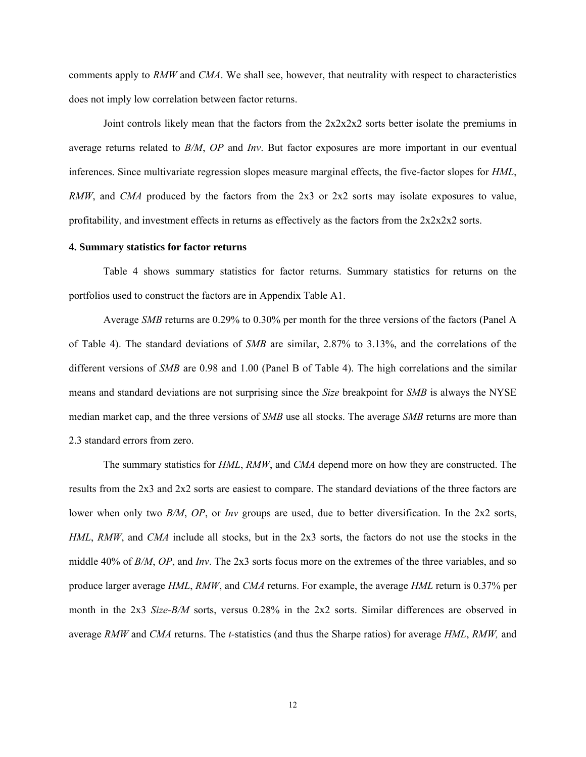comments apply to *RMW* and *CMA*. We shall see, however, that neutrality with respect to characteristics does not imply low correlation between factor returns.

Joint controls likely mean that the factors from the  $2x2x2x2$  sorts better isolate the premiums in average returns related to *B/M*, *OP* and *Inv*. But factor exposures are more important in our eventual inferences. Since multivariate regression slopes measure marginal effects, the five-factor slopes for *HML*, *RMW*, and *CMA* produced by the factors from the 2x3 or 2x2 sorts may isolate exposures to value, profitability, and investment effects in returns as effectively as the factors from the  $2x2x2x2$  sorts.

## **4. Summary statistics for factor returns**

 Table 4 shows summary statistics for factor returns. Summary statistics for returns on the portfolios used to construct the factors are in Appendix Table A1.

 Average *SMB* returns are 0.29% to 0.30% per month for the three versions of the factors (Panel A of Table 4). The standard deviations of *SMB* are similar, 2.87% to 3.13%, and the correlations of the different versions of *SMB* are 0.98 and 1.00 (Panel B of Table 4). The high correlations and the similar means and standard deviations are not surprising since the *Size* breakpoint for *SMB* is always the NYSE median market cap, and the three versions of *SMB* use all stocks. The average *SMB* returns are more than 2.3 standard errors from zero.

 The summary statistics for *HML*, *RMW*, and *CMA* depend more on how they are constructed. The results from the 2x3 and 2x2 sorts are easiest to compare. The standard deviations of the three factors are lower when only two *B/M*, *OP*, or *Inv* groups are used, due to better diversification. In the 2x2 sorts, *HML*, *RMW*, and *CMA* include all stocks, but in the 2x3 sorts, the factors do not use the stocks in the middle 40% of *B/M*, *OP*, and *Inv*. The 2x3 sorts focus more on the extremes of the three variables, and so produce larger average *HML*, *RMW*, and *CMA* returns. For example, the average *HML* return is 0.37% per month in the 2x3 *Size*-*B/M* sorts, versus 0.28% in the 2x2 sorts. Similar differences are observed in average *RMW* and *CMA* returns. The *t-*statistics (and thus the Sharpe ratios) for average *HML*, *RMW,* and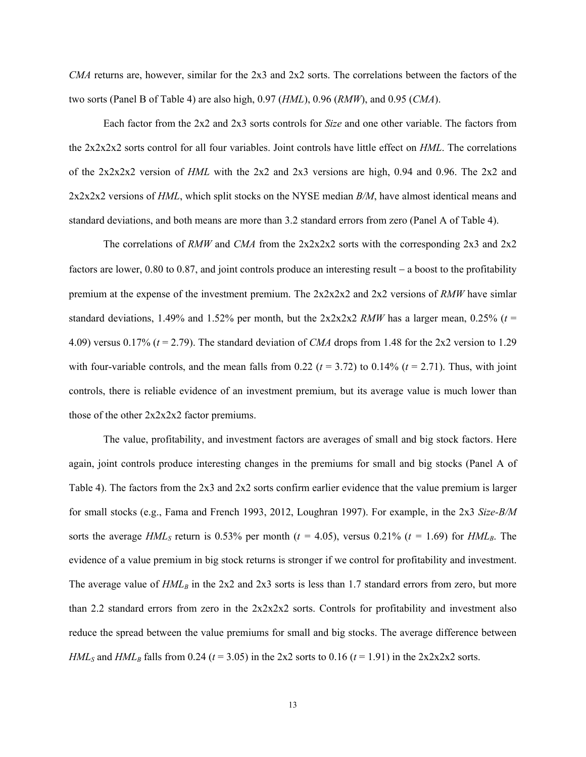*CMA* returns are, however, similar for the 2x3 and 2x2 sorts. The correlations between the factors of the two sorts (Panel B of Table 4) are also high, 0.97 (*HML*), 0.96 (*RMW*), and 0.95 (*CMA*).

 Each factor from the 2x2 and 2x3 sorts controls for *Size* and one other variable. The factors from the 2x2x2x2 sorts control for all four variables. Joint controls have little effect on *HML*. The correlations of the 2x2x2x2 version of *HML* with the 2x2 and 2x3 versions are high, 0.94 and 0.96. The 2x2 and 2x2x2x2 versions of *HML*, which split stocks on the NYSE median *B/M*, have almost identical means and standard deviations, and both means are more than 3.2 standard errors from zero (Panel A of Table 4).

The correlations of *RMW* and *CMA* from the 2x2x2x2 sorts with the corresponding 2x3 and 2x2 factors are lower, 0.80 to 0.87, and joint controls produce an interesting result  $-$  a boost to the profitability premium at the expense of the investment premium. The 2x2x2x2 and 2x2 versions of *RMW* have simlar standard deviations, 1.49% and 1.52% per month, but the  $2x2x2x2$  *RMW* has a larger mean, 0.25% ( $t =$ 4.09) versus 0.17% (*t* = 2.79). The standard deviation of *CMA* drops from 1.48 for the 2x2 version to 1.29 with four-variable controls, and the mean falls from  $0.22$  ( $t = 3.72$ ) to  $0.14\%$  ( $t = 2.71$ ). Thus, with joint controls, there is reliable evidence of an investment premium, but its average value is much lower than those of the other 2x2x2x2 factor premiums.

The value, profitability, and investment factors are averages of small and big stock factors. Here again, joint controls produce interesting changes in the premiums for small and big stocks (Panel A of Table 4). The factors from the 2x3 and 2x2 sorts confirm earlier evidence that the value premium is larger for small stocks (e.g., Fama and French 1993, 2012, Loughran 1997). For example, in the 2x3 *Size-B/M* sorts the average  $HML<sub>S</sub>$  return is 0.53% per month ( $t = 4.05$ ), versus 0.21% ( $t = 1.69$ ) for  $HML<sub>B</sub>$ . The evidence of a value premium in big stock returns is stronger if we control for profitability and investment. The average value of  $HML<sub>B</sub>$  in the 2x2 and 2x3 sorts is less than 1.7 standard errors from zero, but more than 2.2 standard errors from zero in the 2x2x2x2 sorts. Controls for profitability and investment also reduce the spread between the value premiums for small and big stocks. The average difference between *HML<sub>S</sub>* and *HML<sub>B</sub>* falls from 0.24 ( $t = 3.05$ ) in the 2x2 sorts to 0.16 ( $t = 1.91$ ) in the 2x2x2x2 sorts.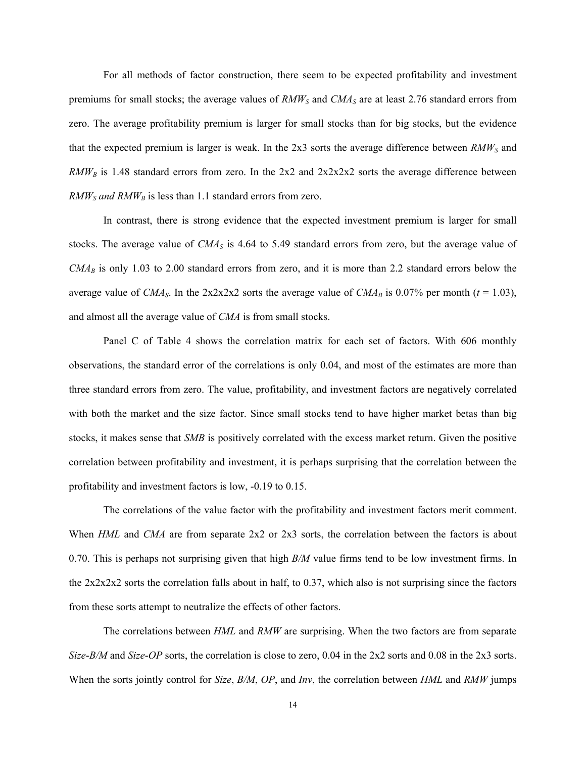For all methods of factor construction, there seem to be expected profitability and investment premiums for small stocks; the average values of *RMW<sub>S</sub>* and *CMA<sub>S</sub>* are at least 2.76 standard errors from zero. The average profitability premium is larger for small stocks than for big stocks, but the evidence that the expected premium is larger is weak. In the  $2x3$  sorts the average difference between  $RMW<sub>S</sub>$  and *RMW<sub>B</sub>* is 1.48 standard errors from zero. In the 2x2 and 2x2x2x2 sorts the average difference between  $RMW_S$  and  $RMW_B$  is less than 1.1 standard errors from zero.

In contrast, there is strong evidence that the expected investment premium is larger for small stocks. The average value of *CMA<sub>S</sub>* is 4.64 to 5.49 standard errors from zero, but the average value of *CMA<sub>B</sub>* is only 1.03 to 2.00 standard errors from zero, and it is more than 2.2 standard errors below the average value of *CMA<sub>S</sub>*. In the 2x2x2x2 sorts the average value of *CMA<sub>B</sub>* is 0.07% per month ( $t = 1.03$ ), and almost all the average value of *CMA* is from small stocks.

 Panel C of Table 4 shows the correlation matrix for each set of factors. With 606 monthly observations, the standard error of the correlations is only 0.04, and most of the estimates are more than three standard errors from zero. The value, profitability, and investment factors are negatively correlated with both the market and the size factor. Since small stocks tend to have higher market betas than big stocks, it makes sense that *SMB* is positively correlated with the excess market return. Given the positive correlation between profitability and investment, it is perhaps surprising that the correlation between the profitability and investment factors is low, -0.19 to 0.15.

The correlations of the value factor with the profitability and investment factors merit comment. When *HML* and *CMA* are from separate 2x2 or 2x3 sorts, the correlation between the factors is about 0.70. This is perhaps not surprising given that high *B/M* value firms tend to be low investment firms. In the 2x2x2x2 sorts the correlation falls about in half, to 0.37, which also is not surprising since the factors from these sorts attempt to neutralize the effects of other factors.

The correlations between *HML* and *RMW* are surprising. When the two factors are from separate *Size*-*B/M* and *Size*-*OP* sorts, the correlation is close to zero, 0.04 in the 2x2 sorts and 0.08 in the 2x3 sorts. When the sorts jointly control for *Size*, *B/M*, *OP*, and *Inv*, the correlation between *HML* and *RMW* jumps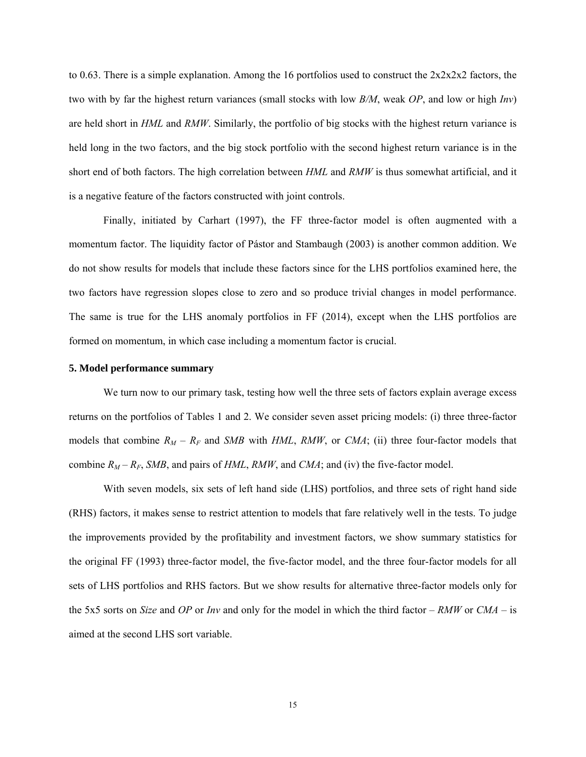to 0.63. There is a simple explanation. Among the 16 portfolios used to construct the  $2x2x2x2$  factors, the two with by far the highest return variances (small stocks with low *B/M*, weak *OP*, and low or high *Inv*) are held short in *HML* and *RMW*. Similarly, the portfolio of big stocks with the highest return variance is held long in the two factors, and the big stock portfolio with the second highest return variance is in the short end of both factors. The high correlation between *HML* and *RMW* is thus somewhat artificial, and it is a negative feature of the factors constructed with joint controls.

Finally, initiated by Carhart (1997), the FF three-factor model is often augmented with a momentum factor. The liquidity factor of Pástor and Stambaugh (2003) is another common addition. We do not show results for models that include these factors since for the LHS portfolios examined here, the two factors have regression slopes close to zero and so produce trivial changes in model performance. The same is true for the LHS anomaly portfolios in FF (2014), except when the LHS portfolios are formed on momentum, in which case including a momentum factor is crucial.

## **5. Model performance summary**

We turn now to our primary task, testing how well the three sets of factors explain average excess returns on the portfolios of Tables 1 and 2. We consider seven asset pricing models: (i) three three-factor models that combine  $R_M - R_F$  and *SMB* with *HML*, *RMW*, or *CMA*; (ii) three four-factor models that combine  $R_M - R_F$ , *SMB*, and pairs of *HML*, *RMW*, and *CMA*; and (iv) the five-factor model.

With seven models, six sets of left hand side (LHS) portfolios, and three sets of right hand side (RHS) factors, it makes sense to restrict attention to models that fare relatively well in the tests. To judge the improvements provided by the profitability and investment factors, we show summary statistics for the original FF (1993) three-factor model, the five-factor model, and the three four-factor models for all sets of LHS portfolios and RHS factors. But we show results for alternative three-factor models only for the 5x5 sorts on *Size* and *OP* or *Inv* and only for the model in which the third factor – *RMW* or *CMA* – is aimed at the second LHS sort variable.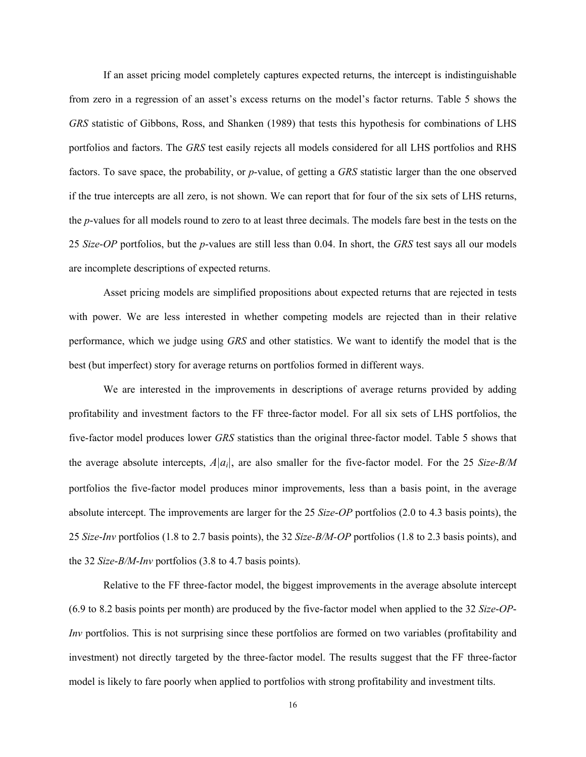If an asset pricing model completely captures expected returns, the intercept is indistinguishable from zero in a regression of an asset's excess returns on the model's factor returns. Table 5 shows the *GRS* statistic of Gibbons, Ross, and Shanken (1989) that tests this hypothesis for combinations of LHS portfolios and factors. The *GRS* test easily rejects all models considered for all LHS portfolios and RHS factors. To save space, the probability, or *p*-value, of getting a *GRS* statistic larger than the one observed if the true intercepts are all zero, is not shown. We can report that for four of the six sets of LHS returns, the *p*-values for all models round to zero to at least three decimals. The models fare best in the tests on the 25 *Size*-*OP* portfolios, but the *p*-values are still less than 0.04. In short, the *GRS* test says all our models are incomplete descriptions of expected returns.

 Asset pricing models are simplified propositions about expected returns that are rejected in tests with power. We are less interested in whether competing models are rejected than in their relative performance, which we judge using *GRS* and other statistics. We want to identify the model that is the best (but imperfect) story for average returns on portfolios formed in different ways.

We are interested in the improvements in descriptions of average returns provided by adding profitability and investment factors to the FF three-factor model. For all six sets of LHS portfolios, the five-factor model produces lower *GRS* statistics than the original three-factor model. Table 5 shows that the average absolute intercepts, *A|ai|*, are also smaller for the five-factor model. For the 25 *Size*-*B/M* portfolios the five-factor model produces minor improvements, less than a basis point, in the average absolute intercept. The improvements are larger for the 25 *Size*-*OP* portfolios (2.0 to 4.3 basis points), the 25 *Size*-*Inv* portfolios (1.8 to 2.7 basis points), the 32 *Size-B/M-OP* portfolios (1.8 to 2.3 basis points), and the 32 *Size*-*B/M*-*Inv* portfolios (3.8 to 4.7 basis points).

Relative to the FF three-factor model, the biggest improvements in the average absolute intercept (6.9 to 8.2 basis points per month) are produced by the five-factor model when applied to the 32 *Size*-*OP*-*Inv* portfolios. This is not surprising since these portfolios are formed on two variables (profitability and investment) not directly targeted by the three-factor model. The results suggest that the FF three-factor model is likely to fare poorly when applied to portfolios with strong profitability and investment tilts.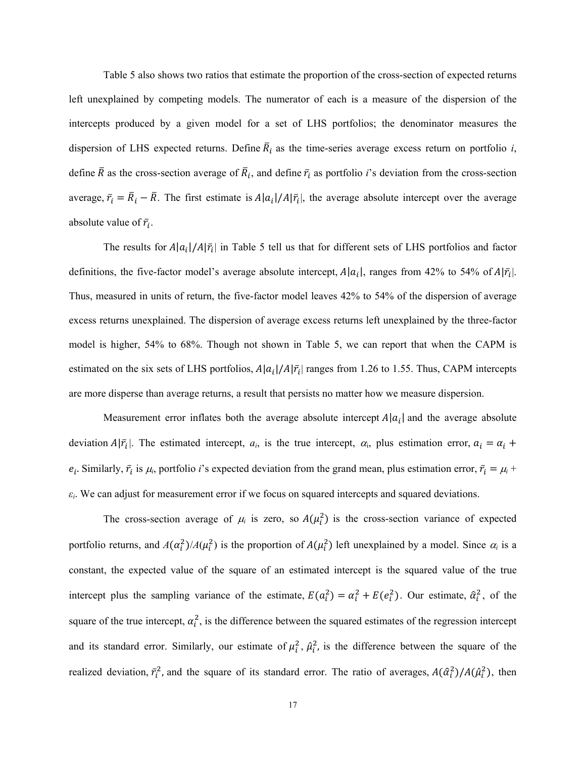Table 5 also shows two ratios that estimate the proportion of the cross-section of expected returns left unexplained by competing models. The numerator of each is a measure of the dispersion of the intercepts produced by a given model for a set of LHS portfolios; the denominator measures the dispersion of LHS expected returns. Define  $\overline{R}_i$  as the time-series average excess return on portfolio *i*, define  $\bar{R}$  as the cross-section average of  $\bar{R}_i$ , and define  $\bar{r}_i$  as portfolio *i*'s deviation from the cross-section average,  $\bar{r}_i = \bar{R}_i - \bar{R}$ . The first estimate is  $A|a_i|/A|\bar{r}_i|$ , the average absolute intercept over the average absolute value of  $\bar{r}_i$ .

The results for  $A|a_i|/A|\bar{r}_i|$  in Table 5 tell us that for different sets of LHS portfolios and factor definitions, the five-factor model's average absolute intercept,  $A|a_i|$ , ranges from 42% to 54% of  $A|\bar{r}_i|$ . Thus, measured in units of return, the five-factor model leaves 42% to 54% of the dispersion of average excess returns unexplained. The dispersion of average excess returns left unexplained by the three-factor model is higher, 54% to 68%. Though not shown in Table 5, we can report that when the CAPM is estimated on the six sets of LHS portfolios,  $A|a_i|/A|\bar{r}_i|$  ranges from 1.26 to 1.55. Thus, CAPM intercepts are more disperse than average returns, a result that persists no matter how we measure dispersion.

Measurement error inflates both the average absolute intercept  $A|a_i|$  and the average absolute deviation  $A|\bar{r}_i|$ . The estimated intercept,  $a_i$ , is the true intercept,  $\alpha_i$ , plus estimation error,  $a_i = \alpha_i +$  $e_i$ . Similarly,  $\bar{r}_i$  is  $\mu_i$ , portfolio *i*'s expected deviation from the grand mean, plus estimation error,  $\bar{r}_i = \mu_i$  + *εi*. We can adjust for measurement error if we focus on squared intercepts and squared deviations.

The cross-section average of  $\mu_i$  is zero, so  $A(\mu_i^2)$  is the cross-section variance of expected portfolio returns, and  $A(\alpha_i^2)/A(\mu_i^2)$  is the proportion of  $A(\mu_i^2)$  left unexplained by a model. Since  $\alpha_i$  is a constant, the expected value of the square of an estimated intercept is the squared value of the true intercept plus the sampling variance of the estimate,  $E(a_i^2) = a_i^2 + E(e_i^2)$ . Our estimate,  $\hat{a}_i^2$ , of the square of the true intercept,  $\alpha_i^2$ , is the difference between the squared estimates of the regression intercept and its standard error. Similarly, our estimate of  $\mu_i^2$ ,  $\hat{\mu}_i^2$ , is the difference between the square of the realized deviation,  $\bar{r}_i^2$ , and the square of its standard error. The ratio of averages,  $A(\hat{a}_i^2)/A(\hat{\mu}_i^2)$ , then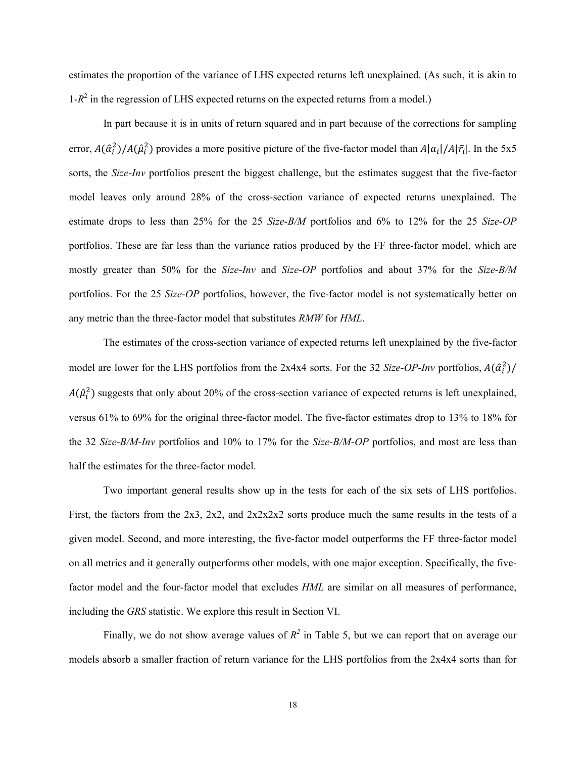estimates the proportion of the variance of LHS expected returns left unexplained. (As such, it is akin to  $1-R^2$  in the regression of LHS expected returns on the expected returns from a model.)

In part because it is in units of return squared and in part because of the corrections for sampling error,  $A(\hat{\alpha}_i^2)/A(\hat{\mu}_i^2)$  provides a more positive picture of the five-factor model than  $A|a_i|/A|\bar{r}_i$ . In the 5x5 sorts, the *Size*-*Inv* portfolios present the biggest challenge, but the estimates suggest that the five-factor model leaves only around 28% of the cross-section variance of expected returns unexplained. The estimate drops to less than 25% for the 25 *Size*-*B/M* portfolios and 6% to 12% for the 25 *Size*-*OP* portfolios. These are far less than the variance ratios produced by the FF three-factor model, which are mostly greater than 50% for the *Size*-*Inv* and *Size*-*OP* portfolios and about 37% for the *Size*-*B/M* portfolios. For the 25 *Size*-*OP* portfolios, however, the five-factor model is not systematically better on any metric than the three-factor model that substitutes *RMW* for *HML*.

The estimates of the cross-section variance of expected returns left unexplained by the five-factor model are lower for the LHS portfolios from the 2x4x4 sorts. For the 32 *Size-OP-Inv* portfolios,  $A(\hat{a}_i^2)$ /  $A(\hat{\mu}_i^2)$  suggests that only about 20% of the cross-section variance of expected returns is left unexplained, versus 61% to 69% for the original three-factor model. The five-factor estimates drop to 13% to 18% for the 32 *Size*-*B/M*-*Inv* portfolios and 10% to 17% for the *Size*-*B/M*-*OP* portfolios, and most are less than half the estimates for the three-factor model.

Two important general results show up in the tests for each of the six sets of LHS portfolios. First, the factors from the 2x3, 2x2, and  $2x2x2x2$  sorts produce much the same results in the tests of a given model. Second, and more interesting, the five-factor model outperforms the FF three-factor model on all metrics and it generally outperforms other models, with one major exception. Specifically, the fivefactor model and the four-factor model that excludes *HML* are similar on all measures of performance, including the *GRS* statistic. We explore this result in Section VI.

Finally, we do not show average values of  $R^2$  in Table 5, but we can report that on average our models absorb a smaller fraction of return variance for the LHS portfolios from the 2x4x4 sorts than for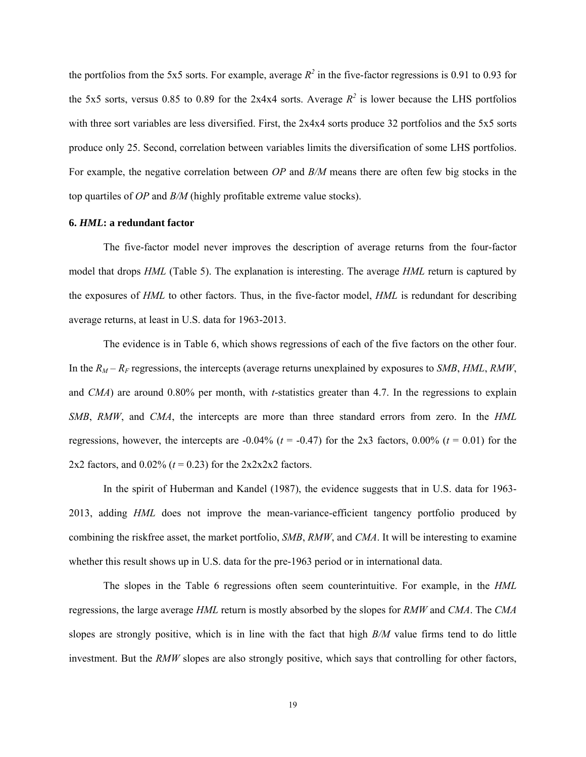the portfolios from the 5x5 sorts. For example, average  $R^2$  in the five-factor regressions is 0.91 to 0.93 for the 5x5 sorts, versus 0.85 to 0.89 for the 2x4x4 sorts. Average  $R^2$  is lower because the LHS portfolios with three sort variables are less diversified. First, the 2x4x4 sorts produce 32 portfolios and the 5x5 sorts produce only 25. Second, correlation between variables limits the diversification of some LHS portfolios. For example, the negative correlation between *OP* and *B/M* means there are often few big stocks in the top quartiles of *OP* and *B/M* (highly profitable extreme value stocks).

# **6.** *HML***: a redundant factor**

The five-factor model never improves the description of average returns from the four-factor model that drops *HML* (Table 5). The explanation is interesting. The average *HML* return is captured by the exposures of *HML* to other factors. Thus, in the five-factor model, *HML* is redundant for describing average returns, at least in U.S. data for 1963-2013.

The evidence is in Table 6, which shows regressions of each of the five factors on the other four. In the  $R_M - R_F$  regressions, the intercepts (average returns unexplained by exposures to *SMB*, *HML*, *RMW*, and *CMA*) are around 0.80% per month, with *t*-statistics greater than 4.7. In the regressions to explain *SMB*, *RMW*, and *CMA*, the intercepts are more than three standard errors from zero. In the *HML* regressions, however, the intercepts are  $-0.04\%$  ( $t = -0.47$ ) for the 2x3 factors, 0.00% ( $t = 0.01$ ) for the 2x2 factors, and  $0.02\%$  ( $t = 0.23$ ) for the 2x2x2x2 factors.

In the spirit of Huberman and Kandel (1987), the evidence suggests that in U.S. data for 1963- 2013, adding *HML* does not improve the mean-variance-efficient tangency portfolio produced by combining the riskfree asset, the market portfolio, *SMB*, *RMW*, and *CMA*. It will be interesting to examine whether this result shows up in U.S. data for the pre-1963 period or in international data.

The slopes in the Table 6 regressions often seem counterintuitive. For example, in the *HML* regressions, the large average *HML* return is mostly absorbed by the slopes for *RMW* and *CMA*. The *CMA* slopes are strongly positive, which is in line with the fact that high *B/M* value firms tend to do little investment. But the *RMW* slopes are also strongly positive, which says that controlling for other factors,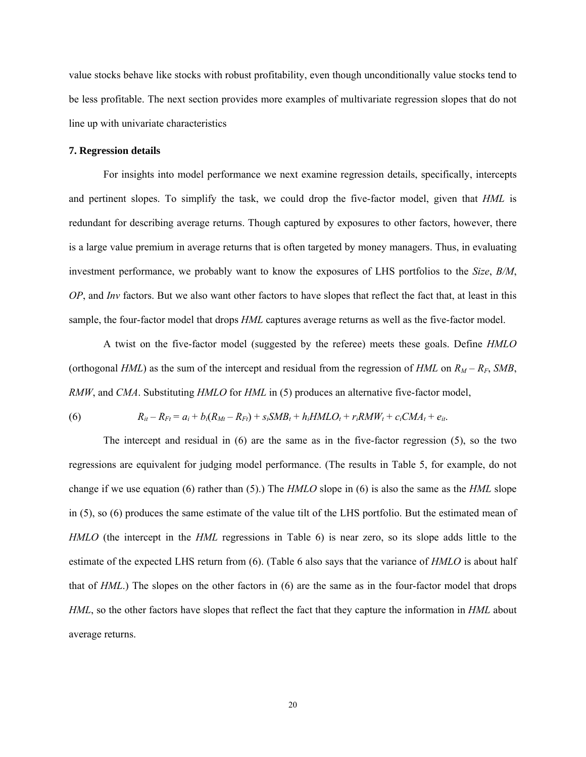value stocks behave like stocks with robust profitability, even though unconditionally value stocks tend to be less profitable. The next section provides more examples of multivariate regression slopes that do not line up with univariate characteristics

## **7. Regression details**

For insights into model performance we next examine regression details, specifically, intercepts and pertinent slopes. To simplify the task, we could drop the five-factor model, given that *HML* is redundant for describing average returns. Though captured by exposures to other factors, however, there is a large value premium in average returns that is often targeted by money managers. Thus, in evaluating investment performance, we probably want to know the exposures of LHS portfolios to the *Size*, *B/M*, *OP*, and *Inv* factors. But we also want other factors to have slopes that reflect the fact that, at least in this sample, the four-factor model that drops *HML* captures average returns as well as the five-factor model.

A twist on the five-factor model (suggested by the referee) meets these goals. Define *HMLO* (orthogonal *HML*) as the sum of the intercept and residual from the regression of *HML* on  $R_M - R_F$ , *SMB*, *RMW*, and *CMA*. Substituting *HMLO* for *HML* in (5) produces an alternative five-factor model,

(6) 
$$
R_{it} - R_{Ft} = a_i + b_i(R_{Mt} - R_{Ft}) + s_iSMB_t + h_iHMLO_t + r_iRMW_t + c_iCMA_t + e_{it}.
$$

The intercept and residual in (6) are the same as in the five-factor regression (5), so the two regressions are equivalent for judging model performance. (The results in Table 5, for example, do not change if we use equation (6) rather than (5).) The *HMLO* slope in (6) is also the same as the *HML* slope in (5), so (6) produces the same estimate of the value tilt of the LHS portfolio. But the estimated mean of *HMLO* (the intercept in the *HML* regressions in Table 6) is near zero, so its slope adds little to the estimate of the expected LHS return from (6). (Table 6 also says that the variance of *HMLO* is about half that of *HML*.) The slopes on the other factors in (6) are the same as in the four-factor model that drops *HML*, so the other factors have slopes that reflect the fact that they capture the information in *HML* about average returns.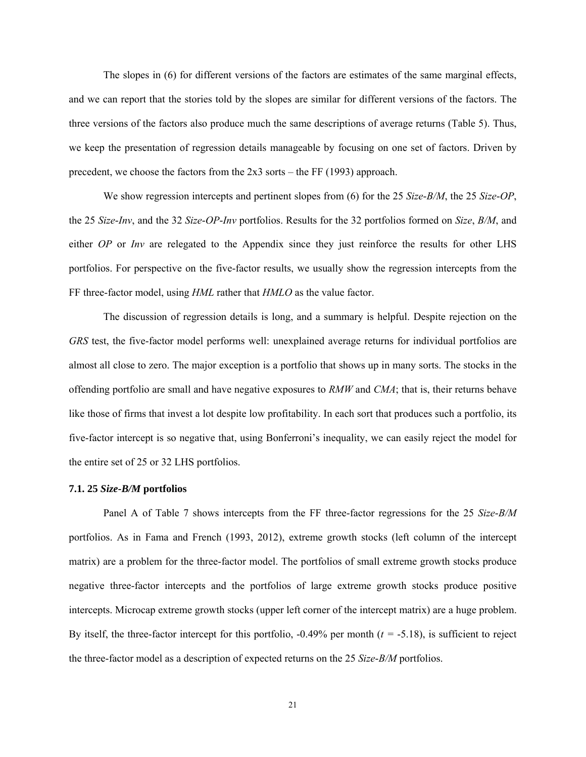The slopes in (6) for different versions of the factors are estimates of the same marginal effects, and we can report that the stories told by the slopes are similar for different versions of the factors. The three versions of the factors also produce much the same descriptions of average returns (Table 5). Thus, we keep the presentation of regression details manageable by focusing on one set of factors. Driven by precedent, we choose the factors from the 2x3 sorts – the FF (1993) approach.

We show regression intercepts and pertinent slopes from (6) for the 25 *Size*-*B/M*, the 25 *Size*-*OP*, the 25 *Size*-*Inv*, and the 32 *Size*-*OP*-*Inv* portfolios. Results for the 32 portfolios formed on *Size*, *B/M*, and either *OP* or *Inv* are relegated to the Appendix since they just reinforce the results for other LHS portfolios. For perspective on the five-factor results, we usually show the regression intercepts from the FF three-factor model, using *HML* rather that *HMLO* as the value factor.

The discussion of regression details is long, and a summary is helpful. Despite rejection on the *GRS* test, the five-factor model performs well: unexplained average returns for individual portfolios are almost all close to zero. The major exception is a portfolio that shows up in many sorts. The stocks in the offending portfolio are small and have negative exposures to *RMW* and *CMA*; that is, their returns behave like those of firms that invest a lot despite low profitability. In each sort that produces such a portfolio, its five-factor intercept is so negative that, using Bonferroni's inequality, we can easily reject the model for the entire set of 25 or 32 LHS portfolios.

### **7.1. 25** *Size***-***B/M* **portfolios**

Panel A of Table 7 shows intercepts from the FF three-factor regressions for the 25 *Size*-*B/M* portfolios. As in Fama and French (1993, 2012), extreme growth stocks (left column of the intercept matrix) are a problem for the three-factor model. The portfolios of small extreme growth stocks produce negative three-factor intercepts and the portfolios of large extreme growth stocks produce positive intercepts. Microcap extreme growth stocks (upper left corner of the intercept matrix) are a huge problem. By itself, the three-factor intercept for this portfolio,  $-0.49\%$  per month ( $t = -5.18$ ), is sufficient to reject the three-factor model as a description of expected returns on the 25 *Size*-*B/M* portfolios.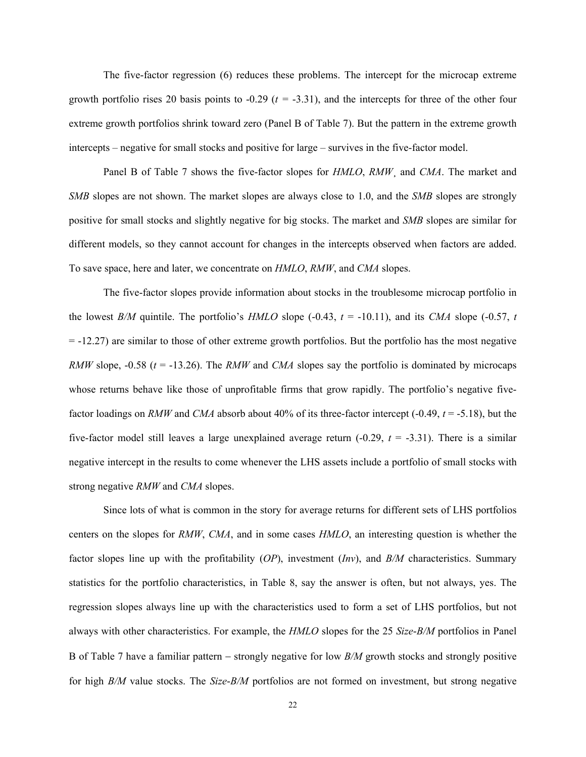The five-factor regression (6) reduces these problems. The intercept for the microcap extreme growth portfolio rises 20 basis points to -0.29 (*t =* -3.31), and the intercepts for three of the other four extreme growth portfolios shrink toward zero (Panel B of Table 7). But the pattern in the extreme growth intercepts – negative for small stocks and positive for large – survives in the five-factor model.

 Panel B of Table 7 shows the five-factor slopes for *HMLO*, *RMW*¸ and *CMA*. The market and *SMB* slopes are not shown. The market slopes are always close to 1.0, and the *SMB* slopes are strongly positive for small stocks and slightly negative for big stocks. The market and *SMB* slopes are similar for different models, so they cannot account for changes in the intercepts observed when factors are added. To save space, here and later, we concentrate on *HMLO*, *RMW*, and *CMA* slopes.

The five-factor slopes provide information about stocks in the troublesome microcap portfolio in the lowest *B/M* quintile. The portfolio's *HMLO* slope  $(-0.43, t = -10.11)$ , and its *CMA* slope  $(-0.57, t$ = -12.27) are similar to those of other extreme growth portfolios. But the portfolio has the most negative *RMW* slope, -0.58 (*t* = -13.26). The *RMW* and *CMA* slopes say the portfolio is dominated by microcaps whose returns behave like those of unprofitable firms that grow rapidly. The portfolio's negative fivefactor loadings on *RMW* and *CMA* absorb about 40% of its three-factor intercept (-0.49,  $t = -5.18$ ), but the five-factor model still leaves a large unexplained average return (-0.29, *t* = -3.31). There is a similar negative intercept in the results to come whenever the LHS assets include a portfolio of small stocks with strong negative *RMW* and *CMA* slopes.

Since lots of what is common in the story for average returns for different sets of LHS portfolios centers on the slopes for *RMW*, *CMA*, and in some cases *HMLO*, an interesting question is whether the factor slopes line up with the profitability (*OP*), investment (*Inv*), and *B/M* characteristics. Summary statistics for the portfolio characteristics, in Table 8, say the answer is often, but not always, yes. The regression slopes always line up with the characteristics used to form a set of LHS portfolios, but not always with other characteristics. For example, the *HMLO* slopes for the 25 *Size*-*B/M* portfolios in Panel B of Table 7 have a familiar pattern – strongly negative for low *B/M* growth stocks and strongly positive for high *B/M* value stocks. The *Size*-*B/M* portfolios are not formed on investment, but strong negative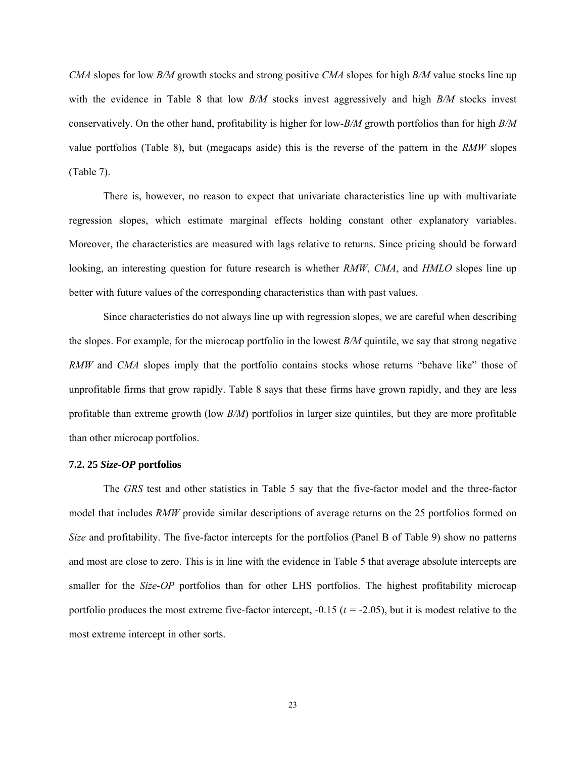*CMA* slopes for low *B/M* growth stocks and strong positive *CMA* slopes for high *B/M* value stocks line up with the evidence in Table 8 that low *B/M* stocks invest aggressively and high *B/M* stocks invest conservatively. On the other hand, profitability is higher for low-*B/M* growth portfolios than for high *B/M* value portfolios (Table 8), but (megacaps aside) this is the reverse of the pattern in the *RMW* slopes (Table 7).

There is, however, no reason to expect that univariate characteristics line up with multivariate regression slopes, which estimate marginal effects holding constant other explanatory variables. Moreover, the characteristics are measured with lags relative to returns. Since pricing should be forward looking, an interesting question for future research is whether *RMW*, *CMA*, and *HMLO* slopes line up better with future values of the corresponding characteristics than with past values.

Since characteristics do not always line up with regression slopes, we are careful when describing the slopes. For example, for the microcap portfolio in the lowest *B/M* quintile, we say that strong negative *RMW* and *CMA* slopes imply that the portfolio contains stocks whose returns "behave like" those of unprofitable firms that grow rapidly. Table 8 says that these firms have grown rapidly, and they are less profitable than extreme growth (low *B/M*) portfolios in larger size quintiles, but they are more profitable than other microcap portfolios.

### **7.2. 25** *Size***-***OP* **portfolios**

The *GRS* test and other statistics in Table 5 say that the five-factor model and the three-factor model that includes *RMW* provide similar descriptions of average returns on the 25 portfolios formed on *Size* and profitability. The five-factor intercepts for the portfolios (Panel B of Table 9) show no patterns and most are close to zero. This is in line with the evidence in Table 5 that average absolute intercepts are smaller for the *Size*-*OP* portfolios than for other LHS portfolios. The highest profitability microcap portfolio produces the most extreme five-factor intercept, -0.15 (*t =* -2.05), but it is modest relative to the most extreme intercept in other sorts.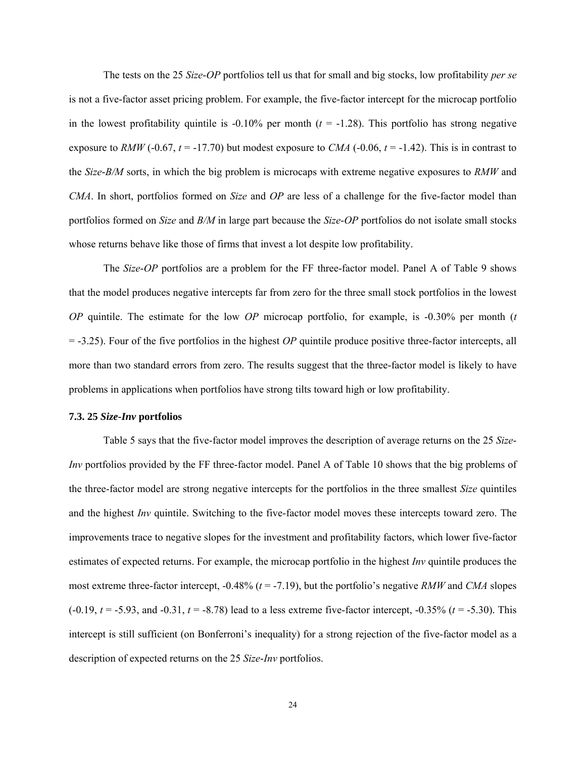The tests on the 25 *Size*-*OP* portfolios tell us that for small and big stocks, low profitability *per se* is not a five-factor asset pricing problem. For example, the five-factor intercept for the microcap portfolio in the lowest profitability quintile is  $-0.10\%$  per month ( $t = -1.28$ ). This portfolio has strong negative exposure to *RMW* (-0.67,  $t = -17.70$ ) but modest exposure to *CMA* (-0.06,  $t = -1.42$ ). This is in contrast to the *Size*-*B/M* sorts, in which the big problem is microcaps with extreme negative exposures to *RMW* and *CMA*. In short, portfolios formed on *Size* and *OP* are less of a challenge for the five-factor model than portfolios formed on *Size* and *B/M* in large part because the *Size*-*OP* portfolios do not isolate small stocks whose returns behave like those of firms that invest a lot despite low profitability.

The *Size*-*OP* portfolios are a problem for the FF three-factor model. Panel A of Table 9 shows that the model produces negative intercepts far from zero for the three small stock portfolios in the lowest *OP* quintile. The estimate for the low *OP* microcap portfolio, for example, is -0.30% per month (*t* = -3.25). Four of the five portfolios in the highest *OP* quintile produce positive three-factor intercepts, all more than two standard errors from zero. The results suggest that the three-factor model is likely to have problems in applications when portfolios have strong tilts toward high or low profitability.

### **7.3. 25** *Size***-***Inv* **portfolios**

Table 5 says that the five-factor model improves the description of average returns on the 25 *Size*-*Inv* portfolios provided by the FF three-factor model. Panel A of Table 10 shows that the big problems of the three-factor model are strong negative intercepts for the portfolios in the three smallest *Size* quintiles and the highest *Inv* quintile. Switching to the five-factor model moves these intercepts toward zero. The improvements trace to negative slopes for the investment and profitability factors, which lower five-factor estimates of expected returns. For example, the microcap portfolio in the highest *Inv* quintile produces the most extreme three-factor intercept, -0.48% (*t* = -7.19), but the portfolio's negative *RMW* and *CMA* slopes  $(-0.19, t = -5.93, \text{ and } -0.31, t = -8.78)$  lead to a less extreme five-factor intercept,  $-0.35\%$  ( $t = -5.30$ ). This intercept is still sufficient (on Bonferroni's inequality) for a strong rejection of the five-factor model as a description of expected returns on the 25 *Size*-*Inv* portfolios.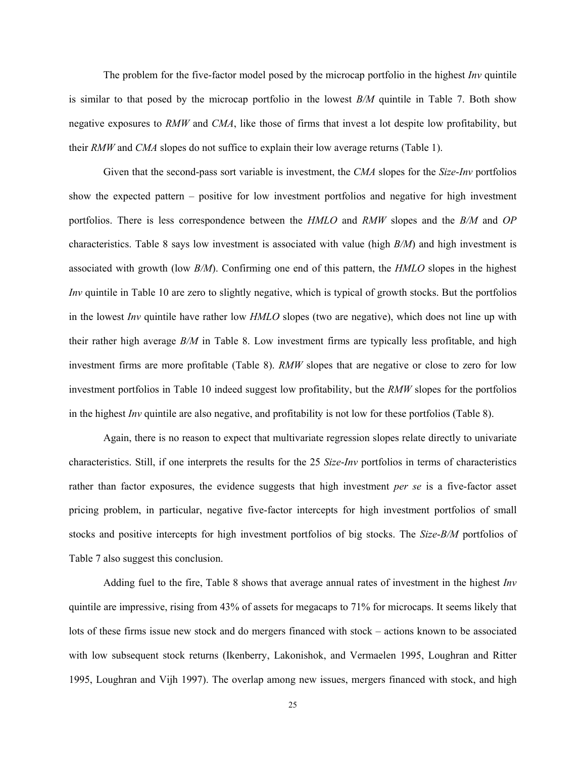The problem for the five-factor model posed by the microcap portfolio in the highest *Inv* quintile is similar to that posed by the microcap portfolio in the lowest *B/M* quintile in Table 7. Both show negative exposures to *RMW* and *CMA*, like those of firms that invest a lot despite low profitability, but their *RMW* and *CMA* slopes do not suffice to explain their low average returns (Table 1).

Given that the second-pass sort variable is investment, the *CMA* slopes for the *Size*-*Inv* portfolios show the expected pattern – positive for low investment portfolios and negative for high investment portfolios. There is less correspondence between the *HMLO* and *RMW* slopes and the *B/M* and *OP* characteristics. Table 8 says low investment is associated with value (high *B/M*) and high investment is associated with growth (low *B/M*). Confirming one end of this pattern, the *HMLO* slopes in the highest *Inv* quintile in Table 10 are zero to slightly negative, which is typical of growth stocks. But the portfolios in the lowest *Inv* quintile have rather low *HMLO* slopes (two are negative), which does not line up with their rather high average *B/M* in Table 8. Low investment firms are typically less profitable, and high investment firms are more profitable (Table 8). *RMW* slopes that are negative or close to zero for low investment portfolios in Table 10 indeed suggest low profitability, but the *RMW* slopes for the portfolios in the highest *Inv* quintile are also negative, and profitability is not low for these portfolios (Table 8).

Again, there is no reason to expect that multivariate regression slopes relate directly to univariate characteristics. Still, if one interprets the results for the 25 *Size*-*Inv* portfolios in terms of characteristics rather than factor exposures, the evidence suggests that high investment *per se* is a five-factor asset pricing problem, in particular, negative five-factor intercepts for high investment portfolios of small stocks and positive intercepts for high investment portfolios of big stocks. The *Size*-*B/M* portfolios of Table 7 also suggest this conclusion.

Adding fuel to the fire, Table 8 shows that average annual rates of investment in the highest *Inv* quintile are impressive, rising from 43% of assets for megacaps to 71% for microcaps. It seems likely that lots of these firms issue new stock and do mergers financed with stock – actions known to be associated with low subsequent stock returns (Ikenberry, Lakonishok, and Vermaelen 1995, Loughran and Ritter 1995, Loughran and Vijh 1997). The overlap among new issues, mergers financed with stock, and high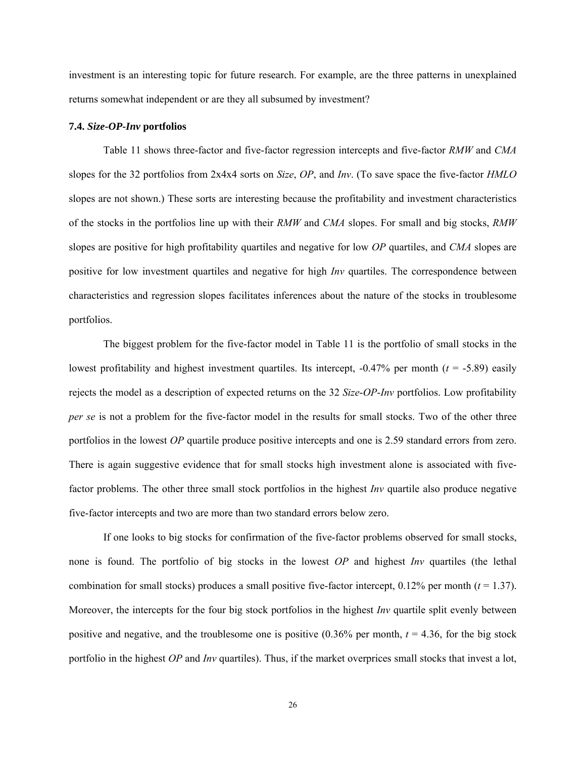investment is an interesting topic for future research. For example, are the three patterns in unexplained returns somewhat independent or are they all subsumed by investment?

### **7.4.** *Size***-***OP***-***Inv* **portfolios**

 Table 11 shows three-factor and five-factor regression intercepts and five-factor *RMW* and *CMA* slopes for the 32 portfolios from 2x4x4 sorts on *Size*, *OP*, and *Inv*. (To save space the five-factor *HMLO* slopes are not shown.) These sorts are interesting because the profitability and investment characteristics of the stocks in the portfolios line up with their *RMW* and *CMA* slopes. For small and big stocks, *RMW* slopes are positive for high profitability quartiles and negative for low *OP* quartiles, and *CMA* slopes are positive for low investment quartiles and negative for high *Inv* quartiles. The correspondence between characteristics and regression slopes facilitates inferences about the nature of the stocks in troublesome portfolios.

 The biggest problem for the five-factor model in Table 11 is the portfolio of small stocks in the lowest profitability and highest investment quartiles. Its intercept,  $-0.47\%$  per month ( $t = -5.89$ ) easily rejects the model as a description of expected returns on the 32 *Size*-*OP*-*Inv* portfolios. Low profitability *per se* is not a problem for the five-factor model in the results for small stocks. Two of the other three portfolios in the lowest *OP* quartile produce positive intercepts and one is 2.59 standard errors from zero. There is again suggestive evidence that for small stocks high investment alone is associated with fivefactor problems. The other three small stock portfolios in the highest *Inv* quartile also produce negative five-factor intercepts and two are more than two standard errors below zero.

If one looks to big stocks for confirmation of the five-factor problems observed for small stocks, none is found. The portfolio of big stocks in the lowest *OP* and highest *Inv* quartiles (the lethal combination for small stocks) produces a small positive five-factor intercept,  $0.12\%$  per month ( $t = 1.37$ ). Moreover, the intercepts for the four big stock portfolios in the highest *Inv* quartile split evenly between positive and negative, and the troublesome one is positive  $(0.36\%$  per month,  $t = 4.36$ , for the big stock portfolio in the highest *OP* and *Inv* quartiles). Thus, if the market overprices small stocks that invest a lot,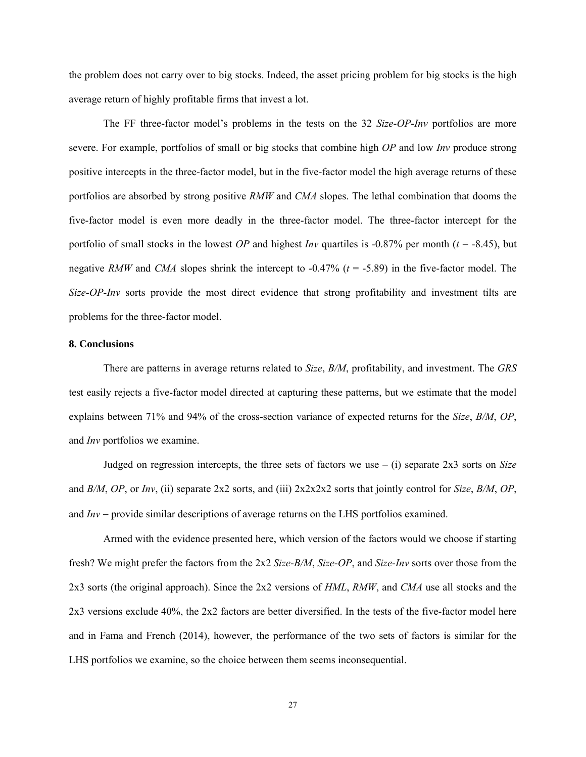the problem does not carry over to big stocks. Indeed, the asset pricing problem for big stocks is the high average return of highly profitable firms that invest a lot.

The FF three-factor model's problems in the tests on the 32 *Size*-*OP*-*Inv* portfolios are more severe. For example, portfolios of small or big stocks that combine high *OP* and low *Inv* produce strong positive intercepts in the three-factor model, but in the five-factor model the high average returns of these portfolios are absorbed by strong positive *RMW* and *CMA* slopes. The lethal combination that dooms the five-factor model is even more deadly in the three-factor model. The three-factor intercept for the portfolio of small stocks in the lowest *OP* and highest *Inv* quartiles is -0.87% per month (*t* = -8.45), but negative *RMW* and *CMA* slopes shrink the intercept to -0.47% (*t* = -5.89) in the five-factor model. The *Size*-*OP-Inv* sorts provide the most direct evidence that strong profitability and investment tilts are problems for the three-factor model.

# **8. Conclusions**

There are patterns in average returns related to *Size*, *B/M*, profitability, and investment. The *GRS* test easily rejects a five-factor model directed at capturing these patterns, but we estimate that the model explains between 71% and 94% of the cross-section variance of expected returns for the *Size*, *B/M*, *OP*, and *Inv* portfolios we examine.

Judged on regression intercepts, the three sets of factors we use – (i) separate 2x3 sorts on *Size* and *B/M*, *OP*, or *Inv*, (ii) separate 2x2 sorts, and (iii) 2x2x2x2 sorts that jointly control for *Size*, *B/M*, *OP*, and *Inv* – provide similar descriptions of average returns on the LHS portfolios examined.

 Armed with the evidence presented here, which version of the factors would we choose if starting fresh? We might prefer the factors from the 2x2 *Size*-*B/M*, *Size*-*OP*, and *Size*-*Inv* sorts over those from the 2x3 sorts (the original approach). Since the 2x2 versions of *HML*, *RMW*, and *CMA* use all stocks and the 2x3 versions exclude 40%, the 2x2 factors are better diversified. In the tests of the five-factor model here and in Fama and French (2014), however, the performance of the two sets of factors is similar for the LHS portfolios we examine, so the choice between them seems inconsequential.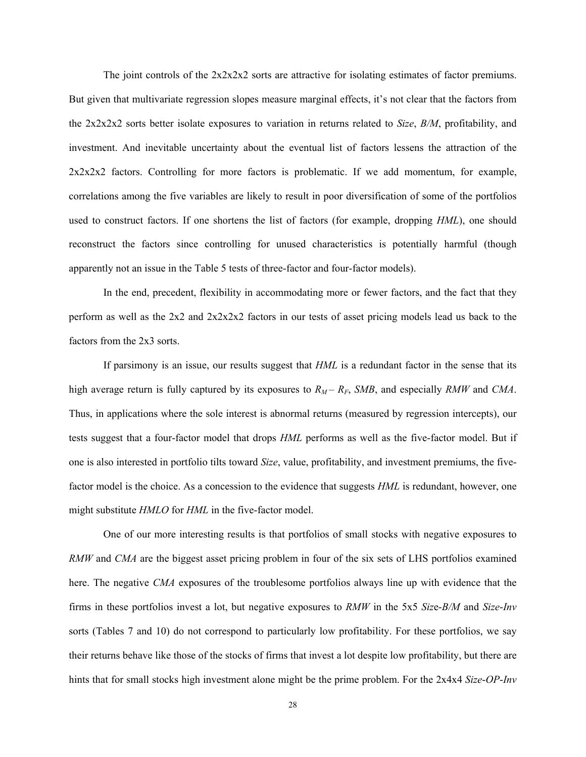The joint controls of the  $2x2x2x2$  sorts are attractive for isolating estimates of factor premiums. But given that multivariate regression slopes measure marginal effects, it's not clear that the factors from the 2x2x2x2 sorts better isolate exposures to variation in returns related to *Size*, *B/M*, profitability, and investment. And inevitable uncertainty about the eventual list of factors lessens the attraction of the 2x2x2x2 factors. Controlling for more factors is problematic. If we add momentum, for example, correlations among the five variables are likely to result in poor diversification of some of the portfolios used to construct factors. If one shortens the list of factors (for example, dropping *HML*), one should reconstruct the factors since controlling for unused characteristics is potentially harmful (though apparently not an issue in the Table 5 tests of three-factor and four-factor models).

In the end, precedent, flexibility in accommodating more or fewer factors, and the fact that they perform as well as the 2x2 and 2x2x2x2 factors in our tests of asset pricing models lead us back to the factors from the 2x3 sorts.

If parsimony is an issue, our results suggest that *HML* is a redundant factor in the sense that its high average return is fully captured by its exposures to  $R_M - R_F$ , *SMB*, and especially *RMW* and *CMA*. Thus, in applications where the sole interest is abnormal returns (measured by regression intercepts), our tests suggest that a four-factor model that drops *HML* performs as well as the five-factor model. But if one is also interested in portfolio tilts toward *Size*, value, profitability, and investment premiums, the fivefactor model is the choice. As a concession to the evidence that suggests *HML* is redundant, however, one might substitute *HMLO* for *HML* in the five-factor model.

One of our more interesting results is that portfolios of small stocks with negative exposures to *RMW* and *CMA* are the biggest asset pricing problem in four of the six sets of LHS portfolios examined here. The negative *CMA* exposures of the troublesome portfolios always line up with evidence that the firms in these portfolios invest a lot, but negative exposures to *RMW* in the 5x5 *Siz*e-*B/M* and *Size*-*Inv* sorts (Tables 7 and 10) do not correspond to particularly low profitability. For these portfolios, we say their returns behave like those of the stocks of firms that invest a lot despite low profitability, but there are hints that for small stocks high investment alone might be the prime problem. For the 2x4x4 *Size*-*OP*-*Inv*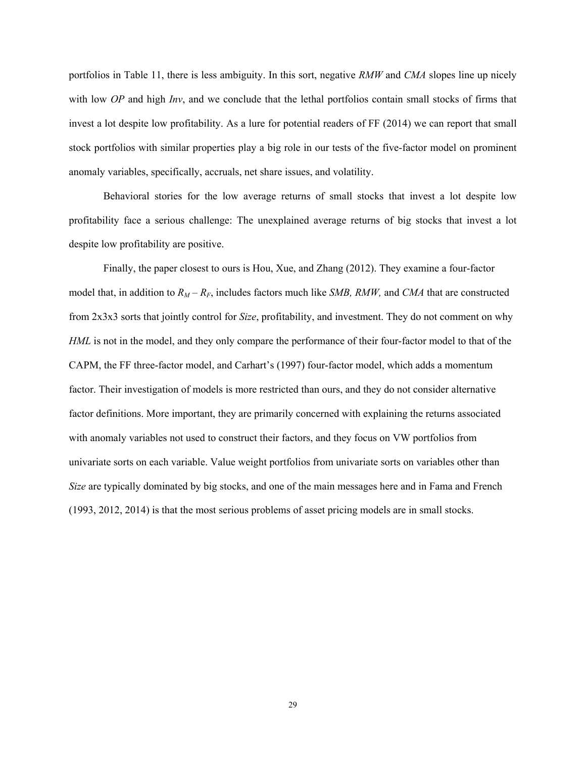portfolios in Table 11, there is less ambiguity. In this sort, negative *RMW* and *CMA* slopes line up nicely with low *OP* and high *Inv*, and we conclude that the lethal portfolios contain small stocks of firms that invest a lot despite low profitability. As a lure for potential readers of FF (2014) we can report that small stock portfolios with similar properties play a big role in our tests of the five-factor model on prominent anomaly variables, specifically, accruals, net share issues, and volatility.

Behavioral stories for the low average returns of small stocks that invest a lot despite low profitability face a serious challenge: The unexplained average returns of big stocks that invest a lot despite low profitability are positive.

Finally, the paper closest to ours is Hou, Xue, and Zhang (2012). They examine a four-factor model that, in addition to  $R_M - R_F$ , includes factors much like *SMB*, *RMW*, and *CMA* that are constructed from 2x3x3 sorts that jointly control for *Size*, profitability, and investment. They do not comment on why *HML* is not in the model, and they only compare the performance of their four-factor model to that of the CAPM, the FF three-factor model, and Carhart's (1997) four-factor model, which adds a momentum factor. Their investigation of models is more restricted than ours, and they do not consider alternative factor definitions. More important, they are primarily concerned with explaining the returns associated with anomaly variables not used to construct their factors, and they focus on VW portfolios from univariate sorts on each variable. Value weight portfolios from univariate sorts on variables other than *Size* are typically dominated by big stocks, and one of the main messages here and in Fama and French (1993, 2012, 2014) is that the most serious problems of asset pricing models are in small stocks.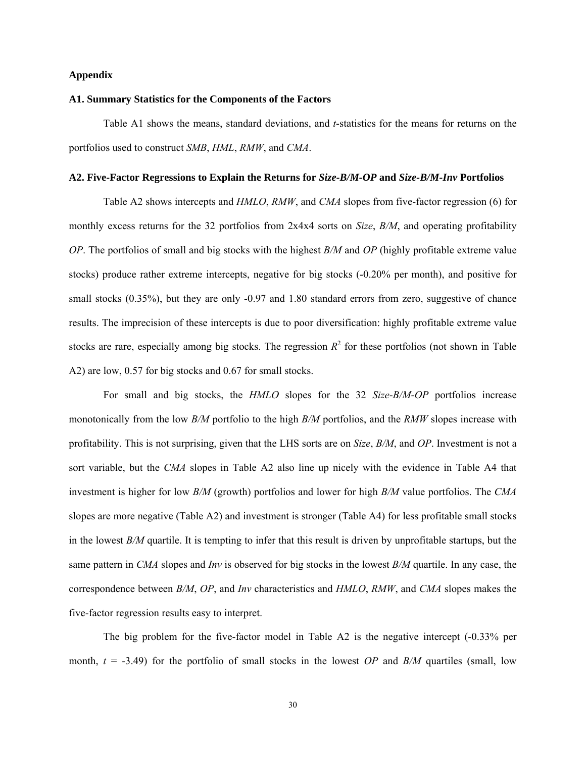## **Appendix**

## **A1. Summary Statistics for the Components of the Factors**

 Table A1 shows the means, standard deviations, and *t*-statistics for the means for returns on the portfolios used to construct *SMB*, *HML*, *RMW*, and *CMA*.

#### **A2. Five-Factor Regressions to Explain the Returns for** *Size-B/M-OP* **and** *Size-B/M-Inv* **Portfolios**

 Table A2 shows intercepts and *HMLO*, *RMW*, and *CMA* slopes from five-factor regression (6) for monthly excess returns for the 32 portfolios from 2x4x4 sorts on *Size*, *B/M*, and operating profitability *OP*. The portfolios of small and big stocks with the highest *B/M* and *OP* (highly profitable extreme value stocks) produce rather extreme intercepts, negative for big stocks (-0.20% per month), and positive for small stocks (0.35%), but they are only -0.97 and 1.80 standard errors from zero, suggestive of chance results. The imprecision of these intercepts is due to poor diversification: highly profitable extreme value stocks are rare, especially among big stocks. The regression  $R^2$  for these portfolios (not shown in Table A2) are low, 0.57 for big stocks and 0.67 for small stocks.

 For small and big stocks, the *HMLO* slopes for the 32 *Size*-*B/M*-*OP* portfolios increase monotonically from the low *B/M* portfolio to the high *B/M* portfolios, and the *RMW* slopes increase with profitability. This is not surprising, given that the LHS sorts are on *Size*, *B/M*, and *OP*. Investment is not a sort variable, but the *CMA* slopes in Table A2 also line up nicely with the evidence in Table A4 that investment is higher for low *B/M* (growth) portfolios and lower for high *B/M* value portfolios. The *CMA* slopes are more negative (Table A2) and investment is stronger (Table A4) for less profitable small stocks in the lowest *B/M* quartile. It is tempting to infer that this result is driven by unprofitable startups, but the same pattern in *CMA* slopes and *Inv* is observed for big stocks in the lowest *B/M* quartile. In any case, the correspondence between *B/M*, *OP*, and *Inv* characteristics and *HMLO*, *RMW*, and *CMA* slopes makes the five-factor regression results easy to interpret.

The big problem for the five-factor model in Table A2 is the negative intercept (-0.33% per month,  $t = -3.49$ ) for the portfolio of small stocks in the lowest *OP* and *B/M* quartiles (small, low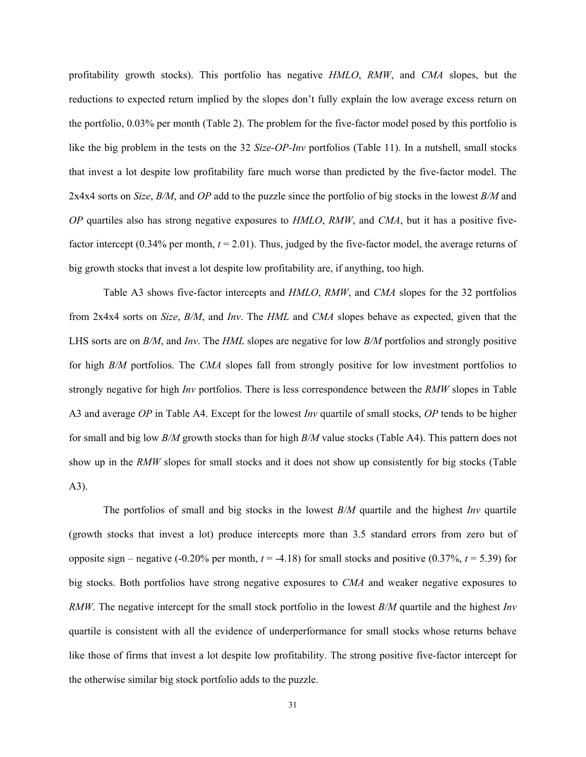profitability growth stocks). This portfolio has negative *HMLO*, *RMW*, and *CMA* slopes, but the reductions to expected return implied by the slopes don't fully explain the low average excess return on the portfolio, 0.03% per month (Table 2). The problem for the five-factor model posed by this portfolio is like the big problem in the tests on the 32 *Size-OP-Inv* portfolios (Table 11). In a nutshell, small stocks that invest a lot despite low profitability fare much worse than predicted by the five-factor model. The 2x4x4 sorts on *Size*, *B/M*, and *OP* add to the puzzle since the portfolio of big stocks in the lowest *B/M* and *OP* quartiles also has strong negative exposures to *HMLO*, *RMW*, and *CMA*, but it has a positive fivefactor intercept (0.34% per month, *t* = 2.01). Thus, judged by the five-factor model, the average returns of big growth stocks that invest a lot despite low profitability are, if anything, too high.

 Table A3 shows five-factor intercepts and *HMLO*, *RMW*, and *CMA* slopes for the 32 portfolios from 2x4x4 sorts on *Size*, *B/M*, and *Inv*. The *HML* and *CMA* slopes behave as expected, given that the LHS sorts are on *B/M*, and *Inv*. The *HML* slopes are negative for low *B/M* portfolios and strongly positive for high *B/M* portfolios. The *CMA* slopes fall from strongly positive for low investment portfolios to strongly negative for high *Inv* portfolios. There is less correspondence between the *RMW* slopes in Table A3 and average *OP* in Table A4. Except for the lowest *Inv* quartile of small stocks, *OP* tends to be higher for small and big low *B/M* growth stocks than for high *B/M* value stocks (Table A4). This pattern does not show up in the *RMW* slopes for small stocks and it does not show up consistently for big stocks (Table A3).

The portfolios of small and big stocks in the lowest *B/M* quartile and the highest *Inv* quartile (growth stocks that invest a lot) produce intercepts more than 3.5 standard errors from zero but of opposite sign – negative (-0.20% per month,  $t = -4.18$ ) for small stocks and positive (0.37%,  $t = 5.39$ ) for big stocks. Both portfolios have strong negative exposures to *CMA* and weaker negative exposures to *RMW*. The negative intercept for the small stock portfolio in the lowest *B/M* quartile and the highest *Inv* quartile is consistent with all the evidence of underperformance for small stocks whose returns behave like those of firms that invest a lot despite low profitability. The strong positive five-factor intercept for the otherwise similar big stock portfolio adds to the puzzle.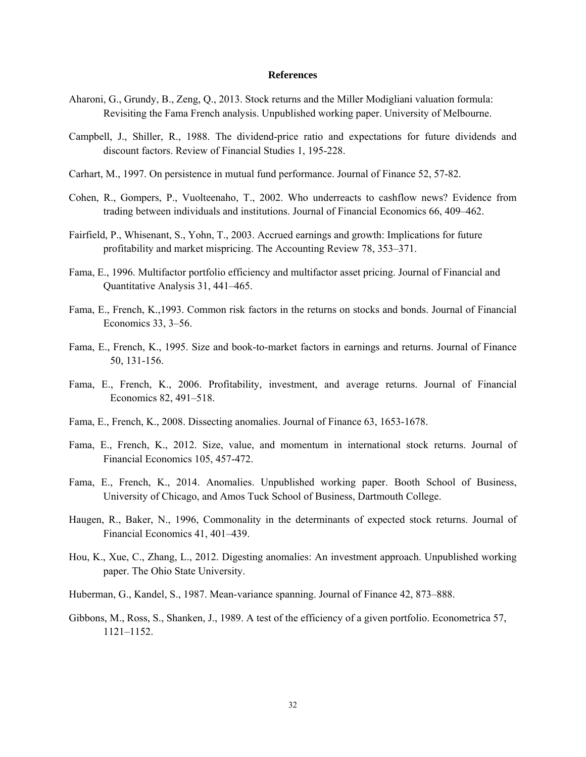### **References**

- Aharoni, G., Grundy, B., Zeng, Q., 2013. Stock returns and the Miller Modigliani valuation formula: Revisiting the Fama French analysis. Unpublished working paper. University of Melbourne.
- Campbell, J., Shiller, R., 1988. The dividend-price ratio and expectations for future dividends and discount factors. Review of Financial Studies 1, 195-228.
- Carhart, M., 1997. On persistence in mutual fund performance. Journal of Finance 52, 57-82.
- Cohen, R., Gompers, P., Vuolteenaho, T., 2002. Who underreacts to cashflow news? Evidence from trading between individuals and institutions. Journal of Financial Economics 66, 409–462.
- Fairfield, P., Whisenant, S., Yohn, T., 2003. Accrued earnings and growth: Implications for future profitability and market mispricing. The Accounting Review 78, 353–371.
- Fama, E., 1996. Multifactor portfolio efficiency and multifactor asset pricing. Journal of Financial and Quantitative Analysis 31, 441–465.
- Fama, E., French, K.,1993. Common risk factors in the returns on stocks and bonds. Journal of Financial Economics 33, 3–56.
- Fama, E., French, K., 1995. Size and book-to-market factors in earnings and returns. Journal of Finance 50, 131-156.
- Fama, E., French, K., 2006. Profitability, investment, and average returns. Journal of Financial Economics 82, 491–518.
- Fama, E., French, K., 2008. Dissecting anomalies. Journal of Finance 63, 1653-1678.
- Fama, E., French, K., 2012. Size, value, and momentum in international stock returns. Journal of Financial Economics 105, 457-472.
- Fama, E., French, K., 2014. Anomalies. Unpublished working paper. Booth School of Business, University of Chicago, and Amos Tuck School of Business, Dartmouth College.
- Haugen, R., Baker, N., 1996, Commonality in the determinants of expected stock returns. Journal of Financial Economics 41, 401–439.
- Hou, K., Xue, C., Zhang, L., 2012. Digesting anomalies: An investment approach. Unpublished working paper. The Ohio State University.
- Huberman, G., Kandel, S., 1987. Mean-variance spanning. Journal of Finance 42, 873–888.
- Gibbons, M., Ross, S., Shanken, J., 1989. A test of the efficiency of a given portfolio. Econometrica 57, 1121–1152.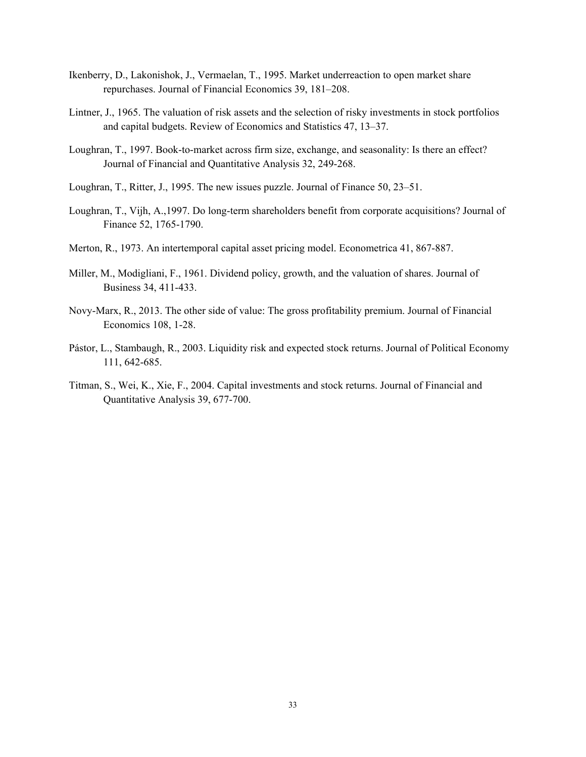- Ikenberry, D., Lakonishok, J., Vermaelan, T., 1995. Market underreaction to open market share repurchases. Journal of Financial Economics 39, 181–208.
- Lintner, J., 1965. The valuation of risk assets and the selection of risky investments in stock portfolios and capital budgets. Review of Economics and Statistics 47, 13–37.
- Loughran, T., 1997. Book-to-market across firm size, exchange, and seasonality: Is there an effect? Journal of Financial and Quantitative Analysis 32, 249-268.
- Loughran, T., Ritter, J., 1995. The new issues puzzle. Journal of Finance 50, 23–51.
- Loughran, T., Vijh, A.,1997. Do long-term shareholders benefit from corporate acquisitions? Journal of Finance 52, 1765-1790.
- Merton, R., 1973. An intertemporal capital asset pricing model. Econometrica 41, 867-887.
- Miller, M., Modigliani, F., 1961. Dividend policy, growth, and the valuation of shares. Journal of Business 34, 411-433.
- Novy-Marx, R., 2013. The other side of value: The gross profitability premium. Journal of Financial Economics 108, 1-28.
- Pástor, L., Stambaugh, R., 2003. Liquidity risk and expected stock returns. Journal of Political Economy 111, 642-685.
- Titman, S., Wei, K., Xie, F., 2004. Capital investments and stock returns. Journal of Financial and Quantitative Analysis 39, 677-700.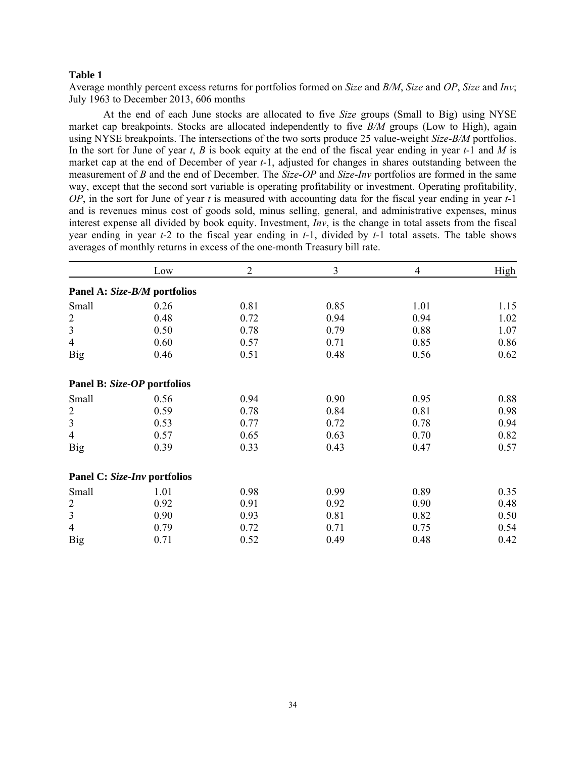Average monthly percent excess returns for portfolios formed on *Size* and *B/M*, *Size* and *OP*, *Size* and *Inv*; July 1963 to December 2013, 606 months

At the end of each June stocks are allocated to five *Size* groups (Small to Big) using NYSE market cap breakpoints. Stocks are allocated independently to five *B/M* groups (Low to High), again using NYSE breakpoints. The intersections of the two sorts produce 25 value-weight *Size*-*B/M* portfolios. In the sort for June of year *t*, *B* is book equity at the end of the fiscal year ending in year *t*-1 and *M* is market cap at the end of December of year *t*-1, adjusted for changes in shares outstanding between the measurement of *B* and the end of December. The *Size*-*OP* and *Size*-*Inv* portfolios are formed in the same way, except that the second sort variable is operating profitability or investment. Operating profitability, *OP*, in the sort for June of year *t* is measured with accounting data for the fiscal year ending in year *t*-1 and is revenues minus cost of goods sold, minus selling, general, and administrative expenses, minus interest expense all divided by book equity. Investment, *Inv*, is the change in total assets from the fiscal year ending in year *t*-2 to the fiscal year ending in *t*-1, divided by *t*-1 total assets. The table shows averages of monthly returns in excess of the one-month Treasury bill rate.

|                | Low                          | $\overline{2}$ | 3    | 4    | High |
|----------------|------------------------------|----------------|------|------|------|
|                | Panel A: Size-B/M portfolios |                |      |      |      |
| Small          | 0.26                         | 0.81           | 0.85 | 1.01 | 1.15 |
| $\overline{2}$ | 0.48                         | 0.72           | 0.94 | 0.94 | 1.02 |
| $\mathfrak{Z}$ | 0.50                         | 0.78           | 0.79 | 0.88 | 1.07 |
| $\overline{4}$ | 0.60                         | 0.57           | 0.71 | 0.85 | 0.86 |
| <b>Big</b>     | 0.46                         | 0.51           | 0.48 | 0.56 | 0.62 |
|                | Panel B: Size-OP portfolios  |                |      |      |      |
| Small          | 0.56                         | 0.94           | 0.90 | 0.95 | 0.88 |
| $\overline{c}$ | 0.59                         | 0.78           | 0.84 | 0.81 | 0.98 |
| $\overline{3}$ | 0.53                         | 0.77           | 0.72 | 0.78 | 0.94 |
| $\overline{4}$ | 0.57                         | 0.65           | 0.63 | 0.70 | 0.82 |
| <b>Big</b>     | 0.39                         | 0.33           | 0.43 | 0.47 | 0.57 |
|                | Panel C: Size-Inv portfolios |                |      |      |      |
| Small          | 1.01                         | 0.98           | 0.99 | 0.89 | 0.35 |
| $\overline{2}$ | 0.92                         | 0.91           | 0.92 | 0.90 | 0.48 |
| 3              | 0.90                         | 0.93           | 0.81 | 0.82 | 0.50 |
| $\overline{4}$ | 0.79                         | 0.72           | 0.71 | 0.75 | 0.54 |
| Big            | 0.71                         | 0.52           | 0.49 | 0.48 | 0.42 |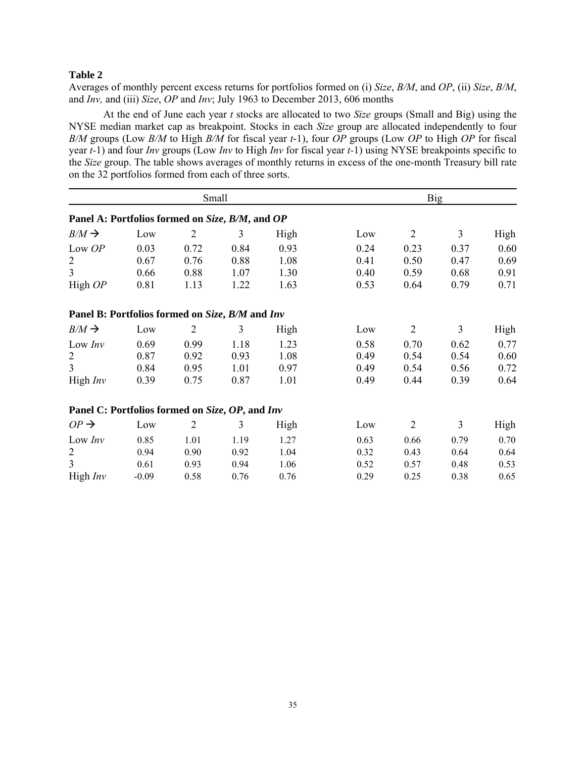Averages of monthly percent excess returns for portfolios formed on (i) *Size*, *B/M*, and *OP*, (ii) *Size*, *B/M*, and *Inv,* and (iii) *Size*, *OP* and *Inv*; July 1963 to December 2013, 606 months

At the end of June each year *t* stocks are allocated to two *Size* groups (Small and Big) using the NYSE median market cap as breakpoint. Stocks in each *Size* group are allocated independently to four *B/M* groups (Low *B/M* to High *B/M* for fiscal year *t*-1), four *OP* groups (Low *OP* to High *OP* for fiscal year *t-*1) and four *Inv* groups (Low *Inv* to High *Inv* for fiscal year *t-*1) using NYSE breakpoints specific to the *Size* group. The table shows averages of monthly returns in excess of the one-month Treasury bill rate on the 32 portfolios formed from each of three sorts.

|                                                 |         | Small          |      |      |      | <b>Big</b>     |      |      |
|-------------------------------------------------|---------|----------------|------|------|------|----------------|------|------|
| Panel A: Portfolios formed on Size, B/M, and OP |         |                |      |      |      |                |      |      |
| $B/M \rightarrow$                               | Low     | $\overline{2}$ | 3    | High | Low  | $\overline{2}$ | 3    | High |
| Low OP                                          | 0.03    | 0.72           | 0.84 | 0.93 | 0.24 | 0.23           | 0.37 | 0.60 |
| $\overline{2}$                                  | 0.67    | 0.76           | 0.88 | 1.08 | 0.41 | 0.50           | 0.47 | 0.69 |
| $\overline{3}$                                  | 0.66    | 0.88           | 1.07 | 1.30 | 0.40 | 0.59           | 0.68 | 0.91 |
| High OP                                         | 0.81    | 1.13           | 1.22 | 1.63 | 0.53 | 0.64           | 0.79 | 0.71 |
| Panel B: Portfolios formed on Size, B/M and Inv |         |                |      |      |      |                |      |      |
| $B/M \rightarrow$                               | Low     | $\overline{2}$ | 3    | High | Low  | $\overline{2}$ | 3    | High |
| Low Inv                                         | 0.69    | 0.99           | 1.18 | 1.23 | 0.58 | 0.70           | 0.62 | 0.77 |
| $\overline{2}$                                  | 0.87    | 0.92           | 0.93 | 1.08 | 0.49 | 0.54           | 0.54 | 0.60 |
| $\overline{3}$                                  | 0.84    | 0.95           | 1.01 | 0.97 | 0.49 | 0.54           | 0.56 | 0.72 |
| High $Inv$                                      | 0.39    | 0.75           | 0.87 | 1.01 | 0.49 | 0.44           | 0.39 | 0.64 |
| Panel C: Portfolios formed on Size, OP, and Inv |         |                |      |      |      |                |      |      |
| $OP \rightarrow$                                | Low     | $\overline{2}$ | 3    | High | Low  | $\overline{2}$ | 3    | High |
| Low Inv                                         | 0.85    | 1.01           | 1.19 | 1.27 | 0.63 | 0.66           | 0.79 | 0.70 |
| $\overline{2}$                                  | 0.94    | 0.90           | 0.92 | 1.04 | 0.32 | 0.43           | 0.64 | 0.64 |
| $\overline{3}$                                  | 0.61    | 0.93           | 0.94 | 1.06 | 0.52 | 0.57           | 0.48 | 0.53 |
| High $Inv$                                      | $-0.09$ | 0.58           | 0.76 | 0.76 | 0.29 | 0.25           | 0.38 | 0.65 |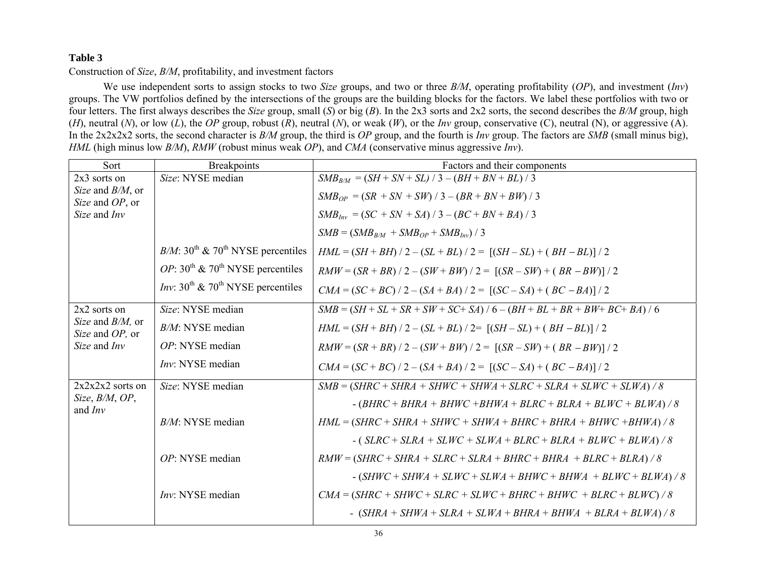Construction of *Size*, *B/M*, profitability, and investment factors

We use independent sorts to assign stocks to two *Size* groups, and two or three *B/M*, operating profitability (*OP*), and investment (*Inv*) groups. The VW portfolios defined by the intersections of the groups are the building blocks for the factors. We label these portfolios with two or four letters. The first always describes the *Size* group, small (*S*) or big (*B*). In the 2x3 sorts and 2x2 sorts, the second describes the *B/M* group, high (*H*), neutral (*N*), or low (*L*), the *OP* group, robust ( $\hat{R}$ ), neutral (*N*), or weak (*W*), or the *Inv* group, conservative (C), neutral (N), or aggressive (A). In the 2x2x2x2 sorts, the second character is *B/M* group, the third is *OP* group, and the fourth is *Inv* group. The factors are *SMB* (small minus big), *HML* (high minus low *B/M*), *RMW* (robust minus weak *OP*), and *CMA* (conservative minus aggressive *Inv*).

| Sort                                | <b>Breakpoints</b>                                           | Factors and their components                                              |  |  |  |  |  |  |
|-------------------------------------|--------------------------------------------------------------|---------------------------------------------------------------------------|--|--|--|--|--|--|
| 2x3 sorts on                        | Size: NYSE median                                            | $SMB_{B/M} = (SH + SN + SL)/3 - (BH + BN + BL)/3$                         |  |  |  |  |  |  |
| Size and B/M, or<br>Size and OP, or |                                                              | $SMB_{OP} = (SR + SN + SW) / 3 - (BR + BN + BW) / 3$                      |  |  |  |  |  |  |
| Size and Inv                        |                                                              | $SMB_{Inv} = (SC + SN + SA)/3 - (BC + BN + BA)/3$                         |  |  |  |  |  |  |
|                                     |                                                              | $SMB = (SMB_{B/M} + SMB_{OP} + SMB_{Inv})/3$                              |  |  |  |  |  |  |
|                                     | $B/M$ : 30 <sup>th</sup> & 70 <sup>th</sup> NYSE percentiles | $HML = (SH + BH) / 2 - (SL + BL) / 2 = [(SH - SL) + (BH - BL)] / 2$       |  |  |  |  |  |  |
|                                     | <i>OP</i> : $30^{th}$ & $70^{th}$ NYSE percentiles           | $RMW = (SR + BR) / 2 - (SW + BW) / 2 = [(SR - SW) + (BR - BW) / 2$        |  |  |  |  |  |  |
|                                     | <i>Inv</i> : $30^{th}$ & $70^{th}$ NYSE percentiles          | $CMA = (SC + BC) / 2 - (SA + BA) / 2 = [(SC - SA) + (BC - BA)] / 2$       |  |  |  |  |  |  |
| $2x2$ sorts on                      | Size: NYSE median                                            | $SMB = (SH + SL + SR + SW + SC + SA)/6 - (BH + BL + BR + BW + BC + BA)/6$ |  |  |  |  |  |  |
| Size and B/M, or<br>Size and OP, or | $B/M$ : NYSE median                                          | $HML = (SH + BH) / 2 - (SL + BL) / 2 = [(SH - SL) + (BH - BL)] / 2$       |  |  |  |  |  |  |
| Size and Inv                        | OP: NYSE median                                              | $RMW = (SR + BR) / 2 - (SW + BW) / 2 = [(SR - SW) + (BR - BW) / 2$        |  |  |  |  |  |  |
|                                     | $Inv: NYSE$ median                                           | $CMA = (SC + BC) / 2 - (SA + BA) / 2 = [(SC - SA) + (BC - BA)] / 2$       |  |  |  |  |  |  |
| $2x2x2x2$ sorts on                  | Size: NYSE median                                            | $SMB = (SHRC + SHRA + SHWC + SHWA + SLRC + SLRA + SLWC + SLWA) / 8$       |  |  |  |  |  |  |
| Size, B/M, OP,<br>and $Inv$         |                                                              | $-$ (BHRC + BHRA + BHWC +BHWA + BLRC + BLRA + BLWC + BLWA) / 8            |  |  |  |  |  |  |
|                                     | $B/M$ : NYSE median                                          | $HML = (SHRC + SHRA + SHWC + SHWA + BHRC + BHRA + BHWC + BHWA)$ / 8       |  |  |  |  |  |  |
|                                     |                                                              | $-$ (SLRC + SLRA + SLWC + SLWA + BLRC + BLRA + BLWC + BLWA) / 8           |  |  |  |  |  |  |
|                                     | $OP: NYSE$ median                                            | $RMW = (SHRC + SHRA + SLRC + SLRA + BHRC + BHRA + BLRC + BLRA) / 8$       |  |  |  |  |  |  |
|                                     |                                                              | $-$ (SHWC + SHWA + SLWC + SLWA + BHWC + BHWA + BLWC + BLWA) / 8           |  |  |  |  |  |  |
|                                     | $Inv: NYSE$ median                                           | $CMA = (SHRC + SHWC + SLRC + SLWC + BHRC + BHWC + BLRC + BLWC) / 8$       |  |  |  |  |  |  |
|                                     |                                                              | - $(SHRA + SHWA + SLRA + SLWA + BHRA + BHWA + BLRA + BLWA) / 8$           |  |  |  |  |  |  |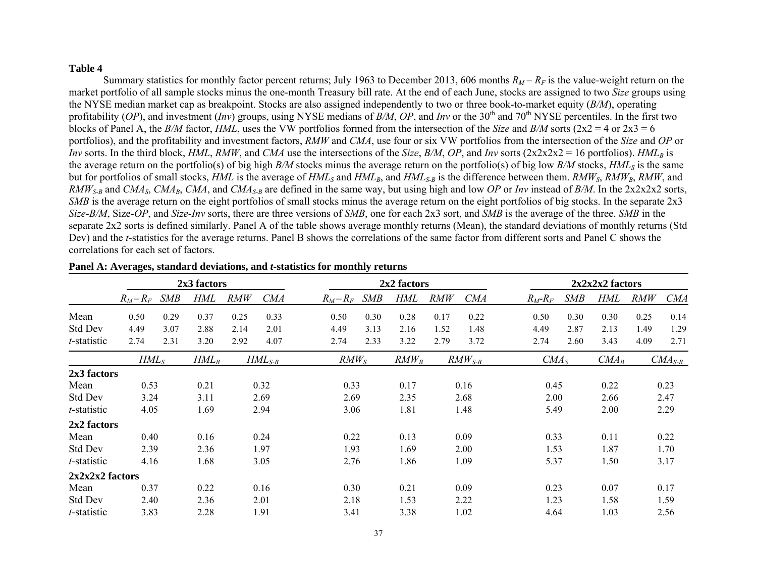Summary statistics for monthly factor percent returns; July 1963 to December 2013, 606 months  $R_M - R_F$  is the value-weight return on the market portfolio of all sample stocks minus the one-month Treasury bill rate. At the end of each June, stocks are assigned to two *Size* groups using the NYSE median market cap as breakpoint. Stocks are also assigned independently to two or three book-to-market equity (*B/M*), operating profitability (*OP*), and investment (*Inv*) groups, using NYSE medians of *B/M*, *OP*, and *Inv* or the 30<sup>th</sup> and 70<sup>th</sup> NYSE percentiles. In the first two blocks of Panel A, the *B/M* factor, *HML*, uses the VW portfolios formed from the intersection of the *Size* and *B/M* sorts (2x2 = 4 or 2x3 = 6 portfolios), and the profitability and investment factors, *RMW* and *CMA*, use four or six VW portfolios from the intersection of the *Size* and *OP* or *Inv* sorts. In the third block, *HML*, *RMW*, and *CMA* use the intersections of the *Size*, *B/M*, *OP*, and *Inv* sorts (2x2x2x2 = 16 portfolios). *HML*<sub>B</sub> is the average return on the portfolio(s) of big high *B/M* stocks minus the average return on the portfolio(s) of big low *B/M* stocks, *HML<sub>S</sub>* is the same but for portfolios of small stocks, *HML* is the average of *HML<sub>S</sub>* and *HML<sub>B</sub>*, and *HML<sub>S-B</sub>* is the difference between them. *RMW<sub>S</sub>*, *RMW<sub>B</sub>*, *RMW*<sub>B</sub>, and *RMW<sub>S-B</sub>* and *CMA<sub>S</sub>*, *CMA<sub>B</sub>*, *CMA*, and *CMA<sub>S-B</sub>* are defined in the same way, but using high and low *OP* or *Inv* instead of *B/M*. In the 2x2x2x2 sorts, *SMB* is the average return on the eight portfolios of small stocks minus the average return on the eight portfolios of big stocks. In the separate 2x3 *Size*-*B/M*, Size-*OP*, and *Size*-*Inv* sorts, there are three versions of *SMB*, one for each 2x3 sort, and *SMB* is the average of the three. *SMB* in the separate 2x2 sorts is defined similarly. Panel A of the table shows average monthly returns (Mean), the standard deviations of monthly returns (Std Dev) and the *t*-statistics for the average returns. Panel B shows the correlations of the same factor from different sorts and Panel C shows the correlations for each set of factors.

|                     | 2x3 factors                       |            |            |                  |      |                        |            | $2x2x2x2$ factors |                  |            |               |            |             |            |            |
|---------------------|-----------------------------------|------------|------------|------------------|------|------------------------|------------|-------------------|------------------|------------|---------------|------------|-------------|------------|------------|
|                     | $R_M - R_F$                       | <b>SMB</b> | <b>HML</b> | <b>RMW</b>       | CMA  | $R_M - R_F$            | <b>SMB</b> | <b>HML</b>        | <b>RMW</b>       | <b>CMA</b> | $R_M$ - $R_F$ | <b>SMB</b> | HML         | <b>RMW</b> | <b>CMA</b> |
| Mean                | 0.50                              | 0.29       | 0.37       | 0.25             | 0.33 | 0.50                   | 0.30       | 0.28              | 0.17             | 0.22       | 0.50          | 0.30       | 0.30        | 0.25       | 0.14       |
| <b>Std Dev</b>      | 4.49                              | 3.07       | 2.88       | 2.14             | 2.01 | 4.49                   | 3.13       | 2.16              | 1.52             | 1.48       | 4.49          | 2.87       | 2.13        | 1.49       | 1.29       |
| t-statistic         | 2.74                              | 2.31       | 3.20       | 2.92             | 4.07 | 2.74                   | 2.33       | 3.22              | 2.79             | 3.72       | 2.74          | 2.60       | 3.43        | 4.09       | 2.71       |
|                     | $HML_S$<br>$HML_B$<br>$HML_{S-B}$ |            |            | RMW <sub>S</sub> |      | $RMW_B$<br>$RMW_{S-B}$ |            |                   | CMA <sub>S</sub> |            | $CMA_B$       |            | $CMA_{S-B}$ |            |            |
| 2x3 factors         |                                   |            |            |                  |      |                        |            |                   |                  |            |               |            |             |            |            |
| Mean                | 0.53                              |            | 0.21       |                  | 0.32 | 0.33                   |            | 0.17              |                  | 0.16       | 0.45          |            | 0.22        |            | 0.23       |
| <b>Std Dev</b>      | 3.24                              |            | 3.11       |                  | 2.69 | 2.69                   |            | 2.35              |                  | 2.68       | 2.00          |            | 2.66        |            | 2.47       |
| <i>t</i> -statistic | 4.05                              |            | 1.69       |                  | 2.94 | 3.06                   |            | 1.81              |                  | 1.48       | 5.49          |            | 2.00        |            | 2.29       |
| 2x2 factors         |                                   |            |            |                  |      |                        |            |                   |                  |            |               |            |             |            |            |
| Mean                | 0.40                              |            | 0.16       |                  | 0.24 | 0.22                   |            | 0.13              |                  | 0.09       | 0.33          |            | 0.11        |            | 0.22       |
| <b>Std Dev</b>      | 2.39                              |            | 2.36       |                  | 1.97 | 1.93                   |            | 1.69              |                  | 2.00       | 1.53          |            | 1.87        |            | 1.70       |
| <i>t</i> -statistic | 4.16                              |            | 1.68       |                  | 3.05 | 2.76                   |            | 1.86              |                  | 1.09       | 5.37          |            | 1.50        |            | 3.17       |
| $2x2x2x2$ factors   |                                   |            |            |                  |      |                        |            |                   |                  |            |               |            |             |            |            |
| Mean                | 0.37                              |            | 0.22       |                  | 0.16 | 0.30                   |            | 0.21              |                  | 0.09       | 0.23          |            | 0.07        |            | 0.17       |
| <b>Std Dev</b>      | 2.40                              |            | 2.36       |                  | 2.01 | 2.18                   |            | 1.53              | 2.22             |            | 1.23          |            | 1.58        |            | 1.59       |
| <i>t</i> -statistic | 3.83                              |            | 2.28       |                  | 1.91 | 3.41                   |            | 3.38              |                  | 1.02       | 4.64          |            | 1.03        |            | 2.56       |

|  |  | Panel A: Averages, standard deviations, and <i>t</i> -statistics for monthly returns |  |  |
|--|--|--------------------------------------------------------------------------------------|--|--|
|  |  |                                                                                      |  |  |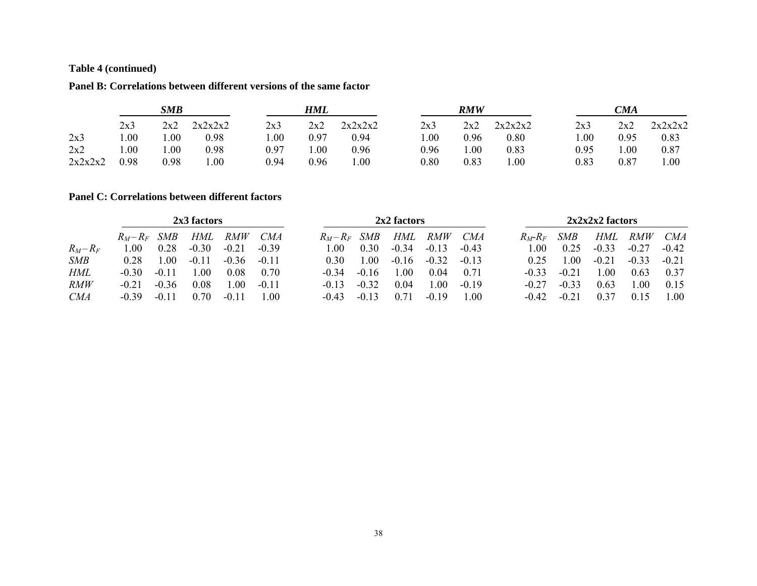# **Table 4 (continued)**

#### **Panel B: Correlations between different versions of the same factor**

|         | <b>SMB</b> |      |         | HML  |      |         |         | RMW        |         | CMA  |            |         |  |
|---------|------------|------|---------|------|------|---------|---------|------------|---------|------|------------|---------|--|
|         | 2x3        | 2x2  | 2x2x2x2 | 2x3  | 2x2  | 2x2x2x2 | 2x3     | 2x2        | 2x2x2x2 | 2x3  | 2x2        | 2x2x2x2 |  |
| 2x3     | .00        | .00  | 0.98    | .00  | 0.97 | 0.94    | $.00\,$ | 0.96       | 0.80    | 00.1 | 0.95       | 0.83    |  |
| 2x2     | .00        | .00  | 0.98    | 0.97 | .00. | 0.96    | 0.96    | .00        | 0.83    | 0.95 | 00.        | 0.87    |  |
| 2x2x2x2 | 0.98       | 0.98 | .00     | 0.94 | 0.96 | .00     | 0.80    | $\rm 0.83$ | .00.    | 0.83 | $\rm 0.87$ | 0.01    |  |

#### **Panel C: Correlations between different factors**

|             | 2x3 factors     |         |         |            |         | 2x2 factors     |                  |         |                 |         | $2x2x2x2$ factors |            |         |         |         |
|-------------|-----------------|---------|---------|------------|---------|-----------------|------------------|---------|-----------------|---------|-------------------|------------|---------|---------|---------|
|             | $R_M - R_F$ SMB |         | HML     | <i>RMW</i> | CMA     | $R_M - R_E$ SMB |                  | HML     | <i>RMW</i>      | CMA     | $R_M$ - $R_F$     | <i>SMB</i> | HML     | RMW     | CMA     |
| $R_M - R_F$ | .00.            | 0.28    | $-0.30$ | $-0.21$    | $-0.39$ | -00             | 0.30             | $-0.34$ | $-0.13$         | $-0.43$ | - 00              | 0.25       | $-0.33$ | $-0.27$ | $-0.42$ |
| SMB         | 0.28            | .00     | $-0.11$ | $-0.36$    | $-0.11$ | 0.30            | .00 <sub>1</sub> | $-0.16$ | $-0.32$         | $-0.13$ | 0.25              | $\pm 00$   | $-0.21$ | $-0.33$ | $-0.21$ |
| <b>HML</b>  | $-0.30$         | $-0.11$ | .00     | 0.08       | 0.70    | $-0.34$         | $-0.16$          | .00     | 0.04            | 0.71    | $-0.33$           | $-0.21$    | .00     | 0.63    | 0.37    |
| RMW         | $-0.21$         | $-0.36$ | 0.08    | .00        | $-0.11$ | $-0.13$         | $-0.32$          | 0.04    | $\overline{00}$ | $-0.19$ | $-0.27$           | $-0.33$    | 0.63    | .00     | 0.15    |
| <i>CMA</i>  | $-0.39$         | $-0.11$ | 0.70    | $-0.11$    | .00     | $-0.43$         | $-0.13$          | 0.71    | $-0.19$         | 1.00    | $-0.42$           | $-0.21$    | 0.37    | 0.15    | 00.1    |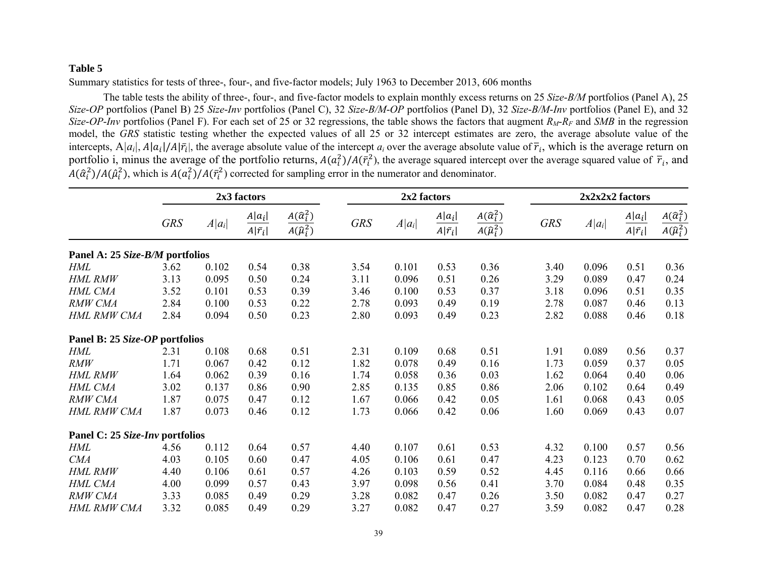Summary statistics for tests of three-, four-, and five-factor models; July 1963 to December 2013, 606 months

The table tests the ability of three-, four-, and five-factor models to explain monthly excess returns on 25 *Size*-*B/M* portfolios (Panel A), 25 *Size*-*OP* portfolios (Panel B) 25 *Size*-*Inv* portfolios (Panel C), 32 *Size*-*B/M*-*OP* portfolios (Panel D), 32 *Size*-*B/M*-*Inv* portfolios (Panel E), and 32 *Size*-*OP*-*Inv* portfolios (Panel F). For each set of 25 or 32 regressions, the table shows the factors that augment *RM*-*RF* and *SMB* in the regression model, the *GRS* statistic testing whether the expected values of all 25 or 32 intercept estimates are zero, the average absolute value of the intercepts,  $A|a_i|$ ,  $A|a_i|/A|\bar{r}_i|$ , the average absolute value of the intercept  $a_i$  over the average absolute value of  $\bar{r}_i$ , which is the average return on portfolio i, minus the average of the portfolio returns,  $A(a_i^2)/A(\bar{r}_i^2)$ , the average squared intercept over the average squared value of  $\bar{r}_i$ , and  $A(\hat{\alpha}_i^2)/A(\hat{\mu}_i^2)$ , which is  $A(\hat{\alpha}_i^2)/A(\bar{r}_i^2)$  corrected for sampling error in the numerator and denominator.

|                                 |            | 2x3 factors |                |                       |            | 2x2 factors |                |                           | $2x2x2x2$ factors |          |                |                           |
|---------------------------------|------------|-------------|----------------|-----------------------|------------|-------------|----------------|---------------------------|-------------------|----------|----------------|---------------------------|
|                                 | <b>GRS</b> |             | $A a_i $       | $A(\hat{\alpha}_i^2)$ | <b>GRS</b> |             | $A a_i $       | $A(\widehat{\alpha}_i^2)$ | <b>GRS</b>        |          | $A a_i $       | $A(\widehat{\alpha}_i^2)$ |
|                                 |            | $A a_i $    | $A \bar{r}_i $ | $A(\hat{\mu}_i^2)$    |            | $A a_i $    | $A \bar{r}_i $ | $A(\hat{\mu}_i^2)$        |                   | $A a_i $ | $A \bar{r}_i $ | $A(\widehat{\mu}_i^2)$    |
| Panel A: 25 Size-B/M portfolios |            |             |                |                       |            |             |                |                           |                   |          |                |                           |
| HML                             | 3.62       | 0.102       | 0.54           | 0.38                  | 3.54       | 0.101       | 0.53           | 0.36                      | 3.40              | 0.096    | 0.51           | 0.36                      |
| <b>HML RMW</b>                  | 3.13       | 0.095       | 0.50           | 0.24                  | 3.11       | 0.096       | 0.51           | 0.26                      | 3.29              | 0.089    | 0.47           | 0.24                      |
| HML CMA                         | 3.52       | 0.101       | 0.53           | 0.39                  | 3.46       | 0.100       | 0.53           | 0.37                      | 3.18              | 0.096    | 0.51           | 0.35                      |
| RMW CMA                         | 2.84       | 0.100       | 0.53           | 0.22                  | 2.78       | 0.093       | 0.49           | 0.19                      | 2.78              | 0.087    | 0.46           | 0.13                      |
| HML RMW CMA                     | 2.84       | 0.094       | 0.50           | 0.23                  | 2.80       | 0.093       | 0.49           | 0.23                      | 2.82              | 0.088    | 0.46           | 0.18                      |
| Panel B: 25 Size-OP portfolios  |            |             |                |                       |            |             |                |                           |                   |          |                |                           |
| <b>HML</b>                      | 2.31       | 0.108       | 0.68           | 0.51                  | 2.31       | 0.109       | 0.68           | 0.51                      | 1.91              | 0.089    | 0.56           | 0.37                      |
| RMW                             | 1.71       | 0.067       | 0.42           | 0.12                  | 1.82       | 0.078       | 0.49           | 0.16                      | 1.73              | 0.059    | 0.37           | 0.05                      |
| <b>HML RMW</b>                  | 1.64       | 0.062       | 0.39           | 0.16                  | 1.74       | 0.058       | 0.36           | 0.03                      | 1.62              | 0.064    | 0.40           | 0.06                      |
| HML CMA                         | 3.02       | 0.137       | 0.86           | 0.90                  | 2.85       | 0.135       | 0.85           | 0.86                      | 2.06              | 0.102    | 0.64           | 0.49                      |
| RMW CMA                         | 1.87       | 0.075       | 0.47           | 0.12                  | 1.67       | 0.066       | 0.42           | 0.05                      | 1.61              | 0.068    | 0.43           | 0.05                      |
| HML RMW CMA                     | 1.87       | 0.073       | 0.46           | 0.12                  | 1.73       | 0.066       | 0.42           | 0.06                      | 1.60              | 0.069    | 0.43           | 0.07                      |
| Panel C: 25 Size-Inv portfolios |            |             |                |                       |            |             |                |                           |                   |          |                |                           |
| <b>HML</b>                      | 4.56       | 0.112       | 0.64           | 0.57                  | 4.40       | 0.107       | 0.61           | 0.53                      | 4.32              | 0.100    | 0.57           | 0.56                      |
| <b>CMA</b>                      | 4.03       | 0.105       | 0.60           | 0.47                  | 4.05       | 0.106       | 0.61           | 0.47                      | 4.23              | 0.123    | 0.70           | 0.62                      |
| <b>HML RMW</b>                  | 4.40       | 0.106       | 0.61           | 0.57                  | 4.26       | 0.103       | 0.59           | 0.52                      | 4.45              | 0.116    | 0.66           | 0.66                      |
| HML CMA                         | 4.00       | 0.099       | 0.57           | 0.43                  | 3.97       | 0.098       | 0.56           | 0.41                      | 3.70              | 0.084    | 0.48           | 0.35                      |
| RMW CMA                         | 3.33       | 0.085       | 0.49           | 0.29                  | 3.28       | 0.082       | 0.47           | 0.26                      | 3.50              | 0.082    | 0.47           | 0.27                      |
| HML RMW CMA                     | 3.32       | 0.085       | 0.49           | 0.29                  | 3.27       | 0.082       | 0.47           | 0.27                      | 3.59              | 0.082    | 0.47           | 0.28                      |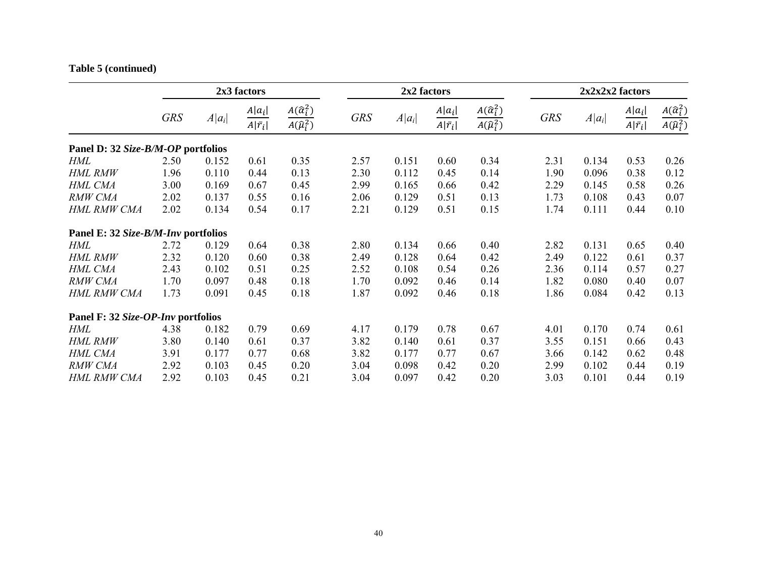| Table 5 (continued) |
|---------------------|

|                                     |            |          | 2x3 factors    |                           |            |          | 2x2 factors    |                        | $2x2x2x2$ factors |          |                |                           |
|-------------------------------------|------------|----------|----------------|---------------------------|------------|----------|----------------|------------------------|-------------------|----------|----------------|---------------------------|
|                                     | <b>GRS</b> |          | $A a_i $       | $A(\widehat{\alpha}_i^2)$ | <b>GRS</b> |          | $A a_i $       | $A(\hat{\alpha}_i^2)$  | <b>GRS</b>        |          | $A a_i $       | $A(\widehat{\alpha}_i^2)$ |
|                                     |            | $A a_i $ | $A \bar{r}_i $ | $A(\hat{\mu}_i^2)$        |            | $A a_i $ | $A \bar{r}_i $ | $A(\widehat{\mu}_i^2)$ |                   | $A a_i $ | $A \bar{r}_i $ | $A(\widehat{\mu}_i^2)$    |
| Panel D: 32 Size-B/M-OP portfolios  |            |          |                |                           |            |          |                |                        |                   |          |                |                           |
| HML                                 | 2.50       | 0.152    | 0.61           | 0.35                      | 2.57       | 0.151    | 0.60           | 0.34                   | 2.31              | 0.134    | 0.53           | 0.26                      |
| <b>HML RMW</b>                      | 1.96       | 0.110    | 0.44           | 0.13                      | 2.30       | 0.112    | 0.45           | 0.14                   | 1.90              | 0.096    | 0.38           | 0.12                      |
| HML CMA                             | 3.00       | 0.169    | 0.67           | 0.45                      | 2.99       | 0.165    | 0.66           | 0.42                   | 2.29              | 0.145    | 0.58           | 0.26                      |
| RMW CMA                             | 2.02       | 0.137    | 0.55           | 0.16                      | 2.06       | 0.129    | 0.51           | 0.13                   | 1.73              | 0.108    | 0.43           | 0.07                      |
| <b>HML RMW CMA</b>                  | 2.02       | 0.134    | 0.54           | 0.17                      | 2.21       | 0.129    | 0.51           | 0.15                   | 1.74              | 0.111    | 0.44           | 0.10                      |
| Panel E: 32 Size-B/M-Inv portfolios |            |          |                |                           |            |          |                |                        |                   |          |                |                           |
| HML                                 | 2.72       | 0.129    | 0.64           | 0.38                      | 2.80       | 0.134    | 0.66           | 0.40                   | 2.82              | 0.131    | 0.65           | 0.40                      |
| <b>HML RMW</b>                      | 2.32       | 0.120    | 0.60           | 0.38                      | 2.49       | 0.128    | 0.64           | 0.42                   | 2.49              | 0.122    | 0.61           | 0.37                      |
| HML CMA                             | 2.43       | 0.102    | 0.51           | 0.25                      | 2.52       | 0.108    | 0.54           | 0.26                   | 2.36              | 0.114    | 0.57           | 0.27                      |
| RMW CMA                             | 1.70       | 0.097    | 0.48           | 0.18                      | 1.70       | 0.092    | 0.46           | 0.14                   | 1.82              | 0.080    | 0.40           | 0.07                      |
| <b>HML RMW CMA</b>                  | 1.73       | 0.091    | 0.45           | 0.18                      | 1.87       | 0.092    | 0.46           | 0.18                   | 1.86              | 0.084    | 0.42           | 0.13                      |
| Panel F: 32 Size-OP-Inv portfolios  |            |          |                |                           |            |          |                |                        |                   |          |                |                           |
| HML                                 | 4.38       | 0.182    | 0.79           | 0.69                      | 4.17       | 0.179    | 0.78           | 0.67                   | 4.01              | 0.170    | 0.74           | 0.61                      |
| <b>HML RMW</b>                      | 3.80       | 0.140    | 0.61           | 0.37                      | 3.82       | 0.140    | 0.61           | 0.37                   | 3.55              | 0.151    | 0.66           | 0.43                      |
| HML CMA                             | 3.91       | 0.177    | 0.77           | 0.68                      | 3.82       | 0.177    | 0.77           | 0.67                   | 3.66              | 0.142    | 0.62           | 0.48                      |
| RMW CMA                             | 2.92       | 0.103    | 0.45           | 0.20                      | 3.04       | 0.098    | 0.42           | 0.20                   | 2.99              | 0.102    | 0.44           | 0.19                      |
| <b>HML RMW CMA</b>                  | 2.92       | 0.103    | 0.45           | 0.21                      | 3.04       | 0.097    | 0.42           | 0.20                   | 3.03              | 0.101    | 0.44           | 0.19                      |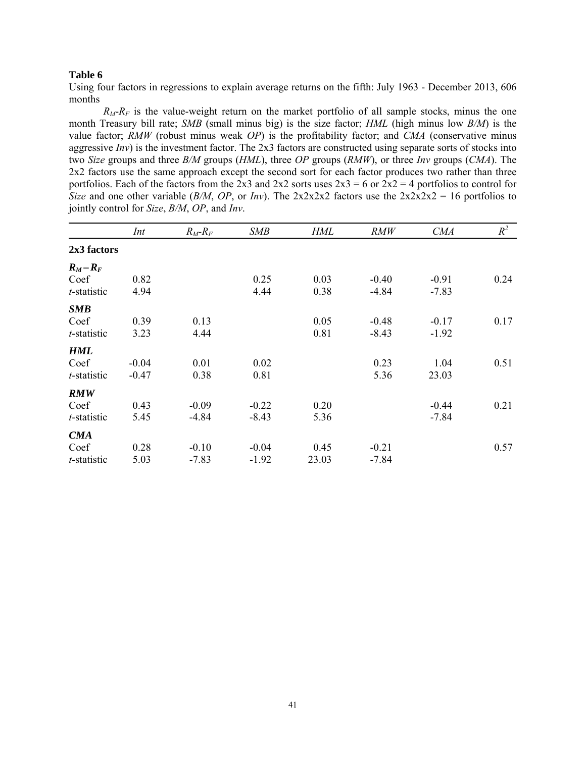Using four factors in regressions to explain average returns on the fifth: July 1963 - December 2013, 606 months

 $R_M-R_F$  is the value-weight return on the market portfolio of all sample stocks, minus the one month Treasury bill rate; *SMB* (small minus big) is the size factor; *HML* (high minus low *B/M*) is the value factor; *RMW* (robust minus weak *OP*) is the profitability factor; and *CMA* (conservative minus aggressive *Inv*) is the investment factor. The 2x3 factors are constructed using separate sorts of stocks into two *Size* groups and three *B/M* groups (*HML*), three *OP* groups (*RMW*), or three *Inv* groups (*CMA*). The 2x2 factors use the same approach except the second sort for each factor produces two rather than three portfolios. Each of the factors from the 2x3 and 2x2 sorts uses  $2x3 = 6$  or  $2x2 = 4$  portfolios to control for *Size* and one other variable (*B/M*, *OP*, or *Inv*). The 2x2x2x2 factors use the  $2x2x2x2 = 16$  portfolios to jointly control for *Size*, *B/M*, *OP*, and *Inv*.

|             | Int     | $R_M-R_F$ | <b>SMB</b> | HML   | <b>RMW</b> | <b>CMA</b> | $R^2$ |
|-------------|---------|-----------|------------|-------|------------|------------|-------|
| 2x3 factors |         |           |            |       |            |            |       |
| $R_M - R_F$ |         |           |            |       |            |            |       |
| Coef        | 0.82    |           | 0.25       | 0.03  | $-0.40$    | $-0.91$    | 0.24  |
| t-statistic | 4.94    |           | 4.44       | 0.38  | $-4.84$    | $-7.83$    |       |
| <b>SMB</b>  |         |           |            |       |            |            |       |
| Coef        | 0.39    | 0.13      |            | 0.05  | $-0.48$    | $-0.17$    | 0.17  |
| t-statistic | 3.23    | 4.44      |            | 0.81  | $-8.43$    | $-1.92$    |       |
| <b>HML</b>  |         |           |            |       |            |            |       |
| Coef        | $-0.04$ | 0.01      | 0.02       |       | 0.23       | 1.04       | 0.51  |
| t-statistic | $-0.47$ | 0.38      | 0.81       |       | 5.36       | 23.03      |       |
| <b>RMW</b>  |         |           |            |       |            |            |       |
| Coef        | 0.43    | $-0.09$   | $-0.22$    | 0.20  |            | $-0.44$    | 0.21  |
| t-statistic | 5.45    | $-4.84$   | $-8.43$    | 5.36  |            | $-7.84$    |       |
| CMA         |         |           |            |       |            |            |       |
| Coef        | 0.28    | $-0.10$   | $-0.04$    | 0.45  | $-0.21$    |            | 0.57  |
| t-statistic | 5.03    | $-7.83$   | $-1.92$    | 23.03 | $-7.84$    |            |       |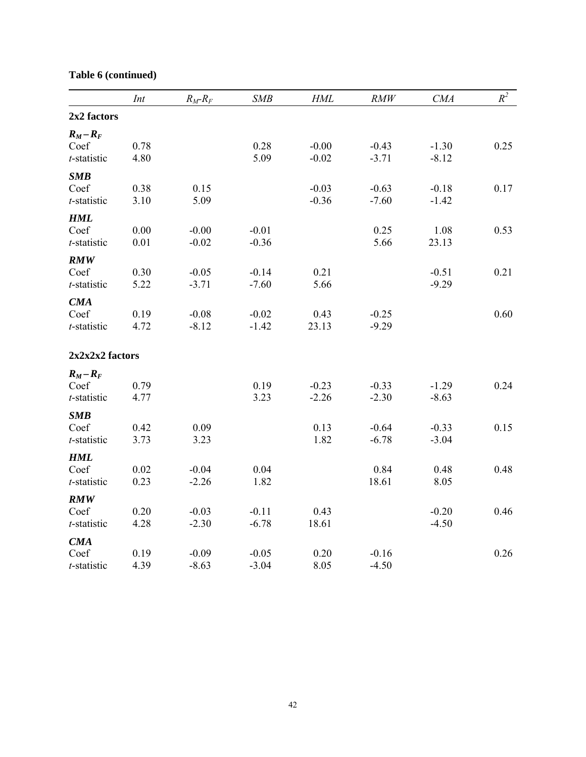|                                    | Int          | $R_M-R_F$          | <b>SMB</b>         | HML                | RMW                | CMA                | $R^2$ |
|------------------------------------|--------------|--------------------|--------------------|--------------------|--------------------|--------------------|-------|
| 2x2 factors                        |              |                    |                    |                    |                    |                    |       |
| $R_M - R_F$<br>Coef<br>t-statistic | 0.78<br>4.80 |                    | 0.28<br>5.09       | $-0.00$<br>$-0.02$ | $-0.43$<br>$-3.71$ | $-1.30$<br>$-8.12$ | 0.25  |
| SMB<br>Coef<br>t-statistic         | 0.38<br>3.10 | 0.15<br>5.09       |                    | $-0.03$<br>$-0.36$ | $-0.63$<br>$-7.60$ | $-0.18$<br>$-1.42$ | 0.17  |
| <b>HML</b><br>Coef<br>t-statistic  | 0.00<br>0.01 | $-0.00$<br>$-0.02$ | $-0.01$<br>$-0.36$ |                    | 0.25<br>5.66       | 1.08<br>23.13      | 0.53  |
| <b>RMW</b><br>Coef<br>t-statistic  | 0.30<br>5.22 | $-0.05$<br>$-3.71$ | $-0.14$<br>$-7.60$ | 0.21<br>5.66       |                    | $-0.51$<br>$-9.29$ | 0.21  |
| <b>CMA</b><br>Coef<br>t-statistic  | 0.19<br>4.72 | $-0.08$<br>$-8.12$ | $-0.02$<br>$-1.42$ | 0.43<br>23.13      | $-0.25$<br>$-9.29$ |                    | 0.60  |
| 2x2x22 factors                     |              |                    |                    |                    |                    |                    |       |
| $R_M - R_F$<br>Coef<br>t-statistic | 0.79<br>4.77 |                    | 0.19<br>3.23       | $-0.23$<br>$-2.26$ | $-0.33$<br>$-2.30$ | $-1.29$<br>$-8.63$ | 0.24  |
| SMB<br>Coef<br>t-statistic         | 0.42<br>3.73 | 0.09<br>3.23       |                    | 0.13<br>1.82       | $-0.64$<br>$-6.78$ | $-0.33$<br>$-3.04$ | 0.15  |
| <b>HML</b><br>Coef<br>t-statistic  | 0.02<br>0.23 | $-0.04$<br>$-2.26$ | 0.04<br>1.82       |                    | 0.84<br>18.61      | 0.48<br>8.05       | 0.48  |
| <b>RMW</b><br>Coef<br>t-statistic  | 0.20<br>4.28 | $-0.03$<br>$-2.30$ | $-0.11$<br>$-6.78$ | 0.43<br>18.61      |                    | $-0.20$<br>$-4.50$ | 0.46  |
| <b>CMA</b><br>Coef<br>t-statistic  | 0.19<br>4.39 | $-0.09$<br>$-8.63$ | $-0.05$<br>$-3.04$ | 0.20<br>8.05       | $-0.16$<br>$-4.50$ |                    | 0.26  |

# **Table 6 (continued)**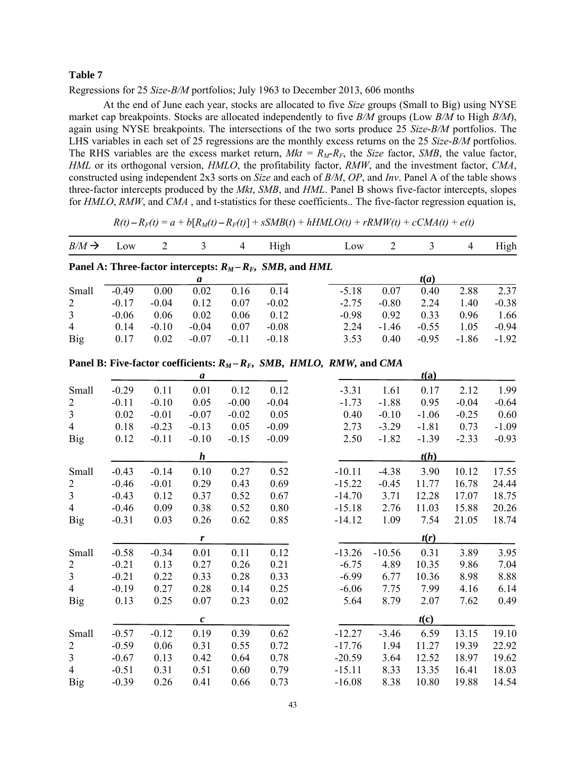Regressions for 25 *Size*-*B/M* portfolios; July 1963 to December 2013, 606 months

At the end of June each year, stocks are allocated to five *Size* groups (Small to Big) using NYSE market cap breakpoints. Stocks are allocated independently to five *B/M* groups (Low *B/M* to High *B/M*), again using NYSE breakpoints. The intersections of the two sorts produce 25 *Size*-*B/M* portfolios. The LHS variables in each set of 25 regressions are the monthly excess returns on the 25 *Size*-*B/M* portfolios. The RHS variables are the excess market return,  $Mkt = R_M-R_F$ , the *Size* factor, *SMB*, the value factor, *HML* or its orthogonal version, *HMLO*, the profitability factor, *RMW*, and the investment factor, *CMA*, constructed using independent 2x3 sorts on *Size* and each of *B/M*, *OP*, and *Inv*. Panel A of the table shows three-factor intercepts produced by the *Mkt*, *SMB*, and *HML*. Panel B shows five-factor intercepts, slopes for *HMLO*, *RMW*, and *CMA* , and t-statistics for these coefficients.. The five-factor regression equation is,

 $R(t) - R_F(t) = a + b[R_M(t) - R_F(t)] + sSMB(t) + hHMLO(t) + rRMW(t) + cCMA(t) + e(t)$ 

|                   | $\sqrt{2}$ | $\cdots$ | $\sqrt{1}$ | . . <i>.</i> . | $\sqrt{ }$                                                   | $\sqrt{ }$ | $\sqrt{2}$ | $\sqrt{2}$ | $\sqrt{2}$     |         |
|-------------------|------------|----------|------------|----------------|--------------------------------------------------------------|------------|------------|------------|----------------|---------|
| $B/M \rightarrow$ | Low        | 2        |            | $\overline{4}$ | High                                                         | Low        | 2          |            | $\overline{4}$ | High    |
|                   |            |          |            |                | Panel A: Three-factor intercepts: $R_M - R_F$ , SMB, and HML |            |            |            |                |         |
|                   |            |          | a          |                |                                                              |            |            | t(a)       |                |         |
| Small             | $-0.49$    | 0.00     | 0.02       | 0.16           | 0.14                                                         | $-5.18$    | 0.07       | 0.40       | 2.88           | 2.37    |
| $\overline{2}$    | $-0.17$    | $-0.04$  | 0.12       | 0.07           | $-0.02$                                                      | $-2.75$    | $-0.80$    | 2.24       | 1.40           | $-0.38$ |
| 3                 | $-0.06$    | 0.06     | 0.02       | 0.06           | 0.12                                                         | $-0.98$    | 0.92       | 0.33       | 0.96           | 1.66    |
| $\overline{4}$    | 0.14       | $-0.10$  | $-0.04$    | 0.07           | $-0.08$                                                      | 2.24       | $-1.46$    | $-0.55$    | 1.05           | $-0.94$ |
| <b>Big</b>        | 0.17       | 0.02     | $-0.07$    | $-0.11$        | $-0.18$                                                      | 3.53       | 0.40       | $-0.95$    | $-1.86$        | $-1.92$ |

**Panel B:** Five-factor coefficients:  $R_M - R_F$ , SMB, HMLO, RMW, and CMA

|                |         |         | a         |         |         |          |          | t(a)    |         |         |
|----------------|---------|---------|-----------|---------|---------|----------|----------|---------|---------|---------|
| Small          | $-0.29$ | 0.11    | 0.01      | 0.12    | 0.12    | $-3.31$  | 1.61     | 0.17    | 2.12    | 1.99    |
| $\overline{2}$ | $-0.11$ | $-0.10$ | 0.05      | $-0.00$ | $-0.04$ | $-1.73$  | $-1.88$  | 0.95    | $-0.04$ | $-0.64$ |
| $\overline{3}$ | 0.02    | $-0.01$ | $-0.07$   | $-0.02$ | 0.05    | 0.40     | $-0.10$  | $-1.06$ | $-0.25$ | 0.60    |
| $\overline{4}$ | 0.18    | $-0.23$ | $-0.13$   | 0.05    | $-0.09$ | 2.73     | $-3.29$  | $-1.81$ | 0.73    | $-1.09$ |
| <b>Big</b>     | 0.12    | $-0.11$ | $-0.10$   | $-0.15$ | $-0.09$ | 2.50     | $-1.82$  | $-1.39$ | $-2.33$ | $-0.93$ |
|                |         |         | $\bm{h}$  |         |         |          |          | t(h)    |         |         |
| Small          | $-0.43$ | $-0.14$ | 0.10      | 0.27    | 0.52    | $-10.11$ | $-4.38$  | 3.90    | 10.12   | 17.55   |
| $\overline{2}$ | $-0.46$ | $-0.01$ | 0.29      | 0.43    | 0.69    | $-15.22$ | $-0.45$  | 11.77   | 16.78   | 24.44   |
| $\overline{3}$ | $-0.43$ | 0.12    | 0.37      | 0.52    | 0.67    | $-14.70$ | 3.71     | 12.28   | 17.07   | 18.75   |
| $\overline{4}$ | $-0.46$ | 0.09    | 0.38      | 0.52    | 0.80    | $-15.18$ | 2.76     | 11.03   | 15.88   | 20.26   |
| Big            | $-0.31$ | 0.03    | 0.26      | 0.62    | 0.85    | $-14.12$ | 1.09     | 7.54    | 21.05   | 18.74   |
|                |         |         | r         |         |         |          |          | t(r)    |         |         |
| Small          | $-0.58$ | $-0.34$ | 0.01      | 0.11    | 0.12    | $-13.26$ | $-10.56$ | 0.31    | 3.89    | 3.95    |
| $\overline{2}$ | $-0.21$ | 0.13    | 0.27      | 0.26    | 0.21    | $-6.75$  | 4.89     | 10.35   | 9.86    | 7.04    |
| $\overline{3}$ | $-0.21$ | 0.22    | 0.33      | 0.28    | 0.33    | $-6.99$  | 6.77     | 10.36   | 8.98    | 8.88    |
| $\overline{4}$ | $-0.19$ | 0.27    | 0.28      | 0.14    | 0.25    | $-6.06$  | 7.75     | 7.99    | 4.16    | 6.14    |
| <b>Big</b>     | 0.13    | 0.25    | 0.07      | 0.23    | 0.02    | 5.64     | 8.79     | 2.07    | 7.62    | 0.49    |
|                |         |         | $\pmb{c}$ |         |         |          |          | t(c)    |         |         |
| Small          | $-0.57$ | $-0.12$ | 0.19      | 0.39    | 0.62    | $-12.27$ | $-3.46$  | 6.59    | 13.15   | 19.10   |
| $\overline{2}$ | $-0.59$ | 0.06    | 0.31      | 0.55    | 0.72    | $-17.76$ | 1.94     | 11.27   | 19.39   | 22.92   |
| $\overline{3}$ | $-0.67$ | 0.13    | 0.42      | 0.64    | 0.78    | $-20.59$ | 3.64     | 12.52   | 18.97   | 19.62   |
|                |         |         |           |         |         | $-15.11$ | 8.33     | 13.35   | 16.41   | 18.03   |
| $\overline{4}$ | $-0.51$ | 0.31    | 0.51      | 0.60    | 0.79    |          |          |         |         |         |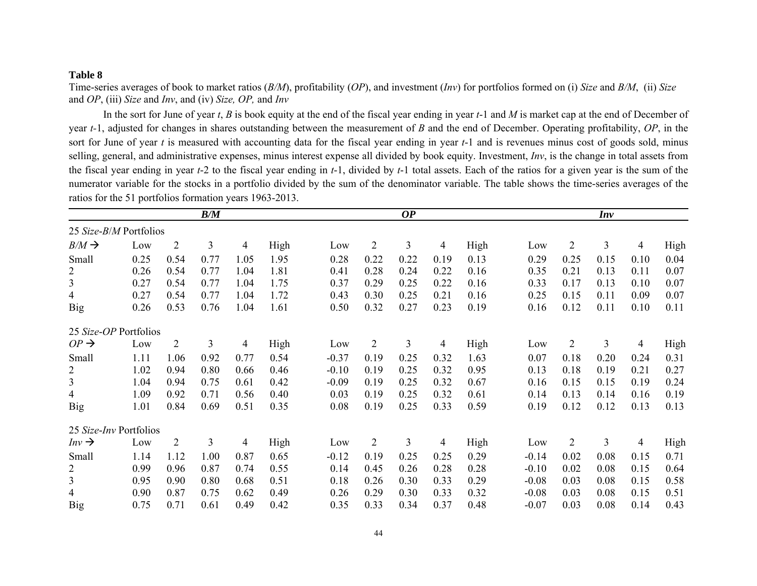Time-series averages of book to market ratios (*B/M*), profitability (*OP*), and investment (*Inv*) for portfolios formed on (i) *Size* and *B/M*, (ii) *Size* and *OP*, (iii) *Size* and *Inv*, and (iv) *Size, OP,* and *Inv*

In the sort for June of year *<sup>t</sup>*, *B* is book equity at the end of the fiscal year ending in year *t*-1 and *M* is market cap at the end of December of year *t-*1, adjusted for changes in shares outstanding between the measurement of *B* and the end of December. Operating profitability, *OP*, in the sort for June of year *t* is measured with accounting data for the fiscal year ending in year *t*-1 and is revenues minus cost of goods sold, minus selling, general, and administrative expenses, minus interest expense all divided by book equity. Investment, *Inv*, is the change in total assets from the fiscal year ending in year *t*-2 to the fiscal year ending in *t*-1, divided by *t*-1 total assets. Each of the ratios for a given year is the sum of the numerator variable for the stocks in a portfolio divided by the sum of the denominator variable. The table shows the time-series averages of the ratios for the 51 portfolios formation years 1963-2013.

|                         |                        |                | B/M  |      |      |         |                | OP             |                |      |         |                | <b>Inv</b>     |      |      |
|-------------------------|------------------------|----------------|------|------|------|---------|----------------|----------------|----------------|------|---------|----------------|----------------|------|------|
|                         | 25 Size-B/M Portfolios |                |      |      |      |         |                |                |                |      |         |                |                |      |      |
| $B/M \rightarrow$       | Low                    | 2              | 3    | 4    | High | Low     | 2              | 3              | $\overline{4}$ | High | Low     | 2              | 3              | 4    | High |
| Small                   | 0.25                   | 0.54           | 0.77 | 1.05 | 1.95 | 0.28    | 0.22           | 0.22           | 0.19           | 0.13 | 0.29    | 0.25           | 0.15           | 0.10 | 0.04 |
| $\overline{2}$          | 0.26                   | 0.54           | 0.77 | 1.04 | 1.81 | 0.41    | 0.28           | 0.24           | 0.22           | 0.16 | 0.35    | 0.21           | 0.13           | 0.11 | 0.07 |
| 3                       | 0.27                   | 0.54           | 0.77 | 1.04 | 1.75 | 0.37    | 0.29           | 0.25           | 0.22           | 0.16 | 0.33    | 0.17           | 0.13           | 0.10 | 0.07 |
| 4                       | 0.27                   | 0.54           | 0.77 | 1.04 | 1.72 | 0.43    | 0.30           | 0.25           | 0.21           | 0.16 | 0.25    | 0.15           | 0.11           | 0.09 | 0.07 |
| <b>Big</b>              | 0.26                   | 0.53           | 0.76 | 1.04 | 1.61 | 0.50    | 0.32           | 0.27           | 0.23           | 0.19 | 0.16    | 0.12           | 0.11           | 0.10 | 0.11 |
|                         | 25 Size-OP Portfolios  |                |      |      |      |         |                |                |                |      |         |                |                |      |      |
| $OP \rightarrow$        | Low                    | $\overline{2}$ | 3    | 4    | High | Low     | $\overline{2}$ | 3              | $\overline{4}$ | High | Low     | $\overline{2}$ | 3              | 4    | High |
| Small                   | 1.11                   | 1.06           | 0.92 | 0.77 | 0.54 | $-0.37$ | 0.19           | 0.25           | 0.32           | 1.63 | 0.07    | 0.18           | 0.20           | 0.24 | 0.31 |
| $\overline{c}$          | 1.02                   | 0.94           | 0.80 | 0.66 | 0.46 | $-0.10$ | 0.19           | 0.25           | 0.32           | 0.95 | 0.13    | 0.18           | 0.19           | 0.21 | 0.27 |
| 3                       | 1.04                   | 0.94           | 0.75 | 0.61 | 0.42 | $-0.09$ | 0.19           | 0.25           | 0.32           | 0.67 | 0.16    | 0.15           | 0.15           | 0.19 | 0.24 |
| $\overline{4}$          | 1.09                   | 0.92           | 0.71 | 0.56 | 0.40 | 0.03    | 0.19           | 0.25           | 0.32           | 0.61 | 0.14    | 0.13           | 0.14           | 0.16 | 0.19 |
| <b>Big</b>              | 1.01                   | 0.84           | 0.69 | 0.51 | 0.35 | 0.08    | 0.19           | 0.25           | 0.33           | 0.59 | 0.19    | 0.12           | 0.12           | 0.13 | 0.13 |
| 25 Size-Inv Portfolios  |                        |                |      |      |      |         |                |                |                |      |         |                |                |      |      |
| $Inv \rightarrow$       | Low                    | $\overline{2}$ | 3    | 4    | High | Low     | $\overline{2}$ | $\overline{3}$ | 4              | High | Low     | $\overline{2}$ | $\overline{3}$ | 4    | High |
| Small                   | 1.14                   | 1.12           | 1.00 | 0.87 | 0.65 | $-0.12$ | 0.19           | 0.25           | 0.25           | 0.29 | $-0.14$ | 0.02           | 0.08           | 0.15 | 0.71 |
| $\overline{c}$          | 0.99                   | 0.96           | 0.87 | 0.74 | 0.55 | 0.14    | 0.45           | 0.26           | 0.28           | 0.28 | $-0.10$ | 0.02           | 0.08           | 0.15 | 0.64 |
| $\overline{\mathbf{3}}$ | 0.95                   | 0.90           | 0.80 | 0.68 | 0.51 | 0.18    | 0.26           | 0.30           | 0.33           | 0.29 | $-0.08$ | 0.03           | 0.08           | 0.15 | 0.58 |
| $\overline{4}$          | 0.90                   | 0.87           | 0.75 | 0.62 | 0.49 | 0.26    | 0.29           | 0.30           | 0.33           | 0.32 | $-0.08$ | 0.03           | 0.08           | 0.15 | 0.51 |
| Big                     | 0.75                   | 0.71           | 0.61 | 0.49 | 0.42 | 0.35    | 0.33           | 0.34           | 0.37           | 0.48 | $-0.07$ | 0.03           | 0.08           | 0.14 | 0.43 |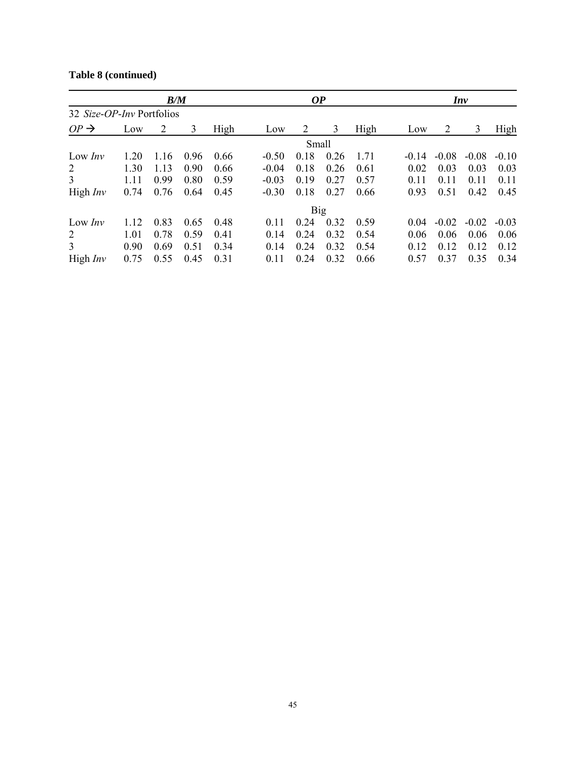|  |  | Table 8 (continued) |
|--|--|---------------------|
|--|--|---------------------|

|                           |      | B/M  |      |      |         | <b>OP</b>  |      |      |         |         | Inv     |         |
|---------------------------|------|------|------|------|---------|------------|------|------|---------|---------|---------|---------|
| 32 Size-OP-Inv Portfolios |      |      |      |      |         |            |      |      |         |         |         |         |
| $OP \rightarrow$          | Low  | 2    | 3    | High | Low     | 2          | 3    | High | Low     | 2       | 3       | High    |
|                           |      |      |      |      |         | Small      |      |      |         |         |         |         |
| Low $Inv$                 | 1.20 | 1.16 | 0.96 | 0.66 | $-0.50$ | 0.18       | 0.26 | 1.71 | $-0.14$ | $-0.08$ | $-0.08$ | $-0.10$ |
| $\overline{2}$            | 1.30 | 1.13 | 0.90 | 0.66 | $-0.04$ | 0.18       | 0.26 | 0.61 | 0.02    | 0.03    | 0.03    | 0.03    |
| 3                         | 1.11 | 0.99 | 0.80 | 0.59 | $-0.03$ | 0.19       | 0.27 | 0.57 | 0.11    | 0.11    | 0.11    | 0.11    |
| High $Inv$                | 0.74 | 0.76 | 0.64 | 0.45 | $-0.30$ | 0.18       | 0.27 | 0.66 | 0.93    | 0.51    | 0.42    | 0.45    |
|                           |      |      |      |      |         | <b>Big</b> |      |      |         |         |         |         |
| Low $Inv$                 | 1.12 | 0.83 | 0.65 | 0.48 | 0.11    | 0.24       | 0.32 | 0.59 | 0.04    | $-0.02$ | $-0.02$ | $-0.03$ |
| 2                         | 1.01 | 0.78 | 0.59 | 0.41 | 0.14    | 0.24       | 0.32 | 0.54 | 0.06    | 0.06    | 0.06    | 0.06    |
| 3                         | 0.90 | 0.69 | 0.51 | 0.34 | 0.14    | 0.24       | 0.32 | 0.54 | 0.12    | 0.12    | 0.12    | 0.12    |
| High $Inv$                | 0.75 | 0.55 | 0.45 | 0.31 | 0.11    | 0.24       | 0.32 | 0.66 | 0.57    | 0.37    | 0.35    | 0.34    |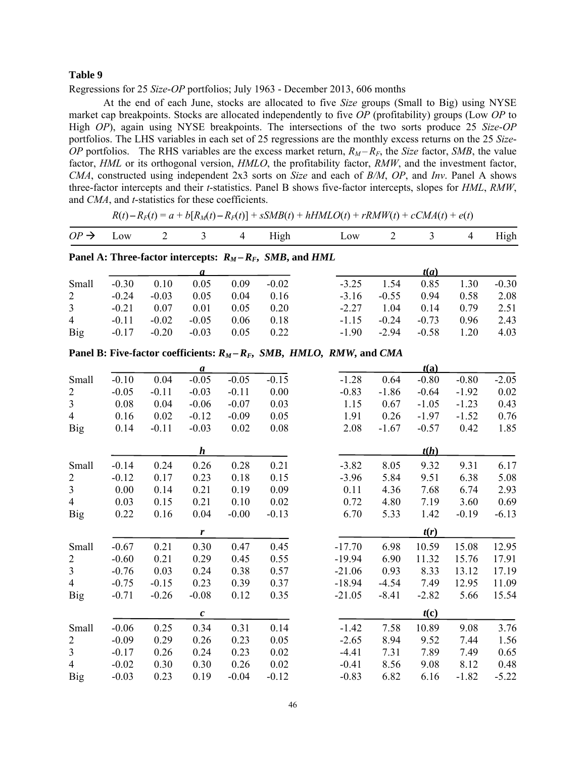Regressions for 25 *Size*-*OP* portfolios; July 1963 - December 2013, 606 months

At the end of each June, stocks are allocated to five *Size* groups (Small to Big) using NYSE market cap breakpoints. Stocks are allocated independently to five *OP* (profitability) groups (Low *OP* to High *OP*), again using NYSE breakpoints. The intersections of the two sorts produce 25 *Size*-*OP* portfolios. The LHS variables in each set of 25 regressions are the monthly excess returns on the 25 *Size*-*OP* portfolios. The RHS variables are the excess market return,  $R_M - R_F$ , the *Size* factor, *SMB*, the value factor, *HML* or its orthogonal version, *HMLO*, the profitability factor, *RMW*, and the investment factor, *CMA*, constructed using independent 2x3 sorts on *Size* and each of *B/M*, *OP*, and *Inv*. Panel A shows three-factor intercepts and their *t*-statistics. Panel B shows five-factor intercepts, slopes for *HML*, *RMW*, and *CMA*, and *t*-statistics for these coefficients.

 $R(t) - R_F(t) = a + b[R_M(t) - R_F(t)] + sSMB(t) + hHMLO(t) + rRMW(t) + cCMA(t) + e(t)$ 

| $OP \rightarrow$ | Low     |         |      | 4    | High                                                         | Low     |         |      |      | High    |
|------------------|---------|---------|------|------|--------------------------------------------------------------|---------|---------|------|------|---------|
|                  |         |         |      |      | Panel A: Three-factor intercepts: $R_M - R_F$ , SMB, and HML |         |         |      |      |         |
|                  |         |         |      |      |                                                              |         |         | t(a) |      |         |
| Small            | $-0.30$ | 0.10    | 0.05 | 0.09 | $-0.02$                                                      | $-3.25$ | 1.54    | 0.85 | 1.30 | $-0.30$ |
|                  | $-0.24$ | $-0.03$ | 0.05 | 0.04 | 0.16                                                         | $-3.16$ | $-0.55$ | 0.94 | 0.58 | 2.08    |

3 -0.21 0.07 0.01 0.05 0.20 -2.27 1.04 0.14 0.79 2.51 4 -0.11 -0.02 -0.05 0.06 0.18 -1.15 -0.24 -0.73 0.96 2.43 Big -0.17 -0.20 -0.03 0.05 0.22 -1.90 -2.94 -0.58 1.20 4.03

| Panel B: Five-factor coefficients: $R_M - R_F$ , SMB, HMLO, RMW, and CMA |  |  |  |  |
|--------------------------------------------------------------------------|--|--|--|--|
|--------------------------------------------------------------------------|--|--|--|--|

|                |         |         | $\boldsymbol{a}$ |         |         |          |         | t(a)    |         |         |
|----------------|---------|---------|------------------|---------|---------|----------|---------|---------|---------|---------|
| Small          | $-0.10$ | 0.04    | $-0.05$          | $-0.05$ | $-0.15$ | $-1.28$  | 0.64    | $-0.80$ | $-0.80$ | $-2.05$ |
| $\overline{2}$ | $-0.05$ | $-0.11$ | $-0.03$          | $-0.11$ | 0.00    | $-0.83$  | $-1.86$ | $-0.64$ | $-1.92$ | 0.02    |
| $\overline{3}$ | 0.08    | 0.04    | $-0.06$          | $-0.07$ | 0.03    | 1.15     | 0.67    | $-1.05$ | $-1.23$ | 0.43    |
| $\overline{4}$ | 0.16    | 0.02    | $-0.12$          | $-0.09$ | 0.05    | 1.91     | 0.26    | $-1.97$ | $-1.52$ | 0.76    |
| <b>Big</b>     | 0.14    | $-0.11$ | $-0.03$          | 0.02    | 0.08    | 2.08     | $-1.67$ | $-0.57$ | 0.42    | 1.85    |
|                |         |         | $\boldsymbol{h}$ |         |         |          |         | t(h)    |         |         |
| Small          | $-0.14$ | 0.24    | 0.26             | 0.28    | 0.21    | $-3.82$  | 8.05    | 9.32    | 9.31    | 6.17    |
| $\overline{2}$ | $-0.12$ | 0.17    | 0.23             | 0.18    | 0.15    | $-3.96$  | 5.84    | 9.51    | 6.38    | 5.08    |
| $\overline{3}$ | 0.00    | 0.14    | 0.21             | 0.19    | 0.09    | 0.11     | 4.36    | 7.68    | 6.74    | 2.93    |
| $\overline{4}$ | 0.03    | 0.15    | 0.21             | 0.10    | 0.02    | 0.72     | 4.80    | 7.19    | 3.60    | 0.69    |
| <b>Big</b>     | 0.22    | 0.16    | 0.04             | $-0.00$ | $-0.13$ | 6.70     | 5.33    | 1.42    | $-0.19$ | $-6.13$ |
|                |         |         |                  |         |         |          |         |         |         |         |
|                |         |         | $\boldsymbol{r}$ |         |         |          |         | t(r)    |         |         |
| Small          | $-0.67$ | 0.21    | 0.30             | 0.47    | 0.45    | $-17.70$ | 6.98    | 10.59   | 15.08   | 12.95   |
| $\overline{2}$ | $-0.60$ | 0.21    | 0.29             | 0.45    | 0.55    | $-19.94$ | 6.90    | 11.32   | 15.76   | 17.91   |
| $\overline{3}$ | $-0.76$ | 0.03    | 0.24             | 0.38    | 0.57    | $-21.06$ | 0.93    | 8.33    | 13.12   | 17.19   |
| $\overline{4}$ | $-0.75$ | $-0.15$ | 0.23             | 0.39    | 0.37    | $-18.94$ | $-4.54$ | 7.49    | 12.95   | 11.09   |
| <b>Big</b>     | $-0.71$ | $-0.26$ | $-0.08$          | 0.12    | 0.35    | $-21.05$ | $-8.41$ | $-2.82$ | 5.66    | 15.54   |
|                |         |         | $\pmb{c}$        |         |         |          |         | t(c)    |         |         |
| Small          | $-0.06$ | 0.25    | 0.34             | 0.31    | 0.14    | $-1.42$  | 7.58    | 10.89   | 9.08    | 3.76    |
| $\overline{2}$ | $-0.09$ | 0.29    | 0.26             | 0.23    | 0.05    | $-2.65$  | 8.94    | 9.52    | 7.44    | 1.56    |
| $\overline{3}$ | $-0.17$ | 0.26    | 0.24             | 0.23    | 0.02    | $-4.41$  | 7.31    | 7.89    | 7.49    | 0.65    |
| $\overline{4}$ | $-0.02$ | 0.30    | 0.30             | 0.26    | 0.02    | $-0.41$  | 8.56    | 9.08    | 8.12    | 0.48    |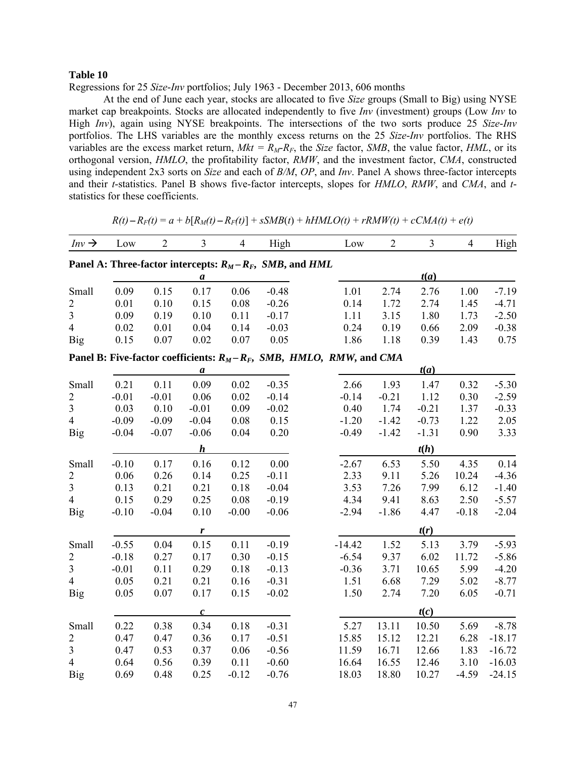Regressions for 25 *Size*-*Inv* portfolios; July 1963 - December 2013, 606 months

At the end of June each year, stocks are allocated to five *Size* groups (Small to Big) using NYSE market cap breakpoints. Stocks are allocated independently to five *Inv* (investment) groups (Low *Inv* to High *Inv*), again using NYSE breakpoints. The intersections of the two sorts produce 25 *Size*-*Inv* portfolios. The LHS variables are the monthly excess returns on the 25 *Size*-*Inv* portfolios. The RHS variables are the excess market return,  $Mkt = R_M-R_F$ , the *Size* factor, *SMB*, the value factor, *HML*, or its orthogonal version, *HMLO*, the profitability factor, *RMW*, and the investment factor, *CMA*, constructed using independent 2x3 sorts on *Size* and each of *B/M*, *OP*, and *Inv*. Panel A shows three-factor intercepts and their *t*-statistics. Panel B shows five-factor intercepts, slopes for *HMLO*, *RMW*, and *CMA*, and *t*statistics for these coefficients.

 $R(t) - R_F(t) = a + b[R_M(t) - R_F(t)] + sSMB(t) + hHMLO(t) + rRMW(t) + cCMA(t) + e(t)$ 

| $Inv \rightarrow$ | Low     | $\overline{2}$ | 3                | $\overline{4}$ | High                                                                     | Low      | $\overline{2}$ | $\overline{3}$     | $\overline{4}$ | High     |
|-------------------|---------|----------------|------------------|----------------|--------------------------------------------------------------------------|----------|----------------|--------------------|----------------|----------|
|                   |         |                |                  |                | Panel A: Three-factor intercepts: $R_M - R_F$ , SMB, and HML             |          |                |                    |                |          |
|                   |         |                | a                |                |                                                                          |          |                | t(a)               |                |          |
| Small             | 0.09    | 0.15           | 0.17             | 0.06           | $-0.48$                                                                  | 1.01     | 2.74           | 2.76               | 1.00           | $-7.19$  |
| $\overline{2}$    | 0.01    | 0.10           | 0.15             | 0.08           | $-0.26$                                                                  | 0.14     | 1.72           | 2.74               | 1.45           | $-4.71$  |
| 3                 | 0.09    | 0.19           | 0.10             | 0.11           | $-0.17$                                                                  | 1.11     | 3.15           | 1.80               | 1.73           | $-2.50$  |
| $\overline{4}$    | 0.02    | 0.01           | 0.04             | 0.14           | $-0.03$                                                                  | 0.24     | 0.19           | 0.66               | 2.09           | $-0.38$  |
| <b>Big</b>        | 0.15    | 0.07           | 0.02             | 0.07           | 0.05                                                                     | 1.86     | 1.18           | 0.39               | 1.43           | 0.75     |
|                   |         |                |                  |                | Panel B: Five-factor coefficients: $R_M - R_F$ , SMB, HMLO, RMW, and CMA |          |                |                    |                |          |
|                   |         |                | $\boldsymbol{a}$ |                |                                                                          |          |                | t(a)               |                |          |
| Small             | 0.21    | 0.11           | 0.09             | 0.02           | $-0.35$                                                                  | 2.66     | 1.93           | 1.47               | 0.32           | $-5.30$  |
| $\overline{2}$    | $-0.01$ | $-0.01$        | 0.06             | 0.02           | $-0.14$                                                                  | $-0.14$  | $-0.21$        | 1.12               | 0.30           | $-2.59$  |
| $\overline{3}$    | 0.03    | 0.10           | $-0.01$          | 0.09           | $-0.02$                                                                  | 0.40     | 1.74           | $-0.21$            | 1.37           | $-0.33$  |
| $\overline{4}$    | $-0.09$ | $-0.09$        | $-0.04$          | 0.08           | 0.15                                                                     | $-1.20$  | $-1.42$        | $-0.73$            | 1.22           | 2.05     |
| <b>Big</b>        | $-0.04$ | $-0.07$        | $-0.06$          | 0.04           | 0.20                                                                     | $-0.49$  | $-1.42$        | $-1.31$            | 0.90           | 3.33     |
|                   |         |                | $\boldsymbol{h}$ |                |                                                                          |          |                | t(h)               |                |          |
| Small             | $-0.10$ | 0.17           | 0.16             | 0.12           | 0.00                                                                     | $-2.67$  | 6.53           | 5.50               | 4.35           | 0.14     |
| $\overline{2}$    | 0.06    | 0.26           | 0.14             | 0.25           | $-0.11$                                                                  | 2.33     | 9.11           | 5.26               | 10.24          | $-4.36$  |
| $\mathfrak{Z}$    | 0.13    | 0.21           | 0.21             | 0.18           | $-0.04$                                                                  | 3.53     | 7.26           | 7.99               | 6.12           | $-1.40$  |
| $\overline{4}$    | 0.15    | 0.29           | 0.25             | 0.08           | $-0.19$                                                                  | 4.34     | 9.41           | 8.63               | 2.50           | $-5.57$  |
| <b>Big</b>        | $-0.10$ | $-0.04$        | 0.10             | $-0.00$        | $-0.06$                                                                  | $-2.94$  | $-1.86$        | 4.47               | $-0.18$        | $-2.04$  |
|                   |         |                | $\boldsymbol{r}$ |                |                                                                          |          |                | t(r)               |                |          |
| Small             | $-0.55$ | 0.04           | 0.15             | 0.11           | $-0.19$                                                                  | $-14.42$ | 1.52           | 5.13               | 3.79           | $-5.93$  |
| $\overline{2}$    | $-0.18$ | 0.27           | 0.17             | 0.30           | $-0.15$                                                                  | $-6.54$  | 9.37           | 6.02               | 11.72          | $-5.86$  |
| $\mathfrak{Z}$    | $-0.01$ | 0.11           | 0.29             | 0.18           | $-0.13$                                                                  | $-0.36$  | 3.71           | 10.65              | 5.99           | $-4.20$  |
| $\overline{4}$    | 0.05    | 0.21           | 0.21             | 0.16           | $-0.31$                                                                  | 1.51     | 6.68           | 7.29               | 5.02           | $-8.77$  |
| <b>Big</b>        | 0.05    | 0.07           | 0.17             | 0.15           | $-0.02$                                                                  | 1.50     | 2.74           | 7.20               | 6.05           | $-0.71$  |
|                   |         |                | $\mathbf{c}$     |                |                                                                          |          |                | $t(\underline{c})$ |                |          |
| Small             | 0.22    | 0.38           | 0.34             | 0.18           | $-0.31$                                                                  | 5.27     | 13.11          | 10.50              | 5.69           | $-8.78$  |
| $\boldsymbol{2}$  | 0.47    | 0.47           | 0.36             | 0.17           | $-0.51$                                                                  | 15.85    | 15.12          | 12.21              | 6.28           | $-18.17$ |
| $\mathfrak{Z}$    | 0.47    | 0.53           | 0.37             | 0.06           | $-0.56$                                                                  | 11.59    | 16.71          | 12.66              | 1.83           | $-16.72$ |
| $\overline{4}$    | 0.64    | 0.56           | 0.39             | 0.11           | $-0.60$                                                                  | 16.64    | 16.55          | 12.46              | 3.10           | $-16.03$ |
| <b>Big</b>        | 0.69    | 0.48           | 0.25             | $-0.12$        | $-0.76$                                                                  | 18.03    | 18.80          | 10.27              | $-4.59$        | $-24.15$ |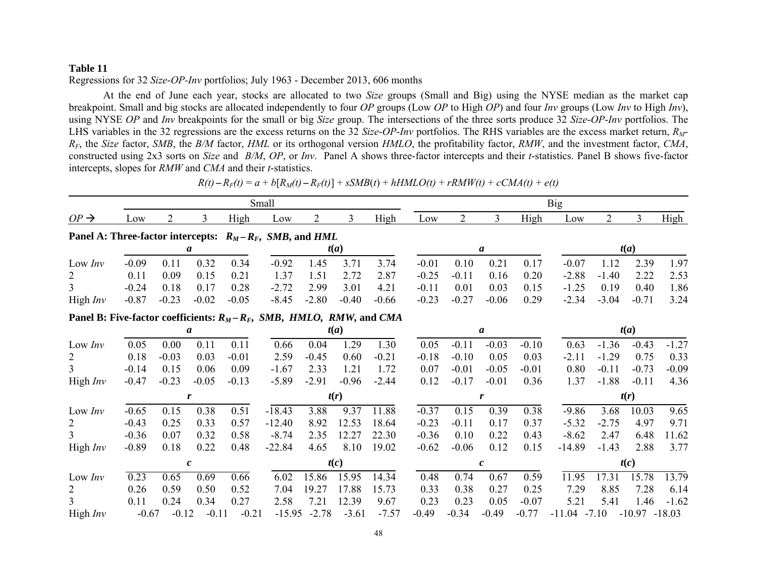Regressions for 32 *Size*-*OP-Inv* portfolios; July 1963 - December 2013, 606 months

At the end of June each year, stocks are allocated to two *Size* groups (Small and Big) using the NYSE median as the market cap breakpoint. Small and big stocks are allocated independently to four *OP* groups (Low *OP* to High *OP*) and four *Inv* groups (Low *Inv* to High *Inv*), using NYSE *OP* and *Inv* breakpoints for the small or big *Size* group. The intersections of the three sorts produce 32 *Size*-*OP*-*Inv* portfolios. The LHS variables in the 32 regressions are the excess returns on the 32 *Size*-*OP*-*Inv* portfolios. The RHS variables are the excess market return, *RM*-*RF*, the *Size* factor, *SMB*, the *B/M* factor, *HML* or its orthogonal version *HMLO*, the profitability factor, *RMW*, and the investment factor, *CMA*, constructed using 2x3 sorts on *Size* and *B/M*, *OP*, or *Inv*. Panel A shows three-factor intercepts and their *t*-statistics. Panel B shows five-factor intercepts, slopes for *RMW* and *CMA* and their *t*-statistics.

|                                                                          |         |         |                  |         | Small    |         |         |         |         |                |                  |         | <b>Big</b>       |                |                  |         |
|--------------------------------------------------------------------------|---------|---------|------------------|---------|----------|---------|---------|---------|---------|----------------|------------------|---------|------------------|----------------|------------------|---------|
| $OP \rightarrow$                                                         | Low     | 2       | 3                | High    | Low      | 2       | 3       | High    | Low     | $\overline{2}$ | 3                | High    | Low              | $\overline{2}$ | $\overline{3}$   | High    |
| Panel A: Three-factor intercepts: $R_M - R_F$ , SMB, and HML             |         |         |                  |         |          |         |         |         |         |                |                  |         |                  |                |                  |         |
|                                                                          |         |         | a                |         |          |         | t(a)    |         |         |                | a                |         |                  |                | t(a)             |         |
| Low $Inv$                                                                | $-0.09$ | 0.11    | 0.32             | 0.34    | $-0.92$  | 1.45    | 3.71    | 3.74    | $-0.01$ | 0.10           | 0.21             | 0.17    | $-0.07$          | 1.12           | 2.39             | 1.97    |
| 2                                                                        | 0.11    | 0.09    | 0.15             | 0.21    | 1.37     | 1.51    | 2.72    | 2.87    | $-0.25$ | $-0.11$        | 0.16             | 0.20    | $-2.88$          | $-1.40$        | 2.22             | 2.53    |
| 3                                                                        | $-0.24$ | 0.18    | 0.17             | 0.28    | $-2.72$  | 2.99    | 3.01    | 4.21    | $-0.11$ | 0.01           | 0.03             | 0.15    | $-1.25$          | 0.19           | 0.40             | 1.86    |
| High $Inv$                                                               | $-0.87$ | $-0.23$ | $-0.02$          | $-0.05$ | $-8.45$  | $-2.80$ | $-0.40$ | $-0.66$ | $-0.23$ | $-0.27$        | $-0.06$          | 0.29    | $-2.34$          | $-3.04$        | $-0.71$          | 3.24    |
| Panel B: Five-factor coefficients: $R_M - R_F$ , SMB, HMLO, RMW, and CMA |         |         |                  |         |          |         |         |         |         |                |                  |         |                  |                |                  |         |
|                                                                          |         |         | a                |         |          |         | t(a)    |         |         |                | a                |         |                  |                | t(a)             |         |
| Low $Inv$                                                                | 0.05    | 0.00    | 0.11             | 0.11    | 0.66     | 0.04    | 1.29    | 1.30    | 0.05    | $-0.11$        | $-0.03$          | $-0.10$ | 0.63             | $-1.36$        | $-0.43$          | $-1.27$ |
| $\overline{2}$                                                           | 0.18    | $-0.03$ | 0.03             | $-0.01$ | 2.59     | $-0.45$ | 0.60    | $-0.21$ | $-0.18$ | $-0.10$        | 0.05             | 0.03    | $-2.11$          | $-1.29$        | 0.75             | 0.33    |
| 3                                                                        | $-0.14$ | 0.15    | 0.06             | 0.09    | $-1.67$  | 2.33    | 1.21    | 1.72    | 0.07    | $-0.01$        | $-0.05$          | $-0.01$ | 0.80             | $-0.11$        | $-0.73$          | $-0.09$ |
| High $Inv$                                                               | $-0.47$ | $-0.23$ | $-0.05$          | $-0.13$ | $-5.89$  | $-2.91$ | $-0.96$ | $-2.44$ | 0.12    | $-0.17$        | $-0.01$          | 0.36    | 1.37             | $-1.88$        | $-0.11$          | 4.36    |
|                                                                          |         |         | r                |         |          |         | t(r)    |         |         |                | r                |         |                  |                | t(r)             |         |
| Low $Inv$                                                                | $-0.65$ | 0.15    | 0.38             | 0.51    | $-18.43$ | 3.88    | 9.37    | 11.88   | $-0.37$ | 0.15           | 0.39             | 0.38    | $-9.86$          | 3.68           | 10.03            | 9.65    |
| $\overline{2}$                                                           | $-0.43$ | 0.25    | 0.33             | 0.57    | $-12.40$ | 8.92    | 12.53   | 18.64   | $-0.23$ | $-0.11$        | 0.17             | 0.37    | $-5.32$          | $-2.75$        | 4.97             | 9.71    |
| 3                                                                        | $-0.36$ | 0.07    | 0.32             | 0.58    | $-8.74$  | 2.35    | 12.27   | 22.30   | $-0.36$ | 0.10           | 0.22             | 0.43    | $-8.62$          | 2.47           | 6.48             | 11.62   |
| High $Inv$                                                               | $-0.89$ | 0.18    | 0.22             | 0.48    | $-22.84$ | 4.65    | 8.10    | 19.02   | $-0.62$ | $-0.06$        | 0.12             | 0.15    | $-14.89$         | $-1.43$        | 2.88             | 3.77    |
|                                                                          |         |         | $\boldsymbol{c}$ |         |          |         | t(c)    |         |         |                | $\boldsymbol{c}$ |         |                  |                | t(c)             |         |
| Low $Inv$                                                                | 0.23    | 0.65    | 0.69             | 0.66    | 6.02     | 15.86   | 15.95   | 14.34   | 0.48    | 0.74           | 0.67             | 0.59    | 11.95            | 17.31          | 15.78            | 13.79   |
| $\overline{c}$                                                           | 0.26    | 0.59    | 0.50             | 0.52    | 7.04     | 19.27   | 17.88   | 15.73   | 0.33    | 0.38           | 0.27             | 0.25    | 7.29             | 8.85           | 7.28             | 6.14    |
| 3                                                                        | 0.11    | 0.24    | 0.34             | 0.27    | 2.58     | 7.21    | 12.39   | 9.67    | 0.23    | 0.23           | 0.05             | $-0.07$ | 5.21             | 5.41           | 1.46             | $-1.62$ |
| High $Inv$                                                               | $-0.67$ | $-0.12$ | $-0.11$          | $-0.21$ | $-15.95$ | $-2.78$ | $-3.61$ | $-7.57$ | $-0.49$ | $-0.34$        | $-0.49$          | $-0.77$ | $-11.04$ $-7.10$ |                | $-10.97 - 18.03$ |         |

 $R(t) - R_F(t) = a + b[R_M(t) - R_F(t)] + sSMB(t) + hHMLO(t) + rRMW(t) + cCMA(t) + e(t)$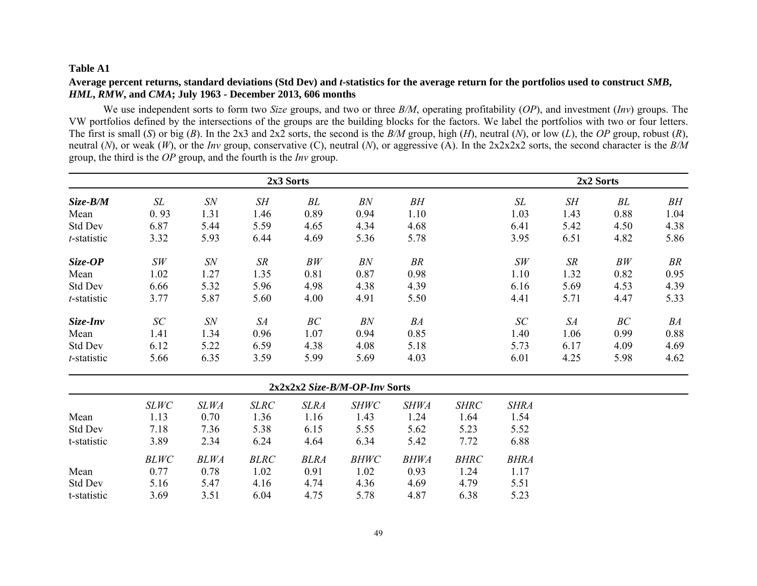# **Average percent returns, standard deviations (Std Dev) and** *t***-statistics for the average return for the portfolios used to construct** *SMB***,**  *HML***,** *RMW***, and** *CMA***; July 1963 - December 2013, 606 months**

We use independent sorts to form two *Size* groups, and two or three *B/M*, operating profitability (*OP*), and investment (*Inv*) groups. The VW portfolios defined by the intersections of the groups are the building blocks for the factors. We label the portfolios with two or four letters. The first is small (*S*) or big (*B*). In the 2x3 and 2x2 sorts, the second is the *B/M* group, high (*H*), neutral (*N*), or low (*L*), the *OP* group, robust (*R*), neutral (*N*), or weak (*W*), or the *Inv* group, conservative (C), neutral (*N*), or aggressive (A). In the 2x2x2x2 sorts, the second character is the *B/M* group, the third is the *OP* group, and the fourth is the *Inv* group.

|                |      |           |        | 2x3 Sorts |      |      |      |           | 2x2 Sorts |      |
|----------------|------|-----------|--------|-----------|------|------|------|-----------|-----------|------|
| $Size-B/M$     | SL   | <b>SN</b> | SH     | BL        | BN   | BH   | SL   | SH        | BL        | BН   |
| Mean           | 0.93 | 1.31      | 1.46   | 0.89      | 0.94 | 1.10 | 1.03 | 1.43      | 0.88      | 1.04 |
| <b>Std Dev</b> | 6.87 | 5.44      | 5.59   | 4.65      | 4.34 | 4.68 | 6.41 | 5.42      | 4.50      | 4.38 |
| t-statistic    | 3.32 | 5.93      | 6.44   | 4.69      | 5.36 | 5.78 | 3.95 | 6.51      | 4.82      | 5.86 |
| $Size-OP$      | SW   | SN        | SR     | BW        | BN   | BR   | SW   | <b>SR</b> | BW        | BR   |
| Mean           | 1.02 | 1.27      | 1.35   | 0.81      | 0.87 | 0.98 | 1.10 | 1.32      | 0.82      | 0.95 |
| <b>Std Dev</b> | 6.66 | 5.32      | 5.96   | 4.98      | 4.38 | 4.39 | 6.16 | 5.69      | 4.53      | 4.39 |
| t-statistic    | 3.77 | 5.87      | 5.60   | 4.00      | 4.91 | 5.50 | 4.41 | 5.71      | 4.47      | 5.33 |
| Size-Inv       | SC   | <b>SN</b> | $S\!A$ | BC        | BN   | BA   | SC   | $S\!A$    | BC        | BA   |
| Mean           | 1.41 | 1.34      | 0.96   | 1.07      | 0.94 | 0.85 | 1.40 | 1.06      | 0.99      | 0.88 |
| <b>Std Dev</b> | 6.12 | 5.22      | 6.59   | 4.38      | 4.08 | 5.18 | 5.73 | 6.17      | 4.09      | 4.69 |
| t-statistic    | 5.66 | 6.35      | 3.59   | 5.99      | 5.69 | 4.03 | 6.01 | 4.25      | 5.98      | 4.62 |

| $2x2x2x2$ Size-B/M-OP-Inv Sorts |             |             |             |             |             |             |             |             |  |  |  |
|---------------------------------|-------------|-------------|-------------|-------------|-------------|-------------|-------------|-------------|--|--|--|
|                                 | <i>SLWC</i> | <b>SLWA</b> | <b>SLRC</b> | <b>SLRA</b> | <b>SHWC</b> | <b>SHWA</b> | <b>SHRC</b> | <b>SHRA</b> |  |  |  |
| Mean                            | 1.13        | 0.70        | 1.36        | 1.16        | l.43        | 1.24        | 1.64        | 1.54        |  |  |  |
| <b>Std Dev</b>                  | 7.18        | 7.36        | 5.38        | 6.15        | 5.55        | 5.62        | 5.23        | 5.52        |  |  |  |
| t-statistic                     | 3.89        | 2.34        | 6.24        | 4.64        | 6.34        | 5.42        | 7.72        | 6.88        |  |  |  |
|                                 | <b>BLWC</b> | BLWA        | <b>BLRC</b> | BLRA        | <b>BHWC</b> | <b>BHWA</b> | <b>BHRC</b> | <b>BHRA</b> |  |  |  |
| Mean                            | 0.77        | 0.78        | 1.02        | 0.91        | 1.02        | 0.93        | 1.24        | 1.17        |  |  |  |
| <b>Std Dev</b>                  | 5.16        | 5.47        | 4.16        | 4.74        | 4.36        | 4.69        | 4.79        | 5.51        |  |  |  |
| t-statistic                     | 3.69        | 3.51        | 6.04        | 4.75        | 5.78        | 4.87        | 6.38        | 5.23        |  |  |  |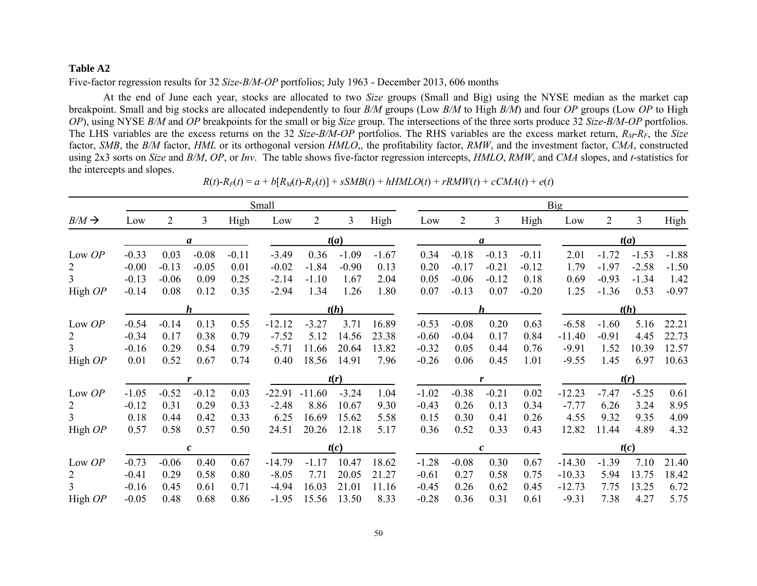Five-factor regression results for 32 *Size*-*B/M-OP* portfolios; July 1963 - December 2013, 606 months

At the end of June each year, stocks are allocated to two *Size* groups (Small and Big) using the NYSE median as the market cap breakpoint. Small and big stocks are allocated independently to four *B/M* groups (Low *B/M* to High *B/M*) and four *OP* groups (Low *OP* to High *OP*), using NYSE *B/M* and *OP* breakpoints for the small or big *Size* group. The intersections of the three sorts produce 32 *Size*-*B/M*-*OP* portfolios. The LHS variables are the excess returns on the 32 *Size*-*B/M*-*OP* portfolios. The RHS variables are the excess market return, *RM*-*RF*, the *Size* factor, *SMB*, the *B/M* factor, *HML* or its orthogonal version *HMLO*,, the profitability factor, *RMW*, and the investment factor, *CMA*, constructed using 2x3 sorts on *Size* and *B/M*, *OP*, or *Inv*. The table shows five-factor regression intercepts, *HMLO*, *RMW*, and *CMA* slopes, and *t*-statistics for the intercepts and slopes.

|                   |                  |                |         |         | Small    |                |         |         | Big     |                  |         |         |          |                |         |         |  |
|-------------------|------------------|----------------|---------|---------|----------|----------------|---------|---------|---------|------------------|---------|---------|----------|----------------|---------|---------|--|
| $B/M \rightarrow$ | Low              | $\overline{2}$ | 3       | High    | Low      | $\overline{2}$ | 3       | High    | Low     | $\overline{2}$   | 3       | High    | Low      | $\overline{2}$ | 3       | High    |  |
|                   |                  |                | a       |         | t(a)     |                |         |         |         | a                |         |         |          | t(a)           |         |         |  |
| Low OP            | $-0.33$          | 0.03           | $-0.08$ | $-0.11$ | $-3.49$  | 0.36           | $-1.09$ | $-1.67$ | 0.34    | $-0.18$          | $-0.13$ | $-0.11$ | 2.01     | $-1.72$        | $-1.53$ | $-1.88$ |  |
| 2                 | $-0.00$          | $-0.13$        | $-0.05$ | 0.01    | $-0.02$  | $-1.84$        | $-0.90$ | 0.13    | 0.20    | $-0.17$          | $-0.21$ | $-0.12$ | 1.79     | $-1.97$        | $-2.58$ | $-1.50$ |  |
| 3                 | $-0.13$          | $-0.06$        | 0.09    | 0.25    | $-2.14$  | $-1.10$        | 1.67    | 2.04    | 0.05    | $-0.06$          | $-0.12$ | 0.18    | 0.69     | $-0.93$        | $-1.34$ | 1.42    |  |
| High OP           | $-0.14$          | 0.08           | 0.12    | 0.35    | $-2.94$  | 1.34           | 1.26    | 1.80    | 0.07    | $-0.13$          | 0.07    | $-0.20$ | 1.25     | $-1.36$        | 0.53    | $-0.97$ |  |
|                   |                  |                | h       |         | t(h)     |                |         |         |         |                  |         |         | t(h)     |                |         |         |  |
| Low OP            | $-0.54$          | $-0.14$        | 0.13    | 0.55    | $-12.12$ | $-3.27$        | 3.71    | 16.89   | $-0.53$ | $-0.08$          | 0.20    | 0.63    | $-6.58$  | $-1.60$        | 5.16    | 22.21   |  |
| $\overline{2}$    | $-0.34$          | 0.17           | 0.38    | 0.79    | $-7.52$  | 5.12           | 14.56   | 23.38   | $-0.60$ | $-0.04$          | 0.17    | 0.84    | $-11.40$ | $-0.91$        | 4.45    | 22.73   |  |
| 3                 | $-0.16$          | 0.29           | 0.54    | 0.79    | $-5.71$  | 11.66          | 20.64   | 13.82   | $-0.32$ | 0.05             | 0.44    | 0.76    | $-9.91$  | 1.52           | 10.39   | 12.57   |  |
| High OP           | 0.01             | 0.52           | 0.67    | 0.74    | 0.40     | 18.56          | 14.91   | 7.96    | $-0.26$ | 0.06             | 0.45    | 1.01    | $-9.55$  | 1.45           | 6.97    | 10.63   |  |
|                   |                  |                | r       |         | t(r)     |                |         |         |         | r                |         |         |          | t(r)           |         |         |  |
| Low OP            | $-1.05$          | $-0.52$        | $-0.12$ | 0.03    | $-22.91$ | $-11.60$       | $-3.24$ | 1.04    | $-1.02$ | $-0.38$          | $-0.21$ | 0.02    | $-12.23$ | $-7.47$        | $-5.25$ | 0.61    |  |
| $\overline{2}$    | $-0.12$          | 0.31           | 0.29    | 0.33    | $-2.48$  | 8.86           | 10.67   | 9.30    | $-0.43$ | 0.26             | 0.13    | 0.34    | $-7.77$  | 6.26           | 3.24    | 8.95    |  |
| $\overline{3}$    | 0.18             | 0.44           | 0.42    | 0.33    | 6.25     | 16.69          | 15.62   | 5.58    | 0.15    | 0.30             | 0.41    | 0.26    | 4.55     | 9.32           | 9.35    | 4.09    |  |
| High OP           | 0.57             | 0.58           | 0.57    | 0.50    | 24.51    | 20.26          | 12.18   | 5.17    | 0.36    | 0.52             | 0.33    | 0.43    | 12.82    | 11.44          | 4.89    | 4.32    |  |
|                   | $\boldsymbol{c}$ |                |         |         | t(c)     |                |         |         |         | $\boldsymbol{c}$ |         |         |          | t(c)           |         |         |  |
| Low OP            | $-0.73$          | $-0.06$        | 0.40    | 0.67    | $-14.79$ | $-1.17$        | 10.47   | 18.62   | $-1.28$ | $-0.08$          | 0.30    | 0.67    | $-14.30$ | $-1.39$        | 7.10    | 21.40   |  |
| $\overline{2}$    | $-0.41$          | 0.29           | 0.58    | 0.80    | $-8.05$  | 7.71           | 20.05   | 21.27   | $-0.61$ | 0.27             | 0.58    | 0.75    | $-10.33$ | 5.94           | 13.75   | 18.42   |  |
| 3                 | $-0.16$          | 0.45           | 0.61    | 0.71    | $-4.94$  | 16.03          | 21.01   | 11.16   | $-0.45$ | 0.26             | 0.62    | 0.45    | $-12.73$ | 7.75           | 13.25   | 6.72    |  |
| High OP           | $-0.05$          | 0.48           | 0.68    | 0.86    | $-1.95$  | 15.56          | 13.50   | 8.33    | $-0.28$ | 0.36             | 0.31    | 0.61    | $-9.31$  | 7.38           | 4.27    | 5.75    |  |

 $R(t) - R_F(t) = a + b[R_M(t) - R_F(t)] + sSMB(t) + hHMLO(t) + rRMW(t) + cCMA(t) + e(t)$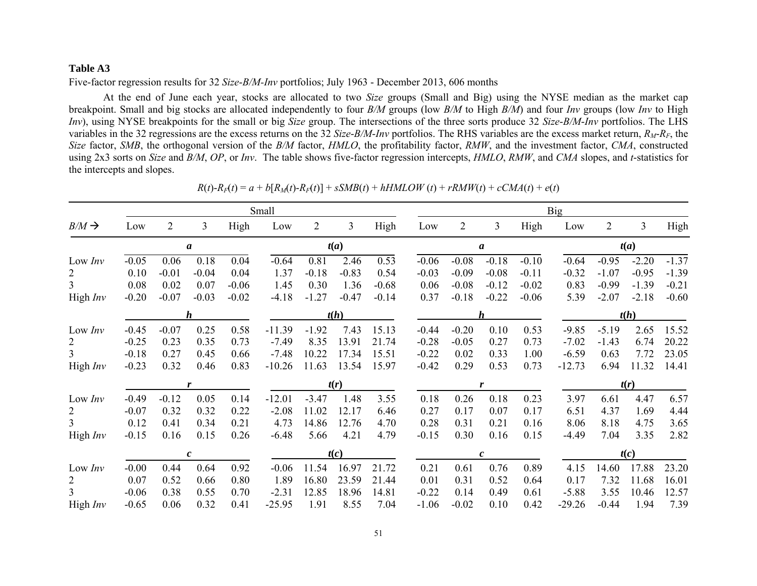Five-factor regression results for 32 *Size*-*B/M-Inv* portfolios; July 1963 - December 2013, 606 months

At the end of June each year, stocks are allocated to two *Size* groups (Small and Big) using the NYSE median as the market cap breakpoint. Small and big stocks are allocated independently to four *B/M* groups (low *B/M* to High *B/M*) and four *Inv* groups (low *Inv* to High *Inv*), using NYSE breakpoints for the small or big *Size* group. The intersections of the three sorts produce 32 *Size*-*B/M*-*Inv* portfolios. The LHS variables in the 32 regressions are the excess returns on the 32 *Size*-*B/M*-*Inv* portfolios. The RHS variables are the excess market return, *RM*-*RF*, the *Size* factor, *SMB*, the orthogonal version of the *B/M* factor, *HMLO*, the profitability factor, *RMW*, and the investment factor, *CMA*, constructed using 2x3 sorts on *Size* and *B/M*, *OP*, or *Inv*. The table shows five-factor regression intercepts, *HMLO*, *RMW*, and *CMA* slopes, and *t*-statistics for the intercepts and slopes.

|                   |         |                |                  |         | Small    |                |         |         | <b>Big</b> |                  |                  |         |          |                |         |         |  |
|-------------------|---------|----------------|------------------|---------|----------|----------------|---------|---------|------------|------------------|------------------|---------|----------|----------------|---------|---------|--|
| $B/M \rightarrow$ | Low     | $\overline{2}$ | 3                | High    | Low      | $\overline{2}$ | 3       | High    | Low        | $\overline{2}$   | 3                | High    | Low      | $\overline{2}$ | 3       | High    |  |
|                   |         |                | a                |         | t(a)     |                |         |         |            |                  | $\boldsymbol{a}$ |         | t(a)     |                |         |         |  |
| Low $Inv$         | $-0.05$ | 0.06           | 0.18             | 0.04    | $-0.64$  | 0.81           | 2.46    | 0.53    | $-0.06$    | $-0.08$          | $-0.18$          | $-0.10$ | $-0.64$  | $-0.95$        | $-2.20$ | $-1.37$ |  |
| 2                 | 0.10    | $-0.01$        | $-0.04$          | 0.04    | 1.37     | $-0.18$        | $-0.83$ | 0.54    | $-0.03$    | $-0.09$          | $-0.08$          | $-0.11$ | $-0.32$  | $-1.07$        | $-0.95$ | $-1.39$ |  |
| 3                 | 0.08    | 0.02           | 0.07             | $-0.06$ | 1.45     | 0.30           | 1.36    | $-0.68$ | 0.06       | $-0.08$          | $-0.12$          | $-0.02$ | 0.83     | $-0.99$        | $-1.39$ | $-0.21$ |  |
| High $Inv$        | $-0.20$ | $-0.07$        | $-0.03$          | $-0.02$ | $-4.18$  | $-1.27$        | $-0.47$ | $-0.14$ | 0.37       | $-0.18$          | $-0.22$          | $-0.06$ | 5.39     | $-2.07$        | $-2.18$ | $-0.60$ |  |
|                   |         |                | h                |         |          | t(h)           |         |         |            |                  | h.               |         | t(h)     |                |         |         |  |
| Low $Inv$         | $-0.45$ | $-0.07$        | 0.25             | 0.58    | $-11.39$ | $-1.92$        | 7.43    | 15.13   | $-0.44$    | $-0.20$          | 0.10             | 0.53    | $-9.85$  | $-5.19$        | 2.65    | 15.52   |  |
| $\overline{2}$    | $-0.25$ | 0.23           | 0.35             | 0.73    | $-7.49$  | 8.35           | 13.91   | 21.74   | $-0.28$    | $-0.05$          | 0.27             | 0.73    | $-7.02$  | $-1.43$        | 6.74    | 20.22   |  |
| 3                 | $-0.18$ | 0.27           | 0.45             | 0.66    | $-7.48$  | 10.22          | 17.34   | 15.51   | $-0.22$    | 0.02             | 0.33             | 1.00    | $-6.59$  | 0.63           | 7.72    | 23.05   |  |
| High $Inv$        | $-0.23$ | 0.32           | 0.46             | 0.83    | $-10.26$ | 11.63          | 13.54   | 15.97   | $-0.42$    | 0.29             | 0.53             | 0.73    | $-12.73$ | 6.94           | 11.32   | 14.41   |  |
|                   |         |                |                  |         | t(r)     |                |         |         |            | r                |                  |         |          | t(r)           |         |         |  |
| Low $Inv$         | $-0.49$ | $-0.12$        | 0.05             | 0.14    | $-12.01$ | $-3.47$        | 1.48    | 3.55    | 0.18       | 0.26             | 0.18             | 0.23    | 3.97     | 6.61           | 4.47    | 6.57    |  |
| $\overline{2}$    | $-0.07$ | 0.32           | 0.32             | 0.22    | $-2.08$  | 11.02          | 12.17   | 6.46    | 0.27       | 0.17             | 0.07             | 0.17    | 6.51     | 4.37           | 1.69    | 4.44    |  |
| 3                 | 0.12    | 0.41           | 0.34             | 0.21    | 4.73     | 14.86          | 12.76   | 4.70    | 0.28       | 0.31             | 0.21             | 0.16    | 8.06     | 8.18           | 4.75    | 3.65    |  |
| High $Inv$        | $-0.15$ | 0.16           | 0.15             | 0.26    | $-6.48$  | 5.66           | 4.21    | 4.79    | $-0.15$    | 0.30             | 0.16             | 0.15    | $-4.49$  | 7.04           | 3.35    | 2.82    |  |
|                   |         |                | $\boldsymbol{c}$ |         | t(c)     |                |         |         |            | $\boldsymbol{c}$ |                  |         |          | t(c)           |         |         |  |
| Low $Inv$         | $-0.00$ | 0.44           | 0.64             | 0.92    | $-0.06$  | 11.54          | 16.97   | 21.72   | 0.21       | 0.61             | 0.76             | 0.89    | 4.15     | 14.60          | 17.88   | 23.20   |  |
| $\overline{2}$    | 0.07    | 0.52           | 0.66             | 0.80    | 1.89     | 16.80          | 23.59   | 21.44   | 0.01       | 0.31             | 0.52             | 0.64    | 0.17     | 7.32           | 11.68   | 16.01   |  |
| 3                 | $-0.06$ | 0.38           | 0.55             | 0.70    | $-2.31$  | 12.85          | 18.96   | 14.81   | $-0.22$    | 0.14             | 0.49             | 0.61    | $-5.88$  | 3.55           | 10.46   | 12.57   |  |
| High $Inv$        | $-0.65$ | 0.06           | 0.32             | 0.41    | $-25.95$ | 1.91           | 8.55    | 7.04    | $-1.06$    | $-0.02$          | 0.10             | 0.42    | $-29.26$ | $-0.44$        | 1.94    | 7.39    |  |

 $R(t) - R_F(t) = a + b[R_M(t) - R_F(t)] + sSMB(t) + hHMLOW(t) + rRMW(t) + cCMA(t) + e(t)$